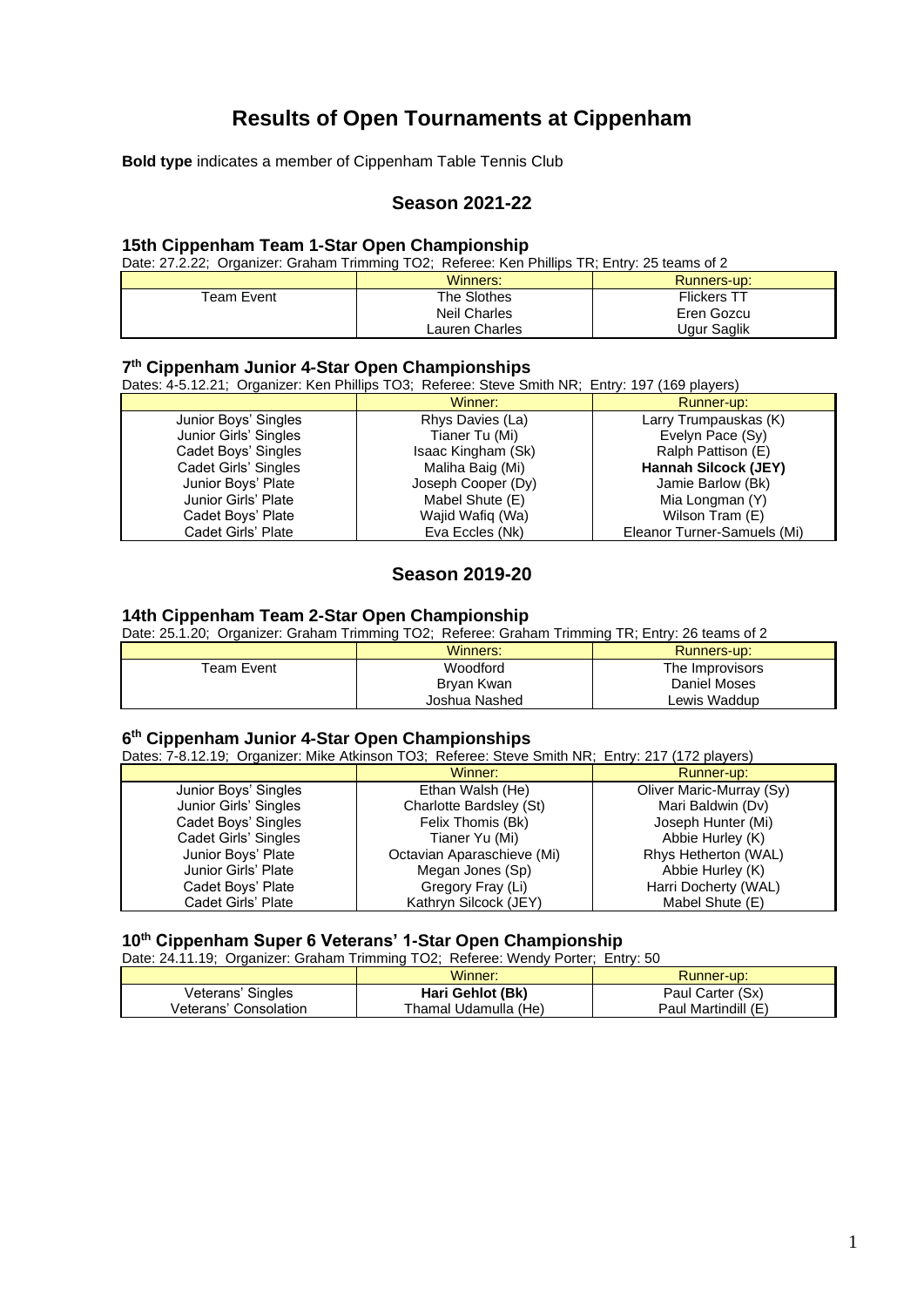# **Results of Open Tournaments at Cippenham**

**Bold type** indicates a member of Cippenham Table Tennis Club

# **Season 2021-22**

#### **15th Cippenham Team 1-Star Open Championship**

Date: 27.2.22; Organizer: Graham Trimming TO2; Referee: Ken Phillips TR; Entry: 25 teams of 2

|            | Winners:       | Runners-up:        |
|------------|----------------|--------------------|
| Team Event | The Slothes    | <b>Flickers TT</b> |
|            | Neil Charles   | Eren Gozcu         |
|            | Lauren Charles | Ugur Saglik        |

#### **7 th Cippenham Junior 4-Star Open Championships**

Dates: 4-5.12.21; Organizer: Ken Phillips TO3; Referee: Steve Smith NR; Entry: 197 (169 players)

|                       | Winner:            | Runner-up:                  |
|-----------------------|--------------------|-----------------------------|
| Junior Boys' Singles  | Rhys Davies (La)   | Larry Trumpauskas (K)       |
| Junior Girls' Singles | Tianer Tu (Mi)     | Evelyn Pace (Sy)            |
| Cadet Boys' Singles   | Isaac Kingham (Sk) | Ralph Pattison (E)          |
| Cadet Girls' Singles  | Maliha Baig (Mi)   | Hannah Silcock (JEY)        |
| Junior Boys' Plate    | Joseph Cooper (Dy) | Jamie Barlow (Bk)           |
| Junior Girls' Plate   | Mabel Shute (E)    | Mia Longman (Y)             |
| Cadet Boys' Plate     | Wajid Wafiq (Wa)   | Wilson Tram (E)             |
| Cadet Girls' Plate    | Eva Eccles (Nk)    | Eleanor Turner-Samuels (Mi) |
|                       |                    |                             |

# **Season 2019-20**

#### **14th Cippenham Team 2-Star Open Championship**

Date: 25.1.20; Organizer: Graham Trimming TO2; Referee: Graham Trimming TR; Entry: 26 teams of 2

|            | Winners:      | Runners-up:     |
|------------|---------------|-----------------|
| Team Event | Woodford      | The Improvisors |
|            | Bryan Kwan    | Daniel Moses    |
|            | Joshua Nashed | Lewis Waddup    |

#### **6 th Cippenham Junior 4-Star Open Championships**

Dates: 7-8.12.19; Organizer: Mike Atkinson TO3; Referee: Steve Smith NR; Entry: 217 (172 players) Winner: Winner: Runner-up:<br>
Ethan Walsh (He) Cliver Maric-Murra Junior Boys' Singles Ethan Walsh (He) Oliver Maric-Murray (Sy) Charlotte Bardsley (St) Cadet Boys' Singles Felix Thomis (Bk) Joseph Hunter (Mi)<br>Cadet Girls' Singles Tianer Yu (Mi) Tianer Yu (Mi) Cadet Girls' Singles Junior Boys' Plate Octavian Aparaschieve (Mi) Rhys Hetherton (WAL) Junior Girls' Plate **Megan Jones (Sp)** Abbie Hurley (K) (Abbie Hurley (K) Cadet Boys' Plate (MAC) Cadet Boys' Plate Cadet Boys' Plate Gregory Fray (Li) Harri Docherty (WAL)<br>Cadet Girls' Plate Gate (E) Kathryn Silcock (JEY) Mabel Shute (E) Kathryn Silcock (JEY)

### **10th Cippenham Super 6 Veterans' 1-Star Open Championship**

Date: 24.11.19; Organizer: Graham Trimming TO2; Referee: Wendy Porter; Entry: 50

|                       | Winner:              | Runner-up:          |
|-----------------------|----------------------|---------------------|
| Veterans' Singles     | Hari Gehlot (Bk)     | Paul Carter (Sx)    |
| Veterans' Consolation | Thamal Udamulla (He) | Paul Martindill (E) |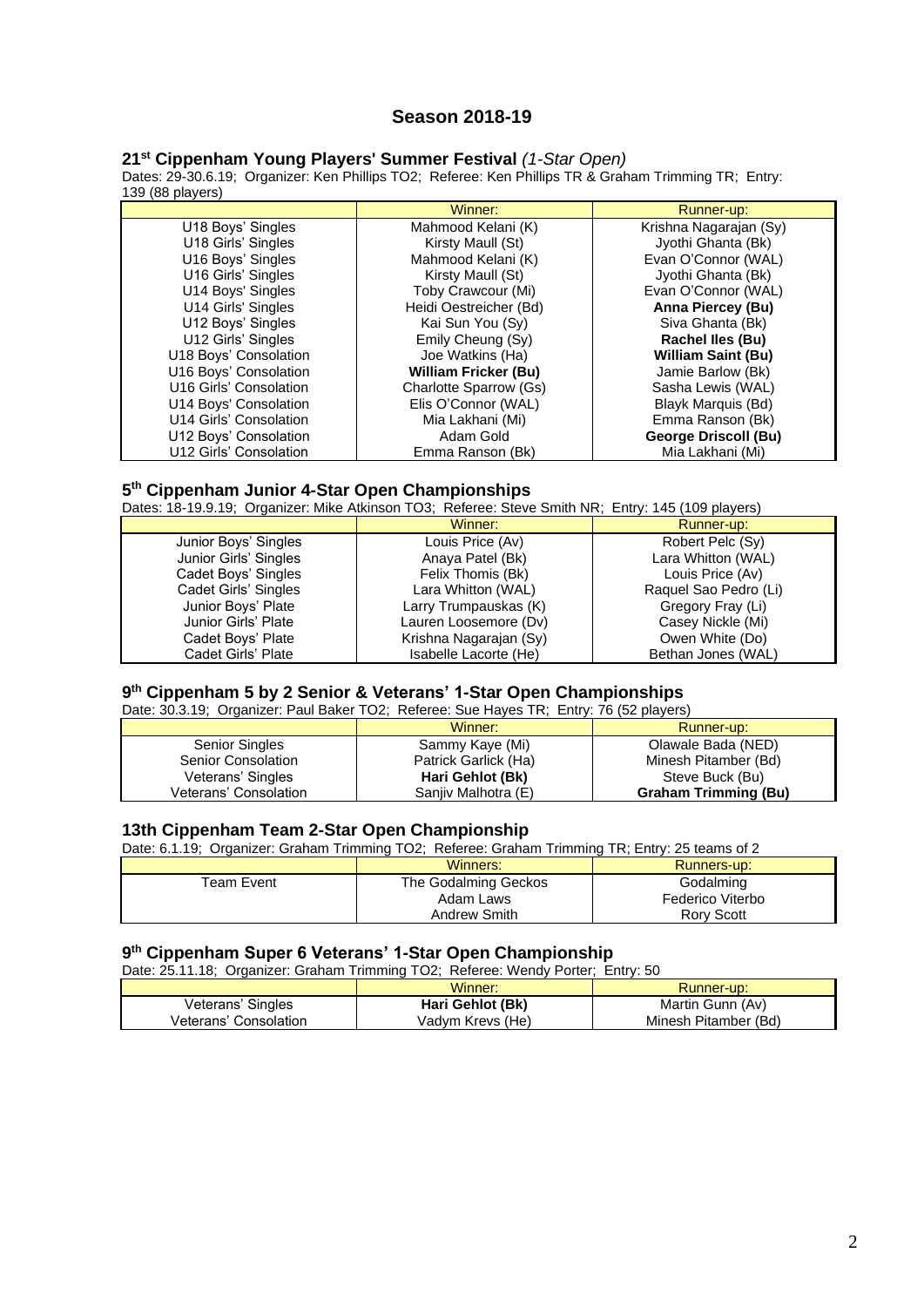# **Season 2018-19**

### **21 st Cippenham Young Players' Summer Festival** *(1-Star Open)*

Dates: 29-30.6.19; Organizer: Ken Phillips TO2; Referee: Ken Phillips TR & Graham Trimming TR; Entry: 139 (88 players)

|                        | Winner:                     | Runner-up:                  |
|------------------------|-----------------------------|-----------------------------|
| U18 Boys' Singles      | Mahmood Kelani (K)          | Krishna Nagarajan (Sy)      |
| U18 Girls' Singles     | Kirsty Maull (St)           | Jyothi Ghanta (Bk)          |
| U16 Boys' Singles      | Mahmood Kelani (K)          | Evan O'Connor (WAL)         |
| U16 Girls' Singles     | Kirsty Maull (St)           | Jyothi Ghanta (Bk)          |
| U14 Boys' Singles      | Toby Crawcour (Mi)          | Evan O'Connor (WAL)         |
| U14 Girls' Singles     | Heidi Oestreicher (Bd)      | Anna Piercey (Bu)           |
| U12 Boys' Singles      | Kai Sun You (Sy)            | Siva Ghanta (Bk)            |
| U12 Girls' Singles     | Emily Cheung (Sy)           | <b>Rachel Iles (Bu)</b>     |
| U18 Boys' Consolation  | Joe Watkins (Ha)            | <b>William Saint (Bu)</b>   |
| U16 Boys' Consolation  | <b>William Fricker (Bu)</b> | Jamie Barlow (Bk)           |
| U16 Girls' Consolation | Charlotte Sparrow (Gs)      | Sasha Lewis (WAL)           |
| U14 Boys' Consolation  | Elis O'Connor (WAL)         | Blayk Marquis (Bd)          |
| U14 Girls' Consolation | Mia Lakhani (Mi)            | Emma Ranson (Bk)            |
| U12 Boys' Consolation  | Adam Gold                   | <b>George Driscoll (Bu)</b> |
| U12 Girls' Consolation | Emma Ranson (Bk)            | Mia Lakhani (Mi)            |

#### **5 th Cippenham Junior 4-Star Open Championships**

Dates: 18-19.9.19; Organizer: Mike Atkinson TO3; Referee: Steve Smith NR; Entry: 145 (109 players)

|                       | Winner:                | Runner-up:            |
|-----------------------|------------------------|-----------------------|
| Junior Boys' Singles  | Louis Price (Av)       | Robert Pelc (Sy)      |
| Junior Girls' Singles | Anaya Patel (Bk)       | Lara Whitton (WAL)    |
| Cadet Boys' Singles   | Felix Thomis (Bk)      | Louis Price (Av)      |
| Cadet Girls' Singles  | Lara Whitton (WAL)     | Raquel Sao Pedro (Li) |
| Junior Boys' Plate    | Larry Trumpauskas (K)  | Gregory Fray (Li)     |
| Junior Girls' Plate   | Lauren Loosemore (Dv)  | Casey Nickle (Mi)     |
| Cadet Boys' Plate     | Krishna Nagarajan (Sy) | Owen White (Do)       |
| Cadet Girls' Plate    | Isabelle Lacorte (He)  | Bethan Jones (WAL)    |

## **9 th Cippenham 5 by 2 Senior & Veterans' 1-Star Open Championships**

Date: 30.3.19; Organizer: Paul Baker TO2; Referee: Sue Hayes TR; Entry: 76 (52 players)

|                       | Winner:              | Runner-up:                  |
|-----------------------|----------------------|-----------------------------|
| <b>Senior Singles</b> | Sammy Kaye (Mi)      | Olawale Bada (NED)          |
| Senior Consolation    | Patrick Garlick (Ha) | Minesh Pitamber (Bd)        |
| Veterans' Singles     | Hari Gehlot (Bk)     | Steve Buck (Bu)             |
| Veterans' Consolation | Saniiv Malhotra (E)  | <b>Graham Trimming (Bu)</b> |

# **13th Cippenham Team 2-Star Open Championship**

Date: 6.1.19; Organizer: Graham Trimming TO2; Referee: Graham Trimming TR; Entry: 25 teams of 2

|            | Winners:             | Runners-up:       |
|------------|----------------------|-------------------|
| Геаm Event | The Godalming Geckos | Godalming         |
|            | Adam Laws            | Federico Viterbo  |
|            | Andrew Smith         | <b>Rory Scott</b> |

# **9 th Cippenham Super 6 Veterans' 1-Star Open Championship**

| Date: 25.11.18; Organizer: Graham Trimming TO2; Referee: Wendy Porter; Entry: 50 |                  |                      |
|----------------------------------------------------------------------------------|------------------|----------------------|
|                                                                                  | Winner:          | Runner-up:           |
| Veterans' Singles                                                                | Hari Gehlot (Bk) | Martin Gunn (Av)     |
| Veterans' Consolation                                                            | Vadym Krevs (He) | Minesh Pitamber (Bd) |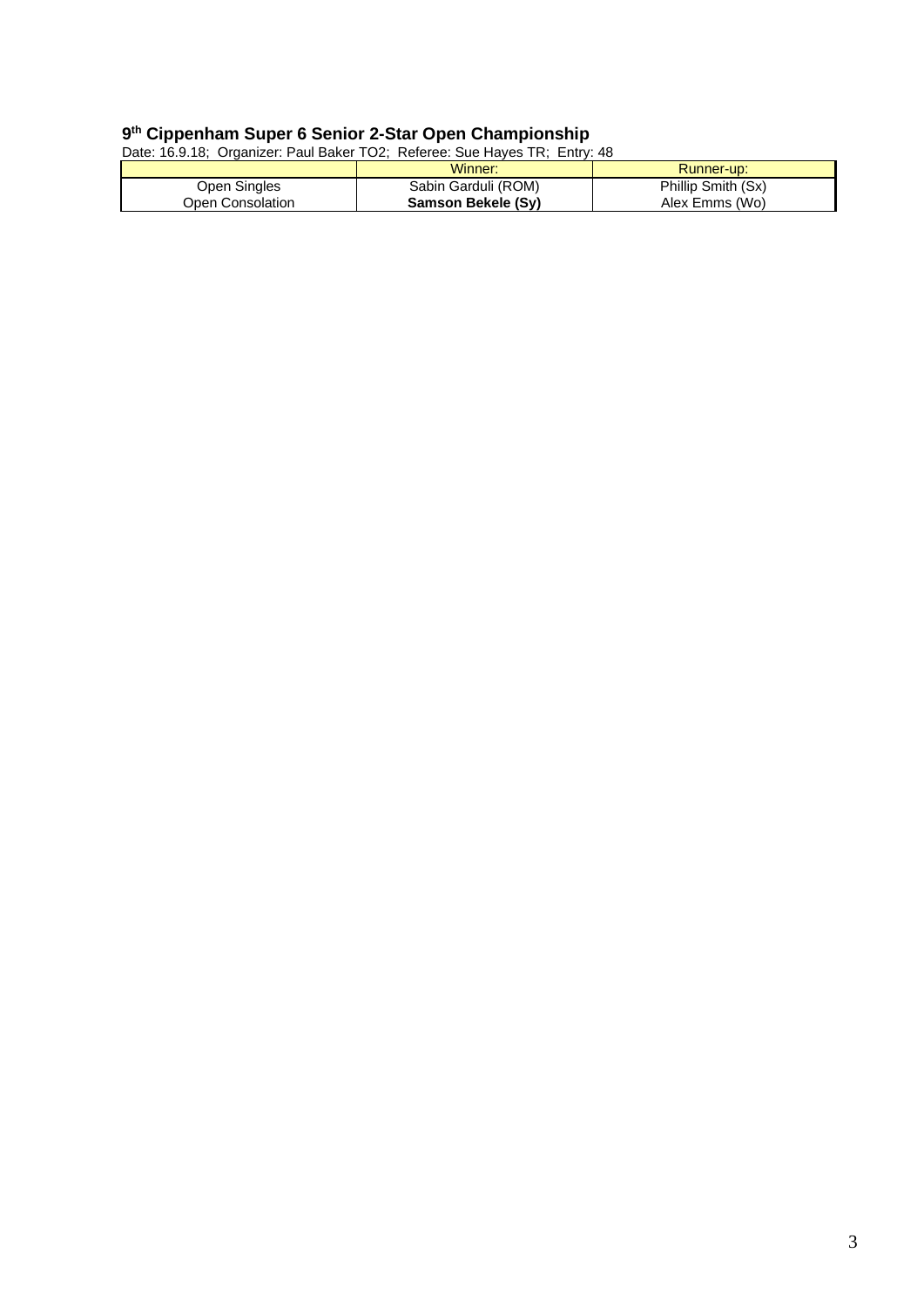### **9 th Cippenham Super 6 Senior 2-Star Open Championship**

Date: 16.9.18; Organizer: Paul Baker TO2; Referee: Sue Hayes TR; Entry: 48

|                  | Winner:             | Runner-up:         |
|------------------|---------------------|--------------------|
| Open Singles     | Sabin Garduli (ROM) | Phillip Smith (Sx) |
| Open Consolation | Samson Bekele (Sv)  | Alex Emms (Wo)     |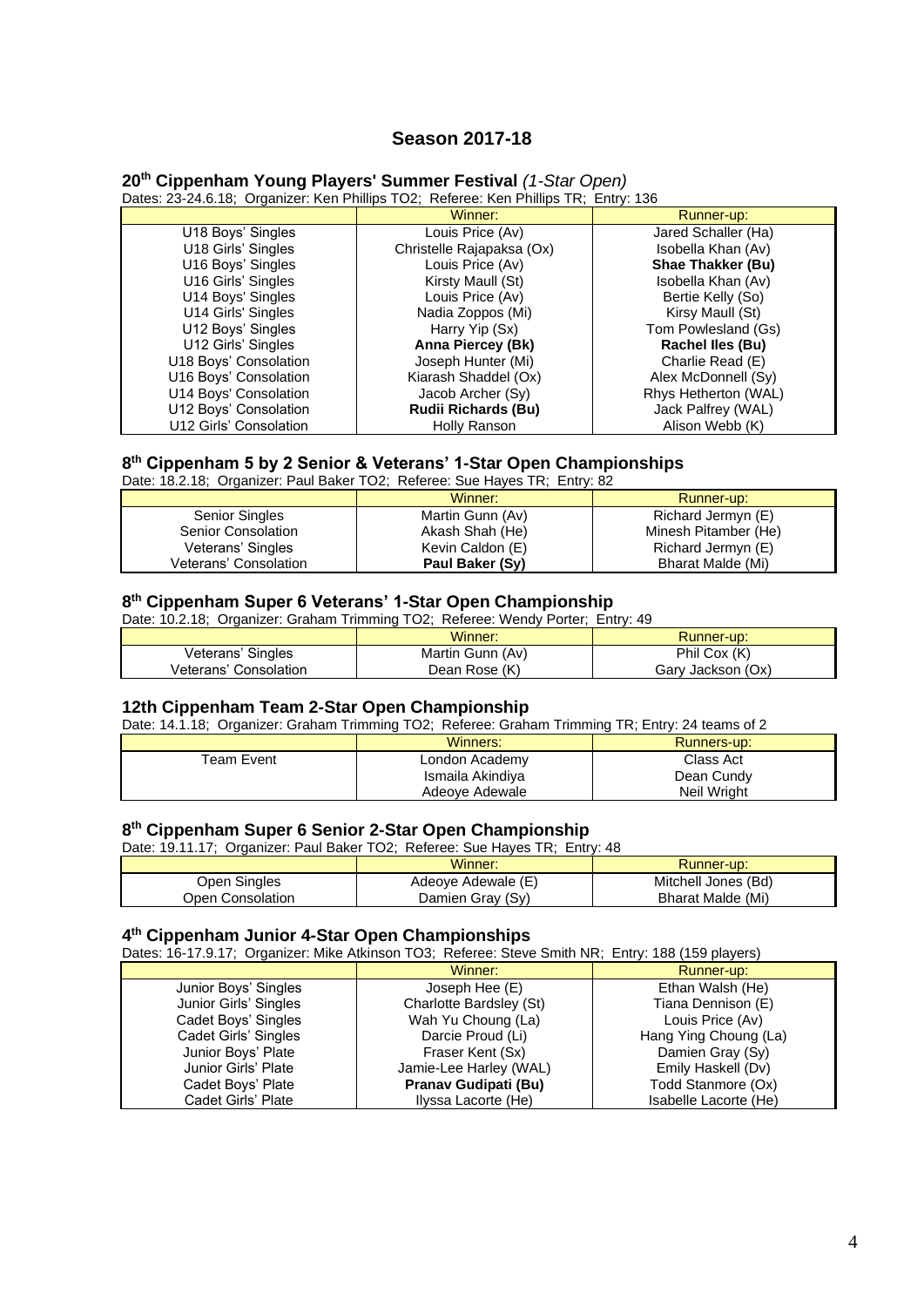# **Season 2017-18**

## **20th Cippenham Young Players' Summer Festival** *(1-Star Open)*

Dates: 23-24.6.18; Organizer: Ken Phillips TO2; Referee: Ken Phillips TR; Entry: 136

|                        | Winner:                    | Runner-up:               |
|------------------------|----------------------------|--------------------------|
| U18 Boys' Singles      | Louis Price (Av)           | Jared Schaller (Ha)      |
| U18 Girls' Singles     | Christelle Rajapaksa (Ox)  | Isobella Khan (Av)       |
| U16 Boys' Singles      | Louis Price (Av)           | <b>Shae Thakker (Bu)</b> |
| U16 Girls' Singles     | Kirsty Maull (St)          | Isobella Khan (Av)       |
| U14 Boys' Singles      | Louis Price (Av)           | Bertie Kelly (So)        |
| U14 Girls' Singles     | Nadia Zoppos (Mi)          | Kirsy Maull (St)         |
| U12 Boys' Singles      | Harry Yip (Sx)             | Tom Powlesland (Gs)      |
| U12 Girls' Singles     | Anna Piercey (Bk)          | <b>Rachel Iles (Bu)</b>  |
| U18 Boys' Consolation  | Joseph Hunter (Mi)         | Charlie Read (E)         |
| U16 Boys' Consolation  | Kiarash Shaddel (Ox)       | Alex McDonnell (Sy)      |
| U14 Boys' Consolation  | Jacob Archer (Sy)          | Rhys Hetherton (WAL)     |
| U12 Boys' Consolation  | <b>Rudii Richards (Bu)</b> | Jack Palfrey (WAL)       |
| U12 Girls' Consolation | Holly Ranson               | Alison Webb (K)          |

#### **8 th Cippenham 5 by 2 Senior & Veterans' 1-Star Open Championships**

Date: 18.2.18; Organizer: Paul Baker TO2; Referee: Sue Hayes TR; Entry: 82

|                       | Winner:          | Runner-up:               |
|-----------------------|------------------|--------------------------|
| <b>Senior Singles</b> | Martin Gunn (Av) | Richard Jermyn (E)       |
| Senior Consolation    | Akash Shah (He)  | Minesh Pitamber (He)     |
| Veterans' Singles     | Kevin Caldon (E) | Richard Jermyn (E)       |
| Veterans' Consolation | Paul Baker (Sy)  | <b>Bharat Malde (Mi)</b> |

#### **8 th Cippenham Super 6 Veterans' 1-Star Open Championship**

Date: 10.2.18; Organizer: Graham Trimming TO2; Referee: Wendy Porter; Entry: 49

|                       | Winner:          | Runner-up:        |
|-----------------------|------------------|-------------------|
| Veterans' Singles     | Martin Gunn (Av) | Phil Cox (K)      |
| Veterans' Consolation | Dean Rose (K)    | Gary Jackson (Ox) |

# **12th Cippenham Team 2-Star Open Championship**

Date: 14.1.18; Organizer: Graham Trimming TO2; Referee: Graham Trimming TR; Entry: 24 teams of 2

|            | Winners:         | Runners-up: |
|------------|------------------|-------------|
| Team Event | London Academy   | Class Act   |
|            | Ismaila Akindiya | Dean Cundy  |
|            | Adeoye Adewale   | Neil Wright |

#### **8 th Cippenham Super 6 Senior 2-Star Open Championship**

Date: 19.11.17; Organizer: Paul Baker TO2; Referee: Sue Hayes TR; Entry: 48

|                  | Winner:            | Runner-up:          |
|------------------|--------------------|---------------------|
| Open Singles     | Adeove Adewale (E) | Mitchell Jones (Bd) |
| Open Consolation | Damien Gray (Sy)   | Bharat Malde (Mi)   |

#### **4 th Cippenham Junior 4-Star Open Championships**

Dates: 16-17.9.17; Organizer: Mike Atkinson TO3; Referee: Steve Smith NR; Entry: 188 (159 players)

|                       | Winner:                 | Runner-up:            |  |
|-----------------------|-------------------------|-----------------------|--|
| Junior Boys' Singles  | Joseph Hee $(E)$        | Ethan Walsh (He)      |  |
| Junior Girls' Singles | Charlotte Bardsley (St) | Tiana Dennison (E)    |  |
| Cadet Boys' Singles   | Wah Yu Choung (La)      | Louis Price (Av)      |  |
| Cadet Girls' Singles  | Darcie Proud (Li)       | Hang Ying Choung (La) |  |
| Junior Boys' Plate    | Fraser Kent (Sx)        | Damien Gray (Sy)      |  |
| Junior Girls' Plate   | Jamie-Lee Harley (WAL)  | Emily Haskell (Dv)    |  |
| Cadet Boys' Plate     | Pranav Gudipati (Bu)    | Todd Stanmore (Ox)    |  |
| Cadet Girls' Plate    | Ilyssa Lacorte (He)     | Isabelle Lacorte (He) |  |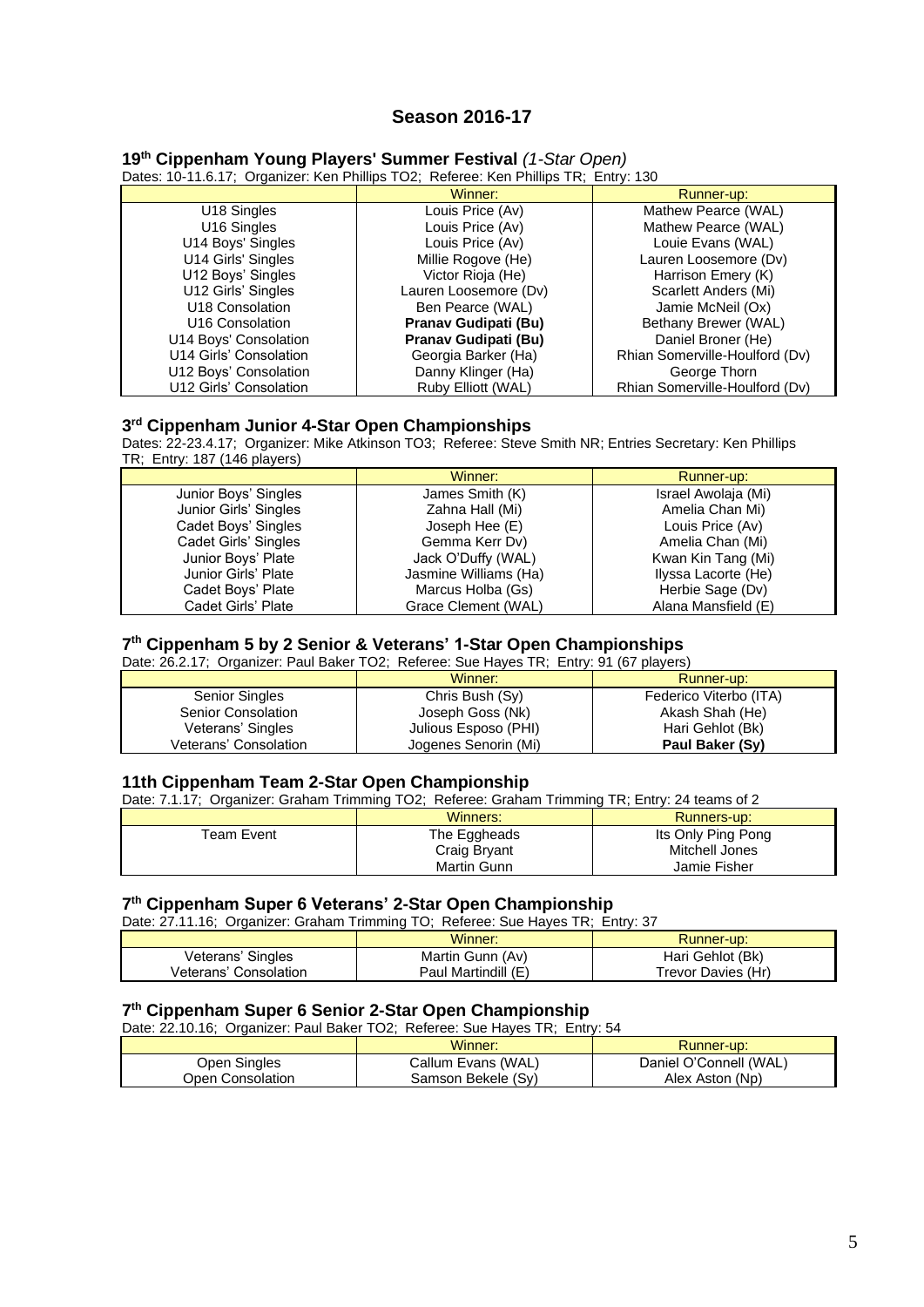# **Season 2016-17**

|  |  | 19th Cippenham Young Players' Summer Festival (1-Star Open) |  |  |  |  |
|--|--|-------------------------------------------------------------|--|--|--|--|
|--|--|-------------------------------------------------------------|--|--|--|--|

Dates: 10-11.6.17; Organizer: Ken Phillips TO2; Referee: Ken Phillips TR; Entry: 130

|                             | Winner:               | Runner-up:                     |
|-----------------------------|-----------------------|--------------------------------|
| U <sub>18</sub> Singles     | Louis Price (Av)      | Mathew Pearce (WAL)            |
| U <sub>16</sub> Singles     | Louis Price (Av)      | Mathew Pearce (WAL)            |
| U14 Boys' Singles           | Louis Price (Av)      | Louie Evans (WAL)              |
| U14 Girls' Singles          | Millie Rogove (He)    | Lauren Loosemore (Dv)          |
| U12 Boys' Singles           | Victor Rioja (He)     | Harrison Emery (K)             |
| U12 Girls' Singles          | Lauren Loosemore (Dv) | Scarlett Anders (Mi)           |
| U18 Consolation             | Ben Pearce (WAL)      | Jamie McNeil (Ox)              |
| U <sub>16</sub> Consolation | Pranav Gudipati (Bu)  | Bethany Brewer (WAL)           |
| U14 Boys' Consolation       | Pranav Gudipati (Bu)  | Daniel Broner (He)             |
| U14 Girls' Consolation      | Georgia Barker (Ha)   | Rhian Somerville-Houlford (Dv) |
| U12 Boys' Consolation       | Danny Klinger (Ha)    | George Thorn                   |
| U12 Girls' Consolation      | Ruby Elliott (WAL)    | Rhian Somerville-Houlford (Dv) |

#### **3 rd Cippenham Junior 4-Star Open Championships**

Dates: 22-23.4.17; Organizer: Mike Atkinson TO3; Referee: Steve Smith NR; Entries Secretary: Ken Phillips TR; Entry: 187 (146 players)

|                       | Winner:               | Runner-up:          |
|-----------------------|-----------------------|---------------------|
| Junior Boys' Singles  | James Smith (K)       | Israel Awolaja (Mi) |
| Junior Girls' Singles | Zahna Hall (Mi)       | Amelia Chan Mi)     |
| Cadet Boys' Singles   | Joseph Hee (E)        | Louis Price (Av)    |
| Cadet Girls' Singles  | Gemma Kerr Dv)        | Amelia Chan (Mi)    |
| Junior Boys' Plate    | Jack O'Duffy (WAL)    | Kwan Kin Tang (Mi)  |
| Junior Girls' Plate   | Jasmine Williams (Ha) | Ilyssa Lacorte (He) |
| Cadet Boys' Plate     | Marcus Holba (Gs)     | Herbie Sage (Dv)    |
| Cadet Girls' Plate    | Grace Clement (WAL)   | Alana Mansfield (E) |

### **7 th Cippenham 5 by 2 Senior & Veterans' 1-Star Open Championships**

Date: 26.2.17; Organizer: Paul Baker TO2; Referee: Sue Hayes TR; Entry: 91 (67 players)

|                       | Winner:              | Runner-up:             |
|-----------------------|----------------------|------------------------|
| <b>Senior Singles</b> | Chris Bush (Sy)      | Federico Viterbo (ITA) |
| Senior Consolation    | Joseph Goss (Nk)     | Akash Shah (He)        |
| Veterans' Singles     | Julious Esposo (PHI) | Hari Gehlot (Bk)       |
| Veterans' Consolation | Jogenes Senorin (Mi) | Paul Baker (Sy)        |

#### **11th Cippenham Team 2-Star Open Championship**

Date: 7.1.17; Organizer: Graham Trimming TO2; Referee: Graham Trimming TR; Entry: 24 teams of 2

|             | Winners:     | Runners-up:        |
|-------------|--------------|--------------------|
| Team Event. | The Eggheads | Its Only Ping Pong |
|             | Craig Bryant | Mitchell Jones     |
|             | Martin Gunn  | Jamie Fisher       |

#### **7 th Cippenham Super 6 Veterans' 2-Star Open Championship**

| Date: 27.11.16; Organizer: Graham Trimming TO; Referee: Sue Hayes TR; Entry: 37 |                     |                    |  |
|---------------------------------------------------------------------------------|---------------------|--------------------|--|
| Winner:<br>Runner-up:                                                           |                     |                    |  |
| Veterans' Singles                                                               | Martin Gunn (Av)    | Hari Gehlot (Bk)   |  |
| Veterans' Consolation                                                           | Paul Martindill (E) | Trevor Davies (Hr) |  |

#### **7 th Cippenham Super 6 Senior 2-Star Open Championship**

| Date: 22.10.16; Organizer: Paul Baker TO2; Referee: Sue Hayes TR; Entry: 54 |                    |                        |  |
|-----------------------------------------------------------------------------|--------------------|------------------------|--|
|                                                                             | Winner:            | Runner-up:             |  |
| Open Singles                                                                | Callum Evans (WAL) | Daniel O'Connell (WAL) |  |
| Open Consolation                                                            | Samson Bekele (Sv) | Alex Aston (Np)        |  |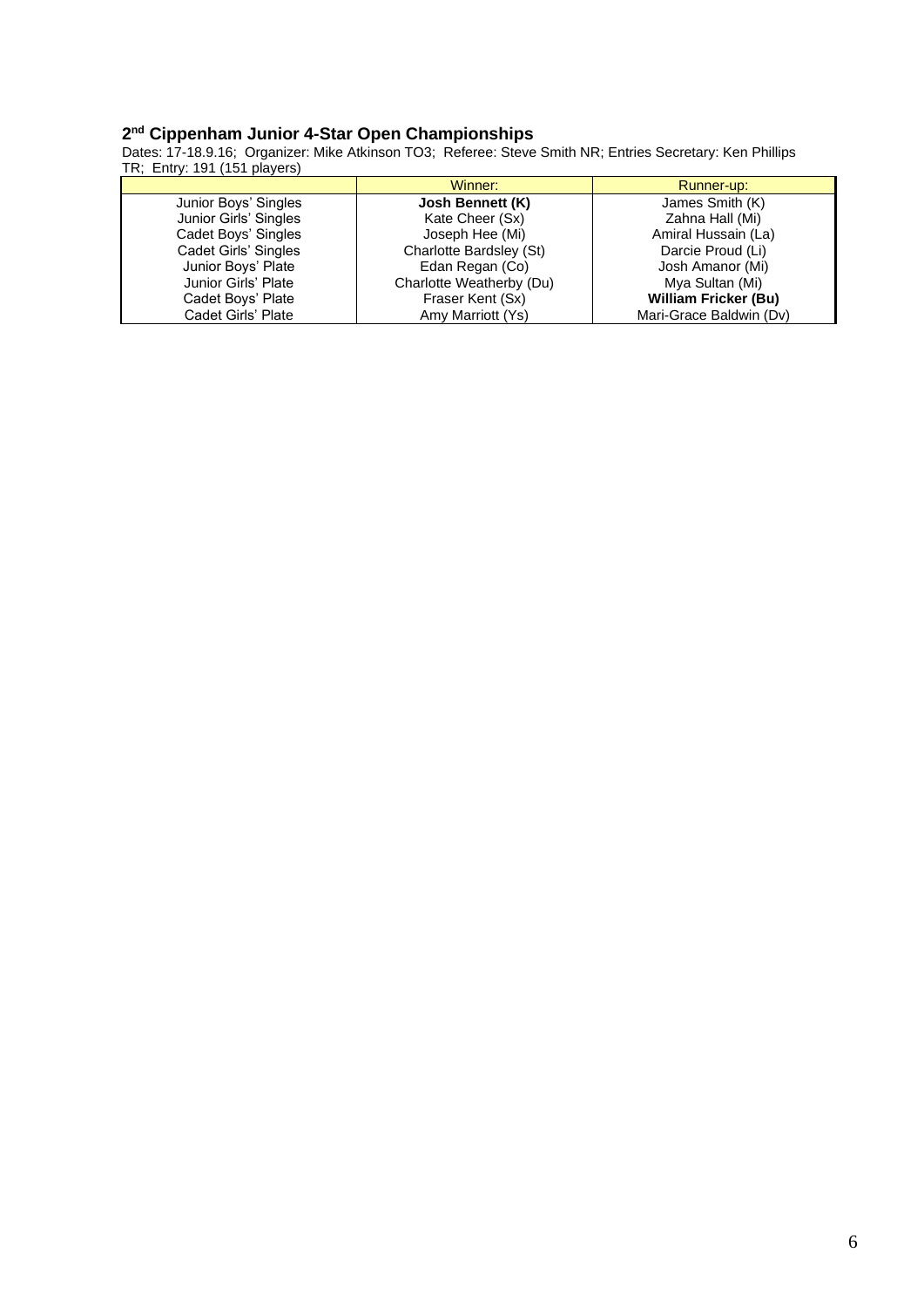### **2 nd Cippenham Junior 4-Star Open Championships**

Dates: 17-18.9.16; Organizer: Mike Atkinson TO3; Referee: Steve Smith NR; Entries Secretary: Ken Phillips TR; Entry: 191 (151 players)

|                       | Winner:                  | Runner-up:                  |
|-----------------------|--------------------------|-----------------------------|
| Junior Boys' Singles  | Josh Bennett (K)         | James Smith (K)             |
| Junior Girls' Singles | Kate Cheer (Sx)          | Zahna Hall (Mi)             |
| Cadet Boys' Singles   | Joseph Hee (Mi)          | Amiral Hussain (La)         |
| Cadet Girls' Singles  | Charlotte Bardsley (St)  | Darcie Proud (Li)           |
| Junior Boys' Plate    | Edan Regan (Co)          | Josh Amanor (Mi)            |
| Junior Girls' Plate   | Charlotte Weatherby (Du) | Mya Sultan (Mi)             |
| Cadet Boys' Plate     | Fraser Kent (Sx)         | <b>William Fricker (Bu)</b> |
| Cadet Girls' Plate    | Amy Marriott (Ys)        | Mari-Grace Baldwin (Dv)     |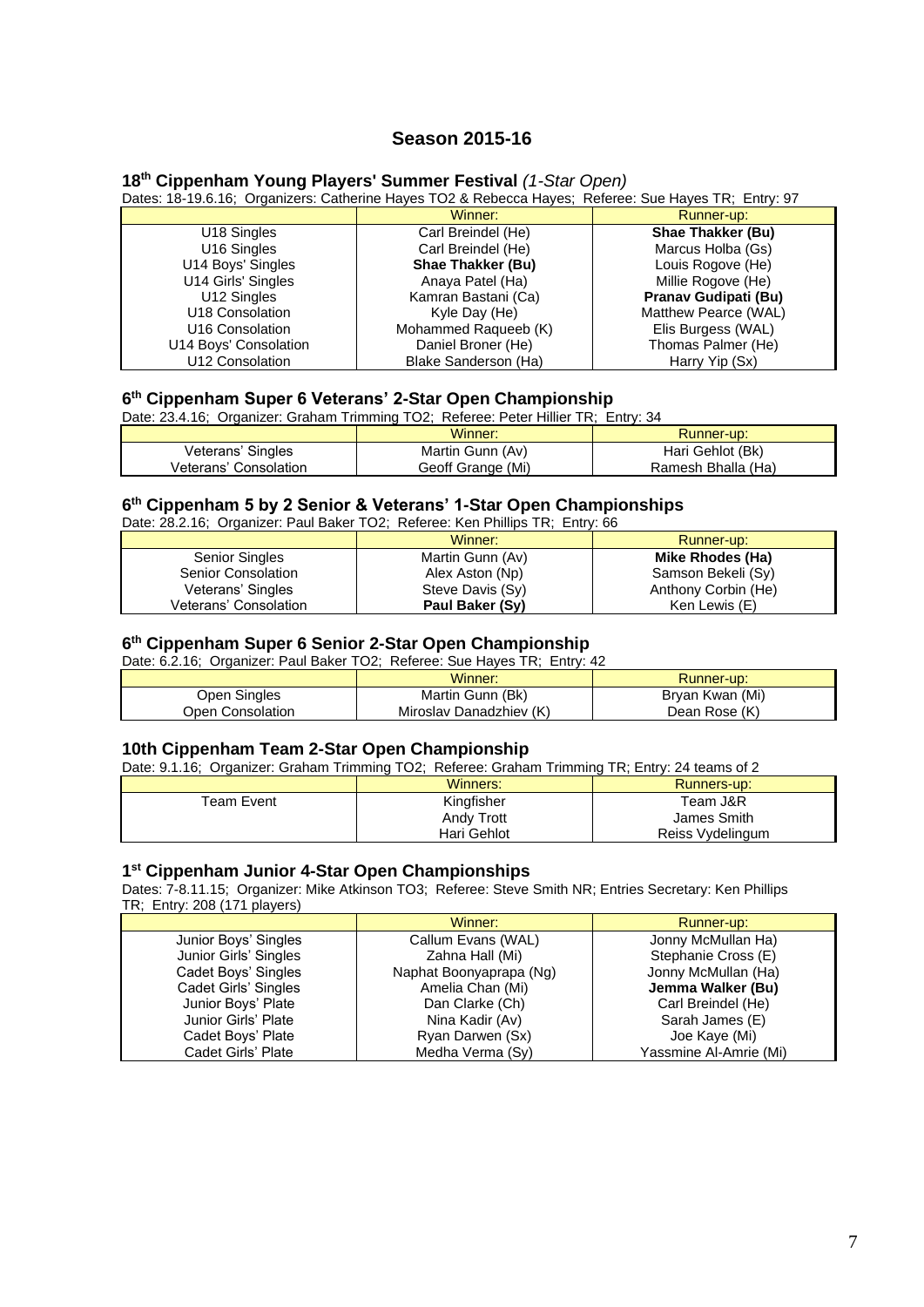# **Season 2015-16**

## **18th Cippenham Young Players' Summer Festival** *(1-Star Open)*

Dates: 18-19.6.16; Organizers: Catherine Hayes TO2 & Rebecca Hayes; Referee: Sue Hayes TR; Entry: 97

|                         | Winner:                  | Runner-up:               |
|-------------------------|--------------------------|--------------------------|
| U <sub>18</sub> Singles | Carl Breindel (He)       | <b>Shae Thakker (Bu)</b> |
| U <sub>16</sub> Singles | Carl Breindel (He)       | Marcus Holba (Gs)        |
| U14 Boys' Singles       | <b>Shae Thakker (Bu)</b> | Louis Rogove (He)        |
| U14 Girls' Singles      | Anaya Patel (Ha)         | Millie Rogove (He)       |
| U12 Singles             | Kamran Bastani (Ca)      | Pranav Gudipati (Bu)     |
| U18 Consolation         | Kyle Day (He)            | Matthew Pearce (WAL)     |
| U16 Consolation         | Mohammed Raqueeb (K)     | Elis Burgess (WAL)       |
| U14 Boys' Consolation   | Daniel Broner (He)       | Thomas Palmer (He)       |
| U12 Consolation         | Blake Sanderson (Ha)     | Harry Yip (Sx)           |

#### **6 th Cippenham Super 6 Veterans' 2-Star Open Championship**

Date: 23.4.16; Organizer: Graham Trimming TO2; Referee: Peter Hillier TR; Entry: 34

|                       | Winner:           | <b>Runner-up:</b>  |
|-----------------------|-------------------|--------------------|
| Veterans' Singles     | Martin Gunn (Av)  | Hari Gehlot (Bk)   |
| Veterans' Consolation | Geoff Grange (Mi) | Ramesh Bhalla (Ha) |

#### **6 th Cippenham 5 by 2 Senior & Veterans' 1-Star Open Championships**

Date: 28.2.16; Organizer: Paul Baker TO2; Referee: Ken Phillips TR; Entry: 66

|                       | Winner:          | Runner-up:          |
|-----------------------|------------------|---------------------|
| <b>Senior Singles</b> | Martin Gunn (Av) | Mike Rhodes (Ha)    |
| Senior Consolation    | Alex Aston (Np)  | Samson Bekeli (Sy)  |
| Veterans' Singles     | Steve Davis (Sy) | Anthony Corbin (He) |
| Veterans' Consolation | Paul Baker (Sy)  | Ken Lewis (E)       |

#### **6 th Cippenham Super 6 Senior 2-Star Open Championship**

Date: 6.2.16; Organizer: Paul Baker TO2; Referee: Sue Hayes TR; Entry: 42

|                  | Winner:                 | Runner-up:      |
|------------------|-------------------------|-----------------|
| Open Singles     | Martin Gunn (Bk)        | Bryan Kwan (Mi) |
| Open Consolation | Miroslav Danadzhiev (K) | Dean Rose (K)   |

#### **10th Cippenham Team 2-Star Open Championship**

Date: 9.1.16; Organizer: Graham Trimming TO2; Referee: Graham Trimming TR; Entry: 24 teams of 2

|            | Winners:    | Runners-up:      |
|------------|-------------|------------------|
| Team Event | Kingfisher  | Team J&R         |
|            | Andy Trott  | James Smith      |
|            | Hari Gehlot | Reiss Vydelingum |

#### **1 st Cippenham Junior 4-Star Open Championships**

Dates: 7-8.11.15; Organizer: Mike Atkinson TO3; Referee: Steve Smith NR; Entries Secretary: Ken Phillips TR; Entry: 208 (171 players)

|                       | Winner:                 | Runner-up:             |
|-----------------------|-------------------------|------------------------|
| Junior Boys' Singles  | Callum Evans (WAL)      | Jonny McMullan Ha)     |
| Junior Girls' Singles | Zahna Hall (Mi)         | Stephanie Cross (E)    |
| Cadet Boys' Singles   | Naphat Boonyaprapa (Ng) | Jonny McMullan (Ha)    |
| Cadet Girls' Singles  | Amelia Chan (Mi)        | Jemma Walker (Bu)      |
| Junior Boys' Plate    | Dan Clarke (Ch)         | Carl Breindel (He)     |
| Junior Girls' Plate   | Nina Kadir (Av)         | Sarah James (E)        |
| Cadet Boys' Plate     | Ryan Darwen (Sx)        | Joe Kaye (Mi)          |
| Cadet Girls' Plate    | Medha Verma (Sy)        | Yassmine Al-Amrie (Mi) |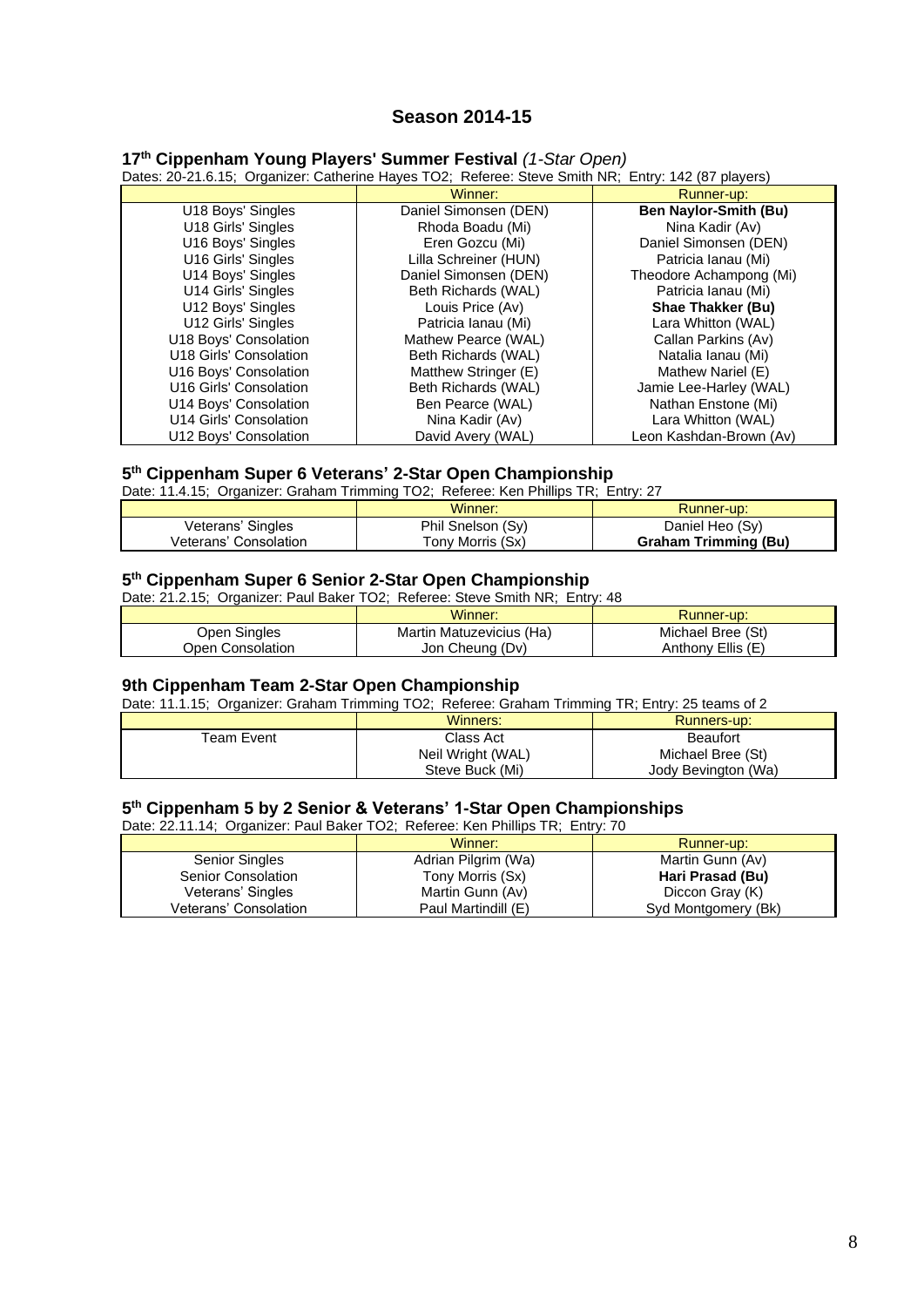# **Season 2014-15**

## **17th Cippenham Young Players' Summer Festival** *(1-Star Open)*

Dates: 20-21.6.15; Organizer: Catherine Hayes TO2; Referee: Steve Smith NR; Entry: 142 (87 players)

|                        | Winner:               | Runner-up:                   |
|------------------------|-----------------------|------------------------------|
| U18 Boys' Singles      | Daniel Simonsen (DEN) | <b>Ben Naylor-Smith (Bu)</b> |
| U18 Girls' Singles     | Rhoda Boadu (Mi)      | Nina Kadir (Av)              |
| U16 Boys' Singles      | Eren Gozcu (Mi)       | Daniel Simonsen (DEN)        |
| U16 Girls' Singles     | Lilla Schreiner (HUN) | Patricia Ianau (Mi)          |
| U14 Boys' Singles      | Daniel Simonsen (DEN) | Theodore Achampong (Mi)      |
| U14 Girls' Singles     | Beth Richards (WAL)   | Patricia Ianau (Mi)          |
| U12 Boys' Singles      | Louis Price (Av)      | <b>Shae Thakker (Bu)</b>     |
| U12 Girls' Singles     | Patricia Ianau (Mi)   | Lara Whitton (WAL)           |
| U18 Boys' Consolation  | Mathew Pearce (WAL)   | Callan Parkins (Av)          |
| U18 Girls' Consolation | Beth Richards (WAL)   | Natalia lanau (Mi)           |
| U16 Boys' Consolation  | Matthew Stringer (E)  | Mathew Nariel (E)            |
| U16 Girls' Consolation | Beth Richards (WAL)   | Jamie Lee-Harley (WAL)       |
| U14 Boys' Consolation  | Ben Pearce (WAL)      | Nathan Enstone (Mi)          |
| U14 Girls' Consolation | Nina Kadir (Av)       | Lara Whitton (WAL)           |
| U12 Boys' Consolation  | David Avery (WAL)     | Leon Kashdan-Brown (Av)      |

#### **5 th Cippenham Super 6 Veterans' 2-Star Open Championship**

Date: 11.4.15; Organizer: Graham Trimming TO2; Referee: Ken Phillips TR; Entry: 27

|                       | Winner:           | Runner-up:                  |
|-----------------------|-------------------|-----------------------------|
| Veterans' Singles     | Phil Snelson (Sy) | Daniel Heo (Sy)             |
| Veterans' Consolation | Tony Morris (Sx)  | <b>Graham Trimming (Bu)</b> |

#### **5 th Cippenham Super 6 Senior 2-Star Open Championship**

Date: 21.2.15; Organizer: Paul Baker TO2; Referee: Steve Smith NR; Entry: 48

|                  | Winner:                  | Runner-up:        |
|------------------|--------------------------|-------------------|
| Open Singles     | Martin Matuzevicius (Ha) | Michael Bree (St) |
| Open Consolation | Jon Cheung (Dv)          | Anthony Ellis (E) |

#### **9th Cippenham Team 2-Star Open Championship**

Date: 11.1.15; Organizer: Graham Trimming TO2; Referee: Graham Trimming TR; Entry: 25 teams of 2

| $-$ 0.000 $-$ 0.000 $-$ 0.000 $-$ 0.000 0.000 $-$ 0.000 0.000 0.000 0.000 0.000 0.000 0.000 0.000 0.000 0.000 0.000 0.000 0.000 0.000 0.000 0.000 0.000 0.000 0.000 0.000 0.000 0.000 0.000 0.000 0.000 0.000 0.000 0.000 0.0 |                   |                     |
|-------------------------------------------------------------------------------------------------------------------------------------------------------------------------------------------------------------------------------|-------------------|---------------------|
|                                                                                                                                                                                                                               | Winners:          | Runners-up:         |
| Team Event                                                                                                                                                                                                                    | Class Act         | <b>Beaufort</b>     |
|                                                                                                                                                                                                                               | Neil Wright (WAL) | Michael Bree (St)   |
|                                                                                                                                                                                                                               | Steve Buck (Mi)   | Jody Bevington (Wa) |

## **5 th Cippenham 5 by 2 Senior & Veterans' 1-Star Open Championships**

Date: 22.11.14; Organizer: Paul Baker TO2; Referee: Ken Phillips TR; Entry: 70

|                       | Winner:             | Runner-up:          |
|-----------------------|---------------------|---------------------|
| <b>Senior Singles</b> | Adrian Pilgrim (Wa) | Martin Gunn (Av)    |
| Senior Consolation    | Tony Morris (Sx)    | Hari Prasad (Bu)    |
| Veterans' Singles     | Martin Gunn (Av)    | Diccon Gray (K)     |
| Veterans' Consolation | Paul Martindill (E) | Syd Montgomery (Bk) |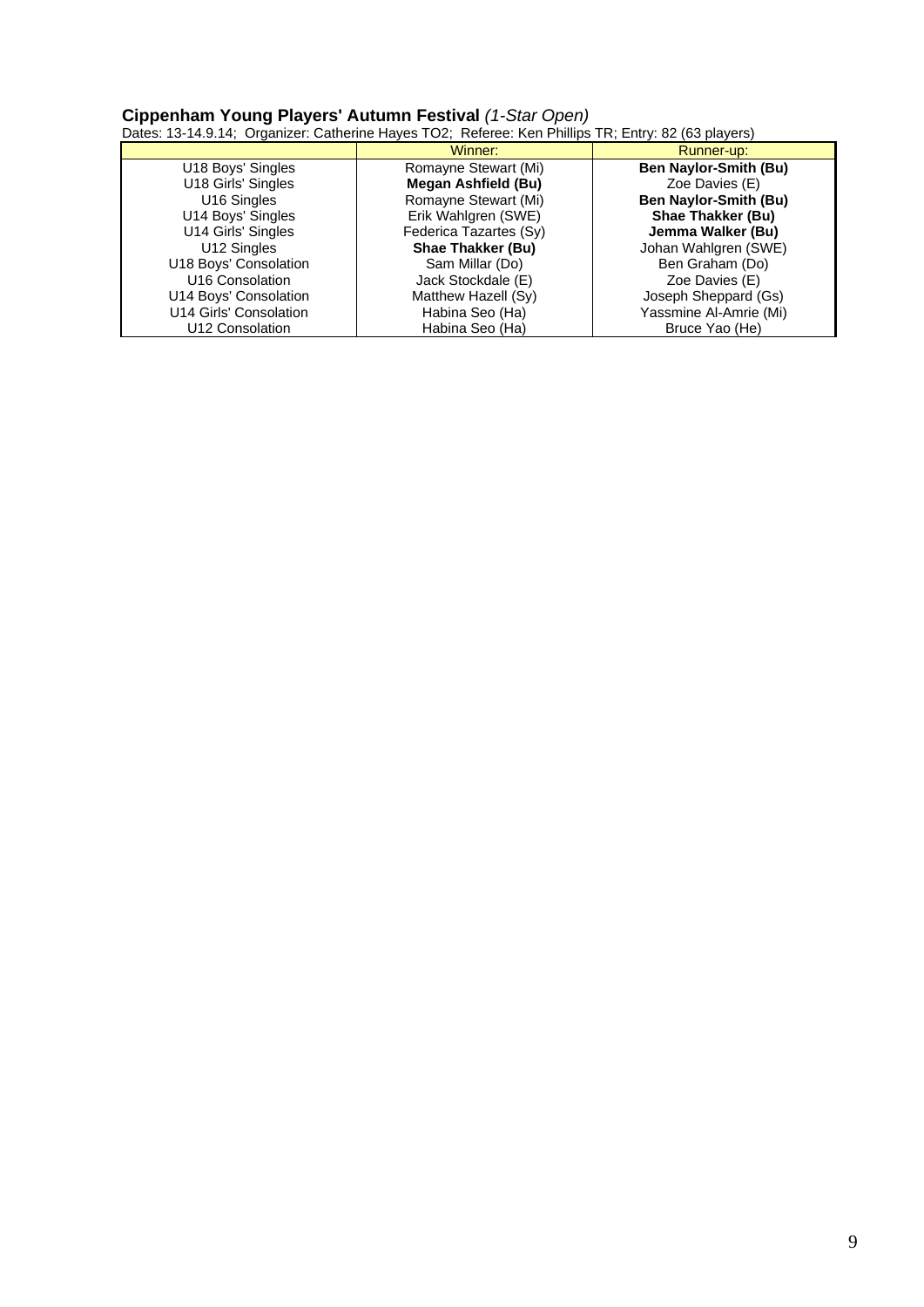#### **Cippenham Young Players' Autumn Festival** *(1-Star Open)*

Dates: 13-14.9.14; Organizer: Catherine Hayes TO2; Referee: Ken Phillips TR; Entry: 82 (63 players)

|                         | Winner:                  | Runner-up:                   |
|-------------------------|--------------------------|------------------------------|
| U18 Boys' Singles       | Romayne Stewart (Mi)     | <b>Ben Naylor-Smith (Bu)</b> |
| U18 Girls' Singles      | Megan Ashfield (Bu)      | Zoe Davies (E)               |
| U <sub>16</sub> Singles | Romayne Stewart (Mi)     | <b>Ben Naylor-Smith (Bu)</b> |
| U14 Boys' Singles       | Erik Wahlgren (SWE)      | Shae Thakker (Bu)            |
| U14 Girls' Singles      | Federica Tazartes (Sy)   | Jemma Walker (Bu)            |
| U12 Singles             | <b>Shae Thakker (Bu)</b> | Johan Wahlgren (SWE)         |
| U18 Boys' Consolation   | Sam Millar (Do)          | Ben Graham (Do)              |
| U16 Consolation         | Jack Stockdale (E)       | Zoe Davies (E)               |
| U14 Boys' Consolation   | Matthew Hazell (Sy)      | Joseph Sheppard (Gs)         |
| U14 Girls' Consolation  | Habina Seo (Ha)          | Yassmine Al-Amrie (Mi)       |
| U12 Consolation         | Habina Seo (Ha)          | Bruce Yao (He)               |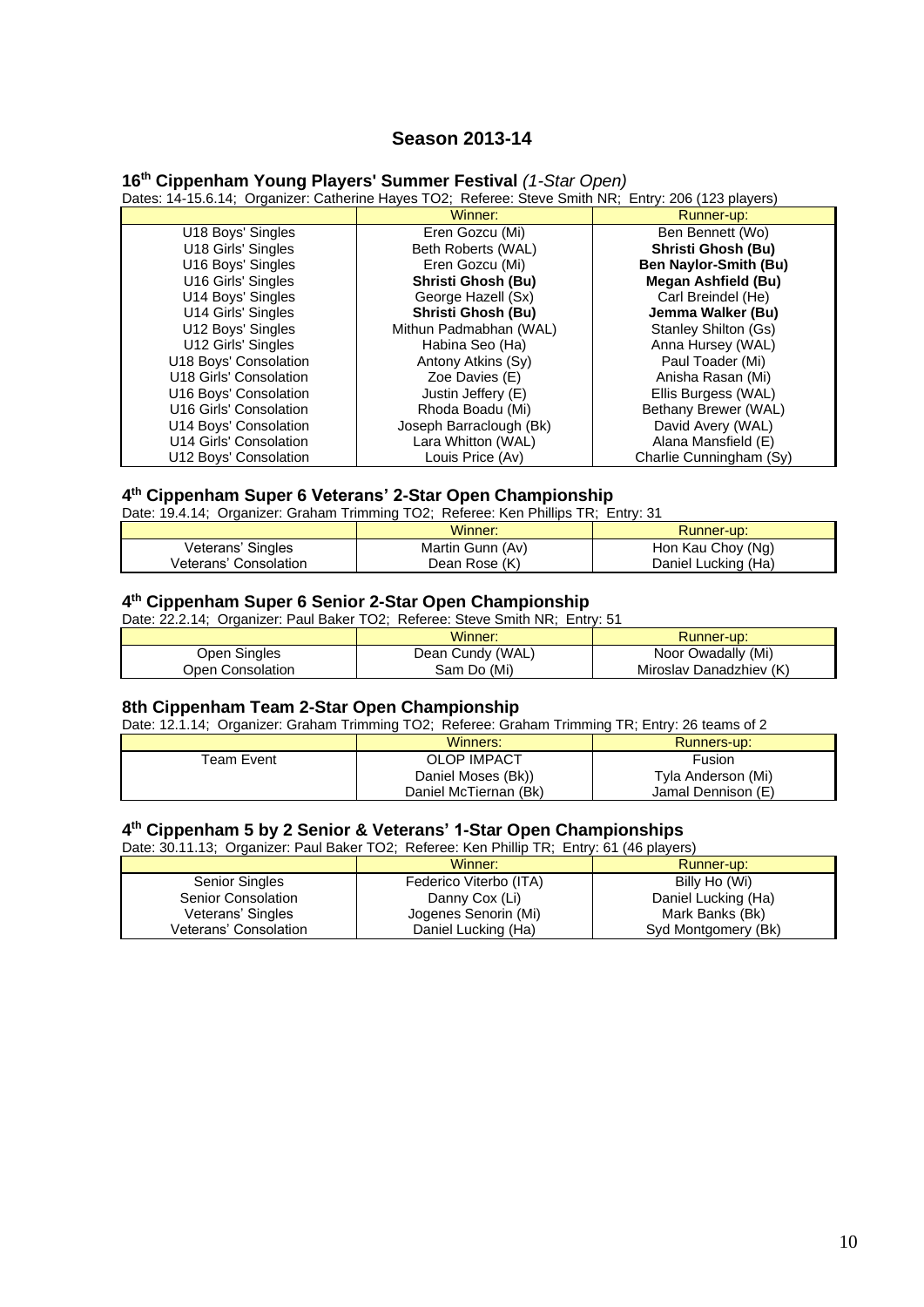# **Season 2013-14**

# **16th Cippenham Young Players' Summer Festival** *(1-Star Open)*

| Dates: 14-15.6.14; Organizer: Catherine Hayes TO2; Referee: Steve Smith NR; Entry: 206 (123 players) |                         |                              |
|------------------------------------------------------------------------------------------------------|-------------------------|------------------------------|
|                                                                                                      | Winner:                 | Runner-up:                   |
| U18 Boys' Singles                                                                                    | Eren Gozcu (Mi)         | Ben Bennett (Wo)             |
| U18 Girls' Singles                                                                                   | Beth Roberts (WAL)      | <b>Shristi Ghosh (Bu)</b>    |
| U16 Boys' Singles                                                                                    | Eren Gozcu (Mi)         | <b>Ben Naylor-Smith (Bu)</b> |
| U16 Girls' Singles                                                                                   | Shristi Ghosh (Bu)      | Megan Ashfield (Bu)          |
| U14 Boys' Singles                                                                                    | George Hazell (Sx)      | Carl Breindel (He)           |
| U14 Girls' Singles                                                                                   | Shristi Ghosh (Bu)      | Jemma Walker (Bu)            |
| U12 Boys' Singles                                                                                    | Mithun Padmabhan (WAL)  | Stanley Shilton (Gs)         |
| U12 Girls' Singles                                                                                   | Habina Seo (Ha)         | Anna Hursey (WAL)            |
| U18 Boys' Consolation                                                                                | Antony Atkins (Sy)      | Paul Toader (Mi)             |
| U18 Girls' Consolation                                                                               | Zoe Davies (E)          | Anisha Rasan (Mi)            |
| U16 Boys' Consolation                                                                                | Justin Jeffery (E)      | Ellis Burgess (WAL)          |
| U16 Girls' Consolation                                                                               | Rhoda Boadu (Mi)        | Bethany Brewer (WAL)         |
| U14 Boys' Consolation                                                                                | Joseph Barraclough (Bk) | David Avery (WAL)            |
| U14 Girls' Consolation                                                                               | Lara Whitton (WAL)      | Alana Mansfield (E)          |
| U12 Boys' Consolation                                                                                | Louis Price (Av)        | Charlie Cunningham (Sy)      |

# **4 th Cippenham Super 6 Veterans' 2-Star Open Championship**

Date: 19.4.14; Organizer: Graham Trimming TO2; Referee: Ken Phillips TR; Entry: 31

|                       | Winner:          | Runner-up:          |
|-----------------------|------------------|---------------------|
| Veterans' Singles     | Martin Gunn (Av) | Hon Kau Choy (Ng)   |
| Veterans' Consolation | Dean Rose (K)    | Daniel Lucking (Ha) |

#### **4 th Cippenham Super 6 Senior 2-Star Open Championship**

Date: 22.2.14; Organizer: Paul Baker TO2; Referee: Steve Smith NR; Entry: 51

|                  | Winner:          | <b>Runner-up:</b>       |
|------------------|------------------|-------------------------|
| Open Singles     | Dean Cundy (WAL) | Noor Owadally (Mi)      |
| Open Consolation | Sam Do (Mi)      | Miroslav Danadzhiev (K) |

# **8th Cippenham Team 2-Star Open Championship**

Date: 12.1.14; Organizer: Graham Trimming TO2; Referee: Graham Trimming TR; Entry: 26 teams of 2

|                        | Winners:              | Runners-up:        |
|------------------------|-----------------------|--------------------|
| <sup>r</sup> eam Event | <b>OLOP IMPACT</b>    | Fusion             |
|                        | Daniel Moses (Bk))    | Tyla Anderson (Mi) |
|                        | Daniel McTiernan (Bk) | Jamal Dennison (E) |

#### **4 th Cippenham 5 by 2 Senior & Veterans' 1-Star Open Championships**

Date: 30.11.13; Organizer: Paul Baker TO2; Referee: Ken Phillip TR; Entry: 61 (46 players)

|                       | Winner:                | Runner-up:          |
|-----------------------|------------------------|---------------------|
| <b>Senior Singles</b> | Federico Viterbo (ITA) | Billy Ho (Wi)       |
| Senior Consolation    | Danny Cox (Li)         | Daniel Lucking (Ha) |
| Veterans' Singles     | Jogenes Senorin (Mi)   | Mark Banks (Bk)     |
| Veterans' Consolation | Daniel Lucking (Ha)    | Syd Montgomery (Bk) |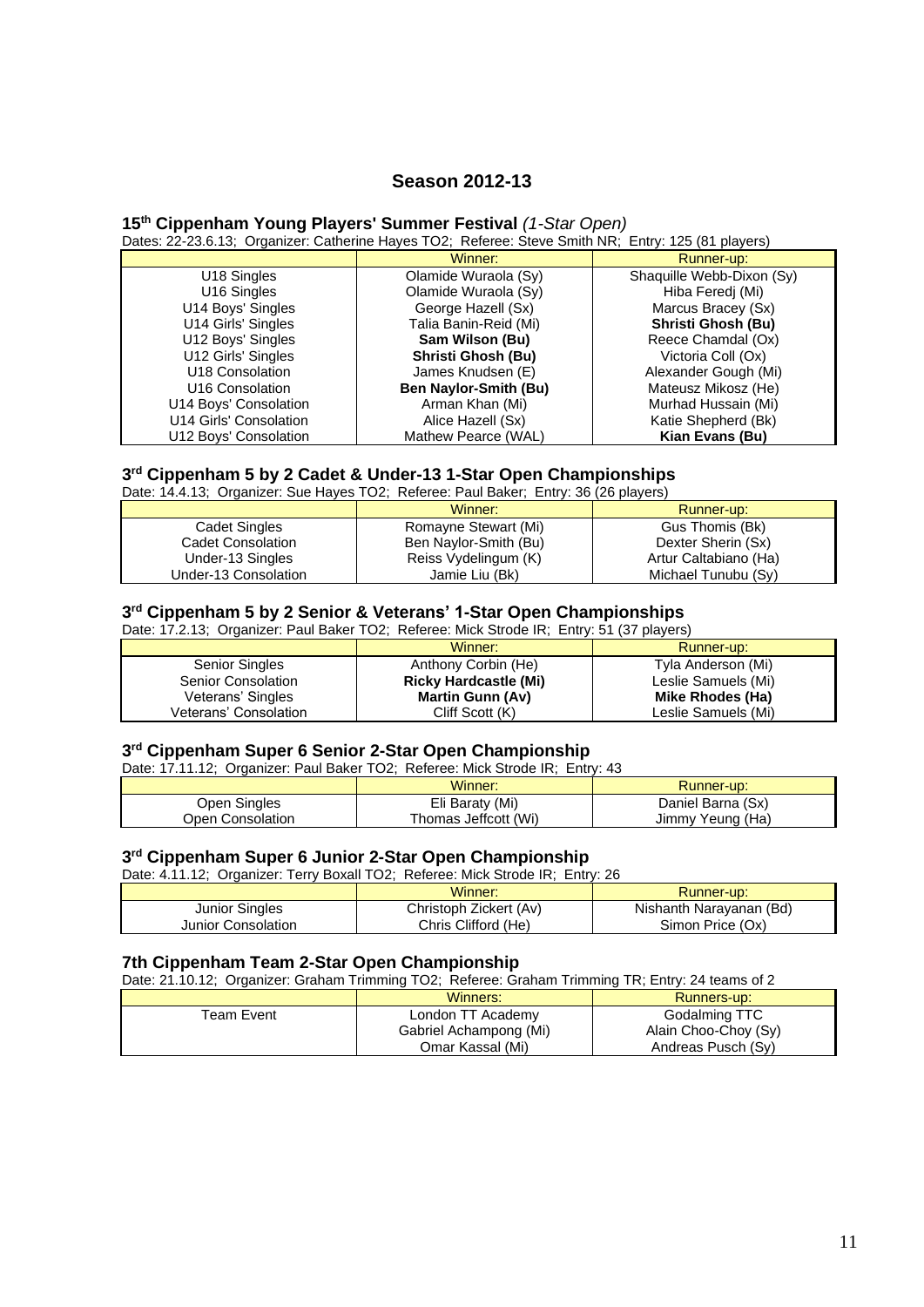# **Season 2012-13**

# **15th Cippenham Young Players' Summer Festival** *(1-Star Open)*

Dates: 22-23.6.13; Organizer: Catherine Hayes TO2; Referee: Steve Smith NR; Entry: 125 (81 players)

|                         | Winner:                      | Runner-up:                |
|-------------------------|------------------------------|---------------------------|
| U18 Singles             | Olamide Wuraola (Sy)         | Shaquille Webb-Dixon (Sy) |
| U <sub>16</sub> Singles | Olamide Wuraola (Sy)         | Hiba Feredj (Mi)          |
| U14 Boys' Singles       | George Hazell (Sx)           | Marcus Bracey (Sx)        |
| U14 Girls' Singles      | Talia Banin-Reid (Mi)        | Shristi Ghosh (Bu)        |
| U12 Boys' Singles       | Sam Wilson (Bu)              | Reece Chamdal (Ox)        |
| U12 Girls' Singles      | Shristi Ghosh (Bu)           | Victoria Coll (Ox)        |
| U18 Consolation         | James Knudsen (E)            | Alexander Gough (Mi)      |
| U16 Consolation         | <b>Ben Naylor-Smith (Bu)</b> | Mateusz Mikosz (He)       |
| U14 Boys' Consolation   | Arman Khan (Mi)              | Murhad Hussain (Mi)       |
| U14 Girls' Consolation  | Alice Hazell (Sx)            | Katie Shepherd (Bk)       |
| U12 Boys' Consolation   | Mathew Pearce (WAL)          | Kian Evans (Bu)           |

# **3 rd Cippenham 5 by 2 Cadet & Under-13 1-Star Open Championships**

Date: 14.4.13; Organizer: Sue Hayes TO2; Referee: Paul Baker; Entry: 36 (26 players)

|                      | Winner:               | Runner-up:            |
|----------------------|-----------------------|-----------------------|
| Cadet Singles        | Romayne Stewart (Mi)  | Gus Thomis (Bk)       |
| Cadet Consolation    | Ben Naylor-Smith (Bu) | Dexter Sherin (Sx)    |
| Under-13 Singles     | Reiss Vydelingum (K)  | Artur Caltabiano (Ha) |
| Under-13 Consolation | Jamie Liu (Bk)        | Michael Tunubu (Sy)   |

# **3 rd Cippenham 5 by 2 Senior & Veterans' 1-Star Open Championships**

Date: 17.2.13; Organizer: Paul Baker TO2; Referee: Mick Strode IR; Entry: 51 (37 players)

|                       | Winner:                      | Runner-up:          |
|-----------------------|------------------------------|---------------------|
| Senior Singles        | Anthony Corbin (He)          | Tyla Anderson (Mi)  |
| Senior Consolation    | <b>Ricky Hardcastle (Mi)</b> | Leslie Samuels (Mi) |
| Veterans' Singles     | <b>Martin Gunn (Av)</b>      | Mike Rhodes (Ha)    |
| Veterans' Consolation | Cliff Scott (K)              | Leslie Samuels (Mi) |

#### **3 rd Cippenham Super 6 Senior 2-Star Open Championship**

Date: 17.11.12; Organizer: Paul Baker TO2; Referee: Mick Strode IR; Entry: 43

|                  | Winner:              | Runner-up:        |
|------------------|----------------------|-------------------|
| Open Singles     | Eli Baraty (Mi)      | Daniel Barna (Sx) |
| Open Consolation | Thomas Jeffcott (Wi) | Jimmy Yeung (Ha)  |

#### **3 rd Cippenham Super 6 Junior 2-Star Open Championship**

Date: 4.11.12; Organizer: Terry Boxall TO2; Referee: Mick Strode IR; Entry: 26

|                    | Winner:                | Runner-up:              |
|--------------------|------------------------|-------------------------|
| Junior Singles     | Christoph Zickert (Av) | Nishanth Narayanan (Bd) |
| Junior Consolation | Chris Clifford (He)    | Simon Price (Ox)        |

#### **7th Cippenham Team 2-Star Open Championship**

Date: 21.10.12; Organizer: Graham Trimming TO2; Referee: Graham Trimming TR; Entry: 24 teams of 2

|             | Winners:               | Runners-up:          |
|-------------|------------------------|----------------------|
| Team Event. | London TT Academy      | Godalming TTC        |
|             | Gabriel Achampong (Mi) | Alain Choo-Choy (Sy) |
|             | Omar Kassal (Mi)       | Andreas Pusch (Sy)   |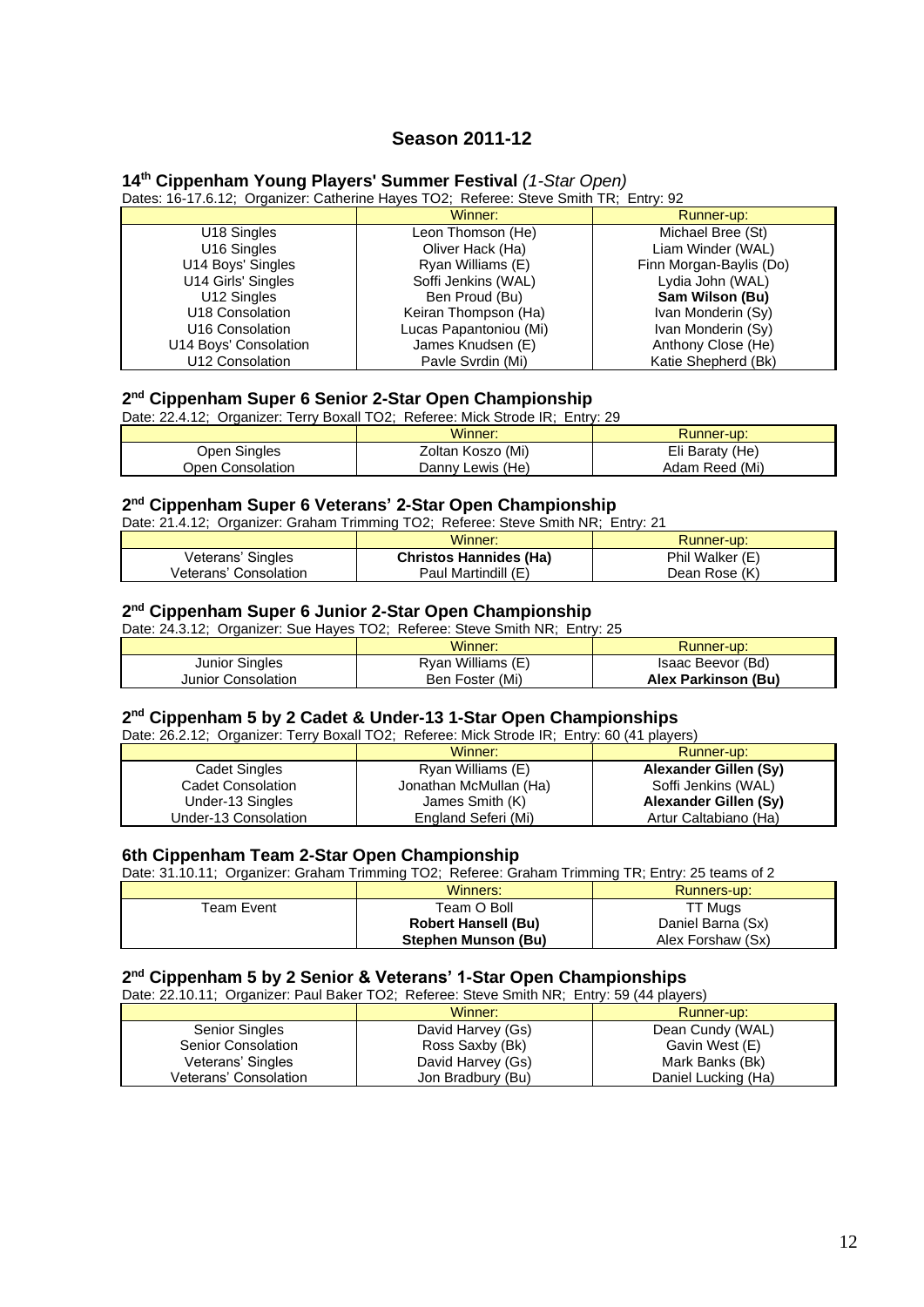# **Season 2011-12**

## **14 th Cippenham Young Players' Summer Festival** *(1-Star Open)*

Dates: 16-17.6.12; Organizer: Catherine Hayes TO2; Referee: Steve Smith TR; Entry: 92

|                         | Winner:                | Runner-up:              |
|-------------------------|------------------------|-------------------------|
| U <sub>18</sub> Singles | Leon Thomson (He)      | Michael Bree (St)       |
| U <sub>16</sub> Singles | Oliver Hack (Ha)       | Liam Winder (WAL)       |
| U14 Boys' Singles       | Ryan Williams (E)      | Finn Morgan-Baylis (Do) |
| U14 Girls' Singles      | Soffi Jenkins (WAL)    | Lydia John (WAL)        |
| U12 Singles             | Ben Proud (Bu)         | Sam Wilson (Bu)         |
| U18 Consolation         | Keiran Thompson (Ha)   | Ivan Monderin (Sy)      |
| U16 Consolation         | Lucas Papantoniou (Mi) | Ivan Monderin (Sy)      |
| U14 Boys' Consolation   | James Knudsen (E)      | Anthony Close (He)      |
| U12 Consolation         | Pavle Svrdin (Mi)      | Katie Shepherd (Bk)     |

### **2 nd Cippenham Super 6 Senior 2-Star Open Championship**

Date: 22.4.12; Organizer: Terry Boxall TO2; Referee: Mick Strode IR; Entry: 29

|                  | Winner:           | Runner-up:      |
|------------------|-------------------|-----------------|
| Open Singles     | Zoltan Koszo (Mi) | Eli Baraty (He) |
| Open Consolation | Danny Lewis (He)  | Adam Reed (Mi)  |

### **2 nd Cippenham Super 6 Veterans' 2-Star Open Championship**

Date: 21.4.12; Organizer: Graham Trimming TO2; Referee: Steve Smith NR; Entry: 21

|                       | Winner:                       | Runner-up:      |
|-----------------------|-------------------------------|-----------------|
| Veterans' Singles     | <b>Christos Hannides (Ha)</b> | Phil Walker (E) |
| Veterans' Consolation | Paul Martindill (E)           | Dean Rose (K)   |

### **2 nd Cippenham Super 6 Junior 2-Star Open Championship**

| Date: 24.3.12; Organizer: Sue Hayes TO2; Referee: Steve Smith NR; Entry: 25 |                   |                     |  |
|-----------------------------------------------------------------------------|-------------------|---------------------|--|
| Winner:<br>Runner-up:                                                       |                   |                     |  |
| Junior Singles                                                              | Ryan Williams (E) | Isaac Beevor (Bd)   |  |
| Junior Consolation                                                          | Ben Foster (Mi)   | Alex Parkinson (Bu) |  |

### **2 nd Cippenham 5 by 2 Cadet & Under-13 1-Star Open Championships**

Date: 26.2.12; Organizer: Terry Boxall TO2; Referee: Mick Strode IR; Entry: 60 (41 players)

|                      | Winner:                | Runner-up:            |
|----------------------|------------------------|-----------------------|
| Cadet Singles        | Ryan Williams (E)      | Alexander Gillen (Sy) |
| Cadet Consolation    | Jonathan McMullan (Ha) | Soffi Jenkins (WAL)   |
| Under-13 Singles     | James Smith (K)        | Alexander Gillen (Sy) |
| Under-13 Consolation | England Seferi (Mi)    | Artur Caltabiano (Ha) |

### **6th Cippenham Team 2-Star Open Championship**

Date: 31.10.11; Organizer: Graham Trimming TO2; Referee: Graham Trimming TR; Entry: 25 teams of 2

|            | Winners:                   | Runners-up:       |
|------------|----------------------------|-------------------|
| Team Event | Team O Boll                | TT Muas           |
|            | <b>Robert Hansell (Bu)</b> | Daniel Barna (Sx) |
|            | Stephen Munson (Bu)        | Alex Forshaw (Sx) |

# **2 nd Cippenham 5 by 2 Senior & Veterans' 1-Star Open Championships**

Date: 22.10.11; Organizer: Paul Baker TO2; Referee: Steve Smith NR; Entry: 59 (44 players)

| $P(x, y, z) = P(x, y, z) + P(x, y, z) + P(x, y, z) + P(x, y, z) + P(x, y, z)$ |  |                   |                     |
|-------------------------------------------------------------------------------|--|-------------------|---------------------|
|                                                                               |  | Winner:           | Runner-up:          |
| <b>Senior Singles</b>                                                         |  | David Harvey (Gs) | Dean Cundy (WAL)    |
| Senior Consolation                                                            |  | Ross Saxby (Bk)   | Gavin West (E)      |
| Veterans' Singles                                                             |  | David Harvey (Gs) | Mark Banks (Bk)     |
| Veterans' Consolation                                                         |  | Jon Bradbury (Bu) | Daniel Lucking (Ha) |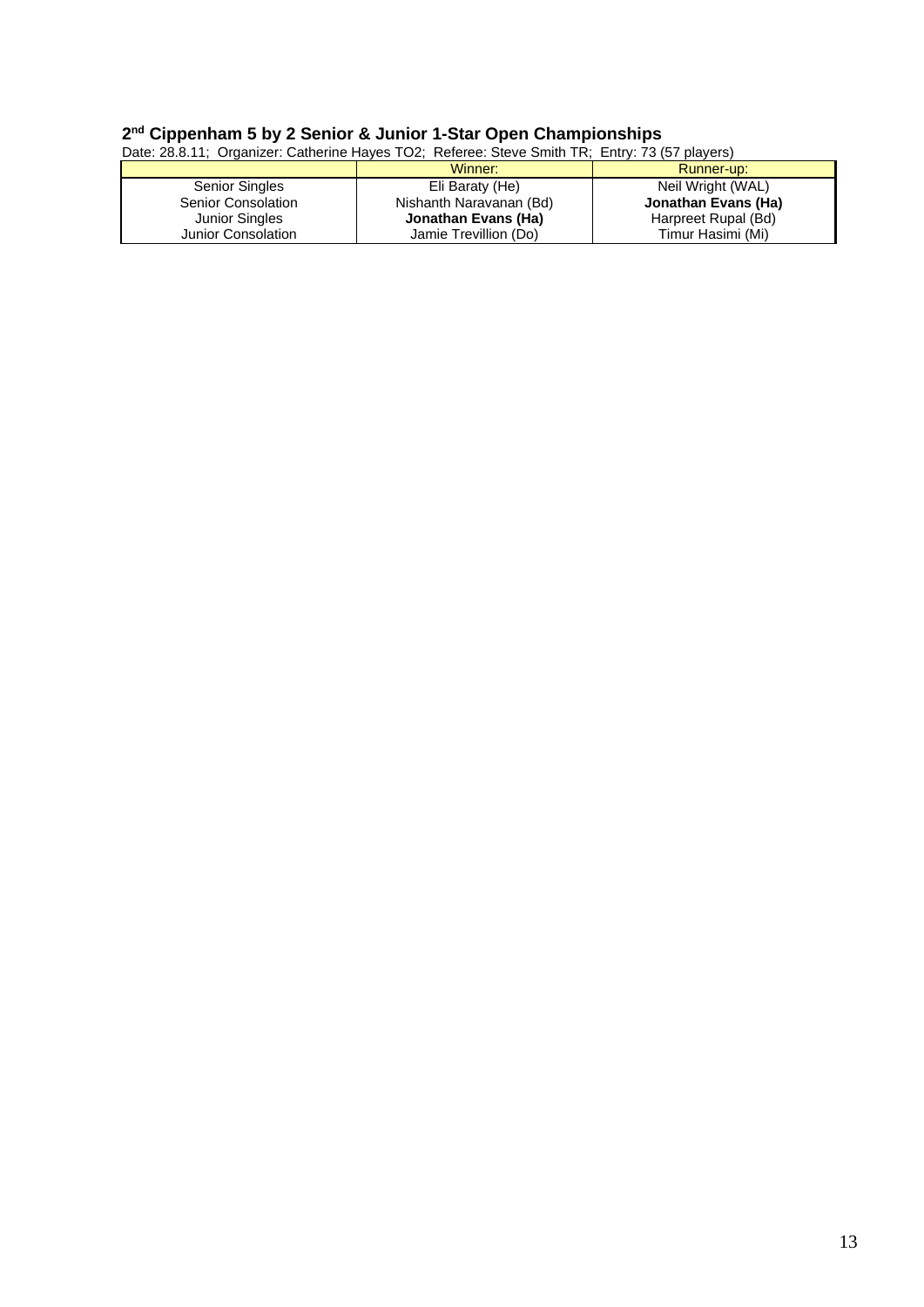# **2 nd Cippenham 5 by 2 Senior & Junior 1-Star Open Championships**

| Date: 28.8.11; Organizer: Catherine Hayes TO2; Referee: Steve Smith TR; Entry: 73 (57 players) |                       |                         |                     |
|------------------------------------------------------------------------------------------------|-----------------------|-------------------------|---------------------|
|                                                                                                |                       | Winner:                 | Runner-up:          |
|                                                                                                | <b>Senior Singles</b> | Eli Baraty (He)         | Neil Wright (WAL)   |
|                                                                                                | Senior Consolation    | Nishanth Naravanan (Bd) | Jonathan Evans (Ha) |
|                                                                                                | <b>Junior Singles</b> | Jonathan Evans (Ha)     | Harpreet Rupal (Bd) |
|                                                                                                | Junior Consolation    | Jamie Trevillion (Do)   | Timur Hasimi (Mi)   |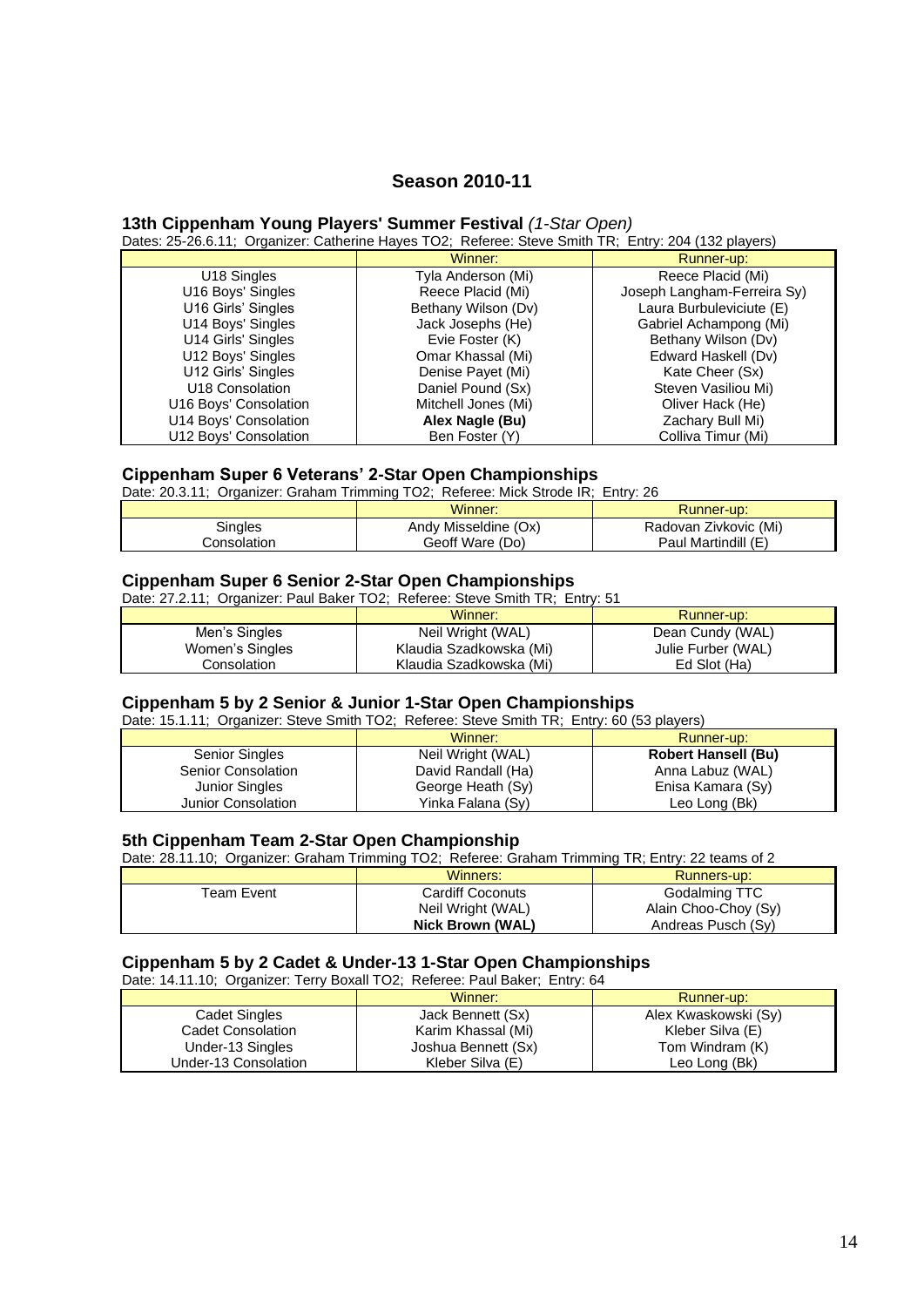# **Season 2010-11**

#### **13th Cippenham Young Players' Summer Festival** *(1-Star Open)*

Dates: 25-26.6.11; Organizer: Catherine Hayes TO2; Referee: Steve Smith TR; Entry: 204 (132 players)

|                       | Winner:             | Runner-up:                  |
|-----------------------|---------------------|-----------------------------|
| U18 Singles           | Tyla Anderson (Mi)  | Reece Placid (Mi)           |
| U16 Boys' Singles     | Reece Placid (Mi)   | Joseph Langham-Ferreira Sy) |
| U16 Girls' Singles    | Bethany Wilson (Dv) | Laura Burbuleviciute (E)    |
| U14 Boys' Singles     | Jack Josephs (He)   | Gabriel Achampong (Mi)      |
| U14 Girls' Singles    | Evie Foster (K)     | Bethany Wilson (Dv)         |
| U12 Boys' Singles     | Omar Khassal (Mi)   | Edward Haskell (Dv)         |
| U12 Girls' Singles    | Denise Payet (Mi)   | Kate Cheer (Sx)             |
| U18 Consolation       | Daniel Pound (Sx)   | Steven Vasiliou Mi)         |
| U16 Boys' Consolation | Mitchell Jones (Mi) | Oliver Hack (He)            |
| U14 Boys' Consolation | Alex Nagle (Bu)     | Zachary Bull Mi)            |
| U12 Bovs' Consolation | Ben Foster (Y)      | Colliva Timur (Mi)          |

#### **Cippenham Super 6 Veterans' 2-Star Open Championships**

Date: 20.3.11; Organizer: Graham Trimming TO2; Referee: Mick Strode IR; Entry: 26

|                    | Winner:              | <b>Runner-up:</b>     |
|--------------------|----------------------|-----------------------|
| Singles            | Andy Misseldine (Ox) | Radovan Zivkovic (Mi) |
| <b>Consolation</b> | Geoff Ware (Do)      | Paul Martindill (E)   |

#### **Cippenham Super 6 Senior 2-Star Open Championships**

Date: 27.2.11; Organizer: Paul Baker TO2; Referee: Steve Smith TR; Entry: 51

|                 | Winner:                 | Runner-up:         |
|-----------------|-------------------------|--------------------|
| Men's Singles   | Neil Wright (WAL)       | Dean Cundy (WAL)   |
| Women's Singles | Klaudia Szadkowska (Mi) | Julie Furber (WAL) |
| Consolation     | Klaudia Szadkowska (Mi) | Ed Slot (Ha)       |

#### **Cippenham 5 by 2 Senior & Junior 1-Star Open Championships**

Date: 15.1.11; Organizer: Steve Smith TO2; Referee: Steve Smith TR; Entry: 60 (53 players)

|                       | Winner:            | Runner-up:                 |
|-----------------------|--------------------|----------------------------|
| Senior Singles        | Neil Wright (WAL)  | <b>Robert Hansell (Bu)</b> |
| Senior Consolation    | David Randall (Ha) | Anna Labuz (WAL)           |
| <b>Junior Singles</b> | George Heath (Sy)  | Enisa Kamara (Sy)          |
| Junior Consolation    | Yinka Falana (Sy)  | Leo Long (Bk)              |

#### **5th Cippenham Team 2-Star Open Championship**

Date: 28.11.10; Organizer: Graham Trimming TO2; Referee: Graham Trimming TR; Entry: 22 teams of 2

|            | Winners:                | Runners-up:          |
|------------|-------------------------|----------------------|
| Team Event | <b>Cardiff Coconuts</b> | Godalming TTC        |
|            | Neil Wright (WAL)       | Alain Choo-Choy (Sy) |
|            | Nick Brown (WAL)        | Andreas Pusch (Sy)   |

#### **Cippenham 5 by 2 Cadet & Under-13 1-Star Open Championships**

Date: 14.11.10; Organizer: Terry Boxall TO2; Referee: Paul Baker; Entry: 64

|                      | Winner:             | Runner-up:           |
|----------------------|---------------------|----------------------|
| <b>Cadet Singles</b> | Jack Bennett (Sx)   | Alex Kwaskowski (Sy) |
| Cadet Consolation    | Karim Khassal (Mi)  | Kleber Silva (E)     |
| Under-13 Singles     | Joshua Bennett (Sx) | Tom Windram (K)      |
| Under-13 Consolation | Kleber Silva (E)    | Leo Long (Bk)        |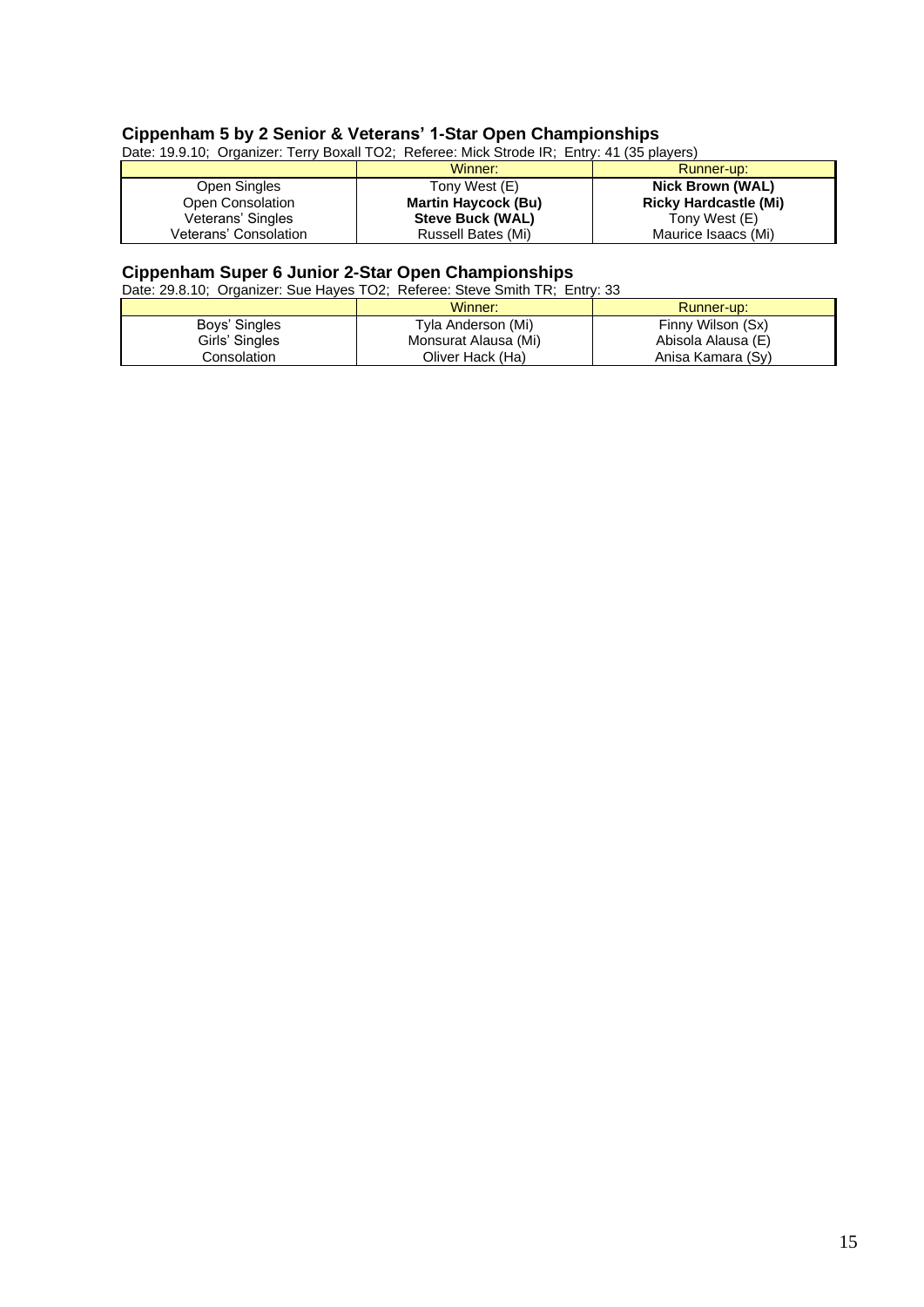# **Cippenham 5 by 2 Senior & Veterans' 1-Star Open Championships**

| Date: 19.9.10; Organizer: Terry Boxall TO2; Referee: Mick Strode IR; Entry: 41 (35 players) |                            |                              |
|---------------------------------------------------------------------------------------------|----------------------------|------------------------------|
|                                                                                             | Winner:                    | Runner-up:                   |
| Open Singles                                                                                | Tony West (E)              | <b>Nick Brown (WAL)</b>      |
| Open Consolation                                                                            | <b>Martin Haycock (Bu)</b> | <b>Ricky Hardcastle (Mi)</b> |
| Veterans' Singles                                                                           | <b>Steve Buck (WAL)</b>    | Tony West (E)                |
| Veterans' Consolation                                                                       | Russell Bates (Mi)         | Maurice Isaacs (Mi)          |

#### **Cippenham Super 6 Junior 2-Star Open Championships**

Date: 29.8.10; Organizer: Sue Hayes TO2; Referee: Steve Smith TR; Entry: 33

|                | Winner:              | Runner-up:         |
|----------------|----------------------|--------------------|
| Boys' Singles  | Tyla Anderson (Mi)   | Finny Wilson (Sx)  |
| Girls' Singles | Monsurat Alausa (Mi) | Abisola Alausa (E) |
| Consolation    | Oliver Hack (Ha)     | Anisa Kamara (Sy)  |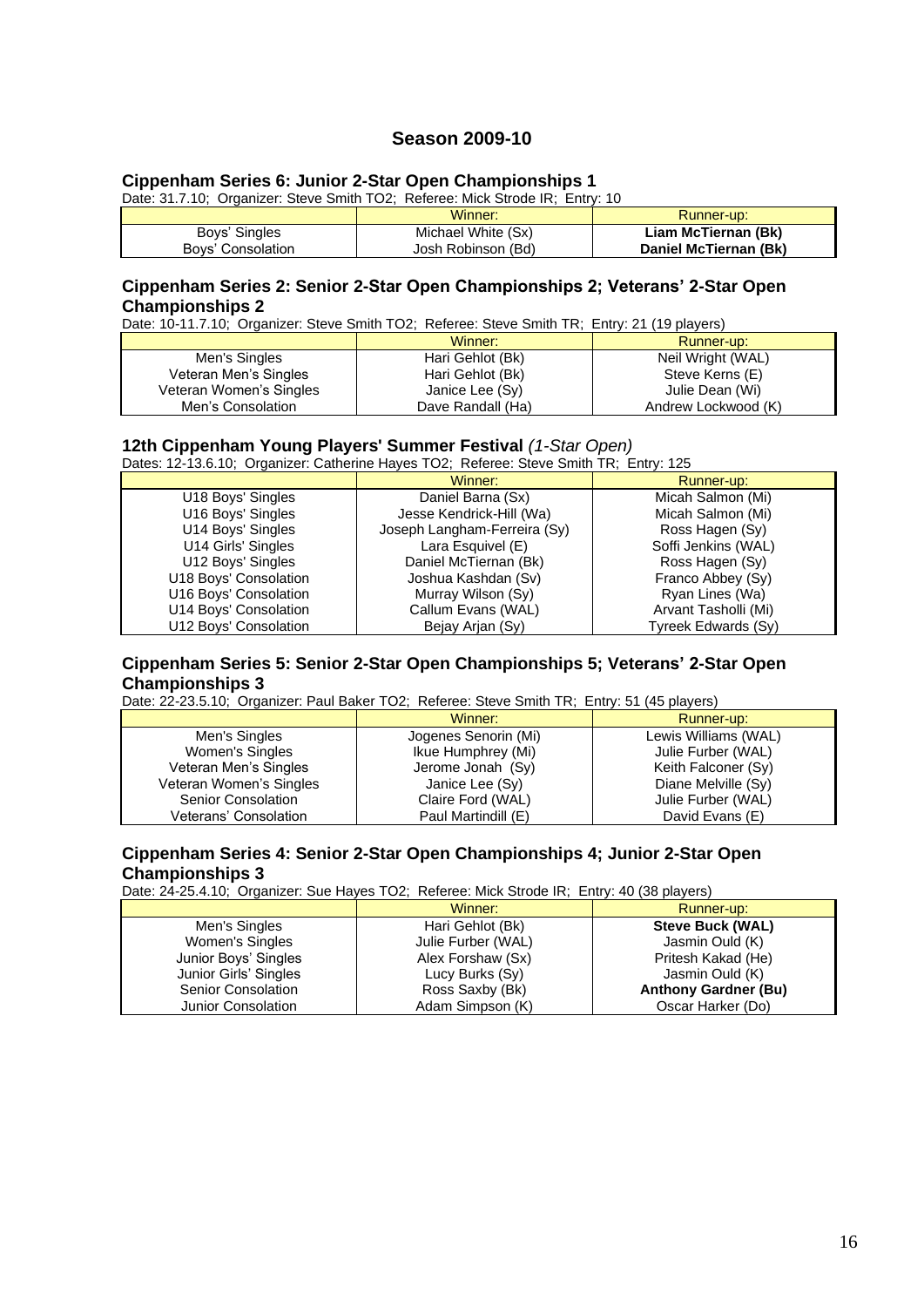# **Season 2009-10**

# **Cippenham Series 6: Junior 2-Star Open Championships 1**

Date: 31.7.10; Organizer: Steve Smith TO2; Referee: Mick Strode IR; Entry: 10

|                   | Winner:            | Runner-up:            |
|-------------------|--------------------|-----------------------|
| Boys' Singles     | Michael White (Sx) | Liam McTiernan (Bk)   |
| Boys' Consolation | Josh Robinson (Bd) | Daniel McTiernan (Bk) |

# **Cippenham Series 2: Senior 2-Star Open Championships 2; Veterans' 2-Star Open Championships 2**

Date: 10-11.7.10; Organizer: Steve Smith TO2; Referee: Steve Smith TR; Entry: 21 (19 players)

|                         | Winner:           | Runner-up:          |
|-------------------------|-------------------|---------------------|
| Men's Singles           | Hari Gehlot (Bk)  | Neil Wright (WAL)   |
| Veteran Men's Singles   | Hari Gehlot (Bk)  | Steve Kerns (E)     |
| Veteran Women's Singles | Janice Lee (Sy)   | Julie Dean (Wi)     |
| Men's Consolation       | Dave Randall (Ha) | Andrew Lockwood (K) |

# **12th Cippenham Young Players' Summer Festival** *(1-Star Open)*

Dates: 12-13.6.10; Organizer: Catherine Hayes TO2; Referee: Steve Smith TR; Entry: 125

|                       | Winner:                      | Runner-up:           |
|-----------------------|------------------------------|----------------------|
| U18 Boys' Singles     | Daniel Barna (Sx)            | Micah Salmon (Mi)    |
| U16 Boys' Singles     | Jesse Kendrick-Hill (Wa)     | Micah Salmon (Mi)    |
| U14 Boys' Singles     | Joseph Langham-Ferreira (Sy) | Ross Hagen (Sy)      |
| U14 Girls' Singles    | Lara Esquivel (E)            | Soffi Jenkins (WAL)  |
| U12 Boys' Singles     | Daniel McTiernan (Bk)        | Ross Hagen (Sy)      |
| U18 Boys' Consolation | Joshua Kashdan (Sv)          | Franco Abbey (Sy)    |
| U16 Boys' Consolation | Murray Wilson (Sy)           | Ryan Lines (Wa)      |
| U14 Boys' Consolation | Callum Evans (WAL)           | Arvant Tasholli (Mi) |
| U12 Boys' Consolation | Bejay Arjan (Sy)             | Tyreek Edwards (Sy)  |

### **Cippenham Series 5: Senior 2-Star Open Championships 5; Veterans' 2-Star Open Championships 3**

Date: 22-23.5.10; Organizer: Paul Baker TO2; Referee: Steve Smith TR; Entry: 51 (45 players)

|                         | Winner:              | Runner-up:           |
|-------------------------|----------------------|----------------------|
| Men's Singles           | Jogenes Senorin (Mi) | Lewis Williams (WAL) |
| Women's Singles         | Ikue Humphrey (Mi)   | Julie Furber (WAL)   |
| Veteran Men's Singles   | Jerome Jonah (Sy)    | Keith Falconer (Sy)  |
| Veteran Women's Singles | Janice Lee (Sy)      | Diane Melville (Sy)  |
| Senior Consolation      | Claire Ford (WAL)    | Julie Furber (WAL)   |
| Veterans' Consolation   | Paul Martindill (E)  | David Evans (E)      |

#### **Cippenham Series 4: Senior 2-Star Open Championships 4; Junior 2-Star Open Championships 3**

Date: 24-25.4.10; Organizer: Sue Hayes TO2; Referee: Mick Strode IR; Entry: 40 (38 players)

|                       | Winner:            | Runner-up:                  |
|-----------------------|--------------------|-----------------------------|
| Men's Singles         | Hari Gehlot (Bk)   | <b>Steve Buck (WAL)</b>     |
| Women's Singles       | Julie Furber (WAL) | Jasmin Ould (K)             |
| Junior Boys' Singles  | Alex Forshaw (Sx)  | Pritesh Kakad (He)          |
| Junior Girls' Singles | Lucy Burks (Sy)    | Jasmin Ould (K)             |
| Senior Consolation    | Ross Saxby (Bk)    | <b>Anthony Gardner (Bu)</b> |
| Junior Consolation    | Adam Simpson (K)   | Oscar Harker (Do)           |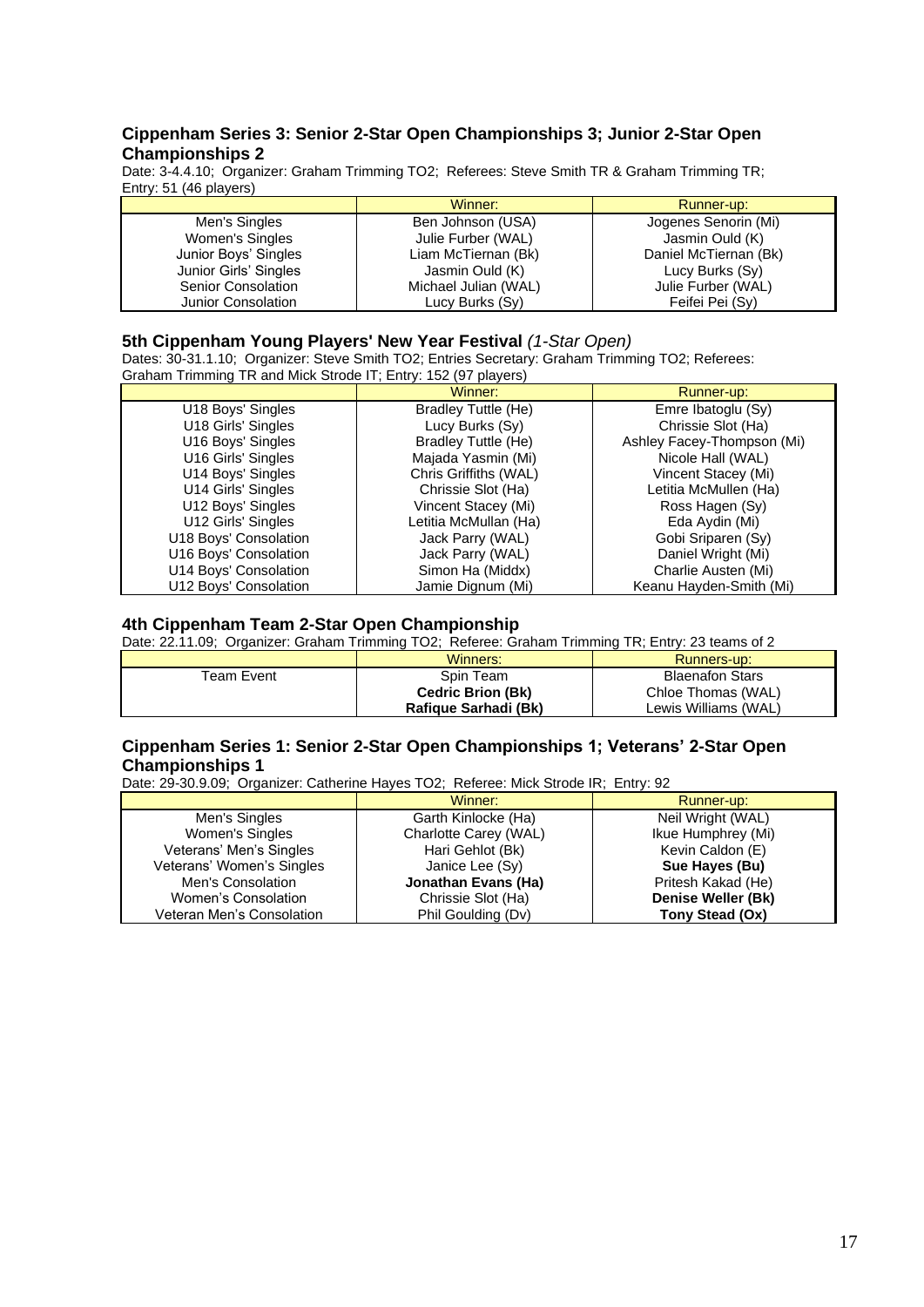## **Cippenham Series 3: Senior 2-Star Open Championships 3; Junior 2-Star Open Championships 2**

Date: 3-4.4.10; Organizer: Graham Trimming TO2; Referees: Steve Smith TR & Graham Trimming TR; Entry: 51 (46 players)

|                       | Winner:              | Runner-up:            |
|-----------------------|----------------------|-----------------------|
| Men's Singles         | Ben Johnson (USA)    | Jogenes Senorin (Mi)  |
| Women's Singles       | Julie Furber (WAL)   | Jasmin Ould (K)       |
| Junior Boys' Singles  | Liam McTiernan (Bk)  | Daniel McTiernan (Bk) |
| Junior Girls' Singles | Jasmin Ould (K)      | Lucy Burks (Sy)       |
| Senior Consolation    | Michael Julian (WAL) | Julie Furber (WAL)    |
| Junior Consolation    | Lucy Burks (Sy)      | Feifei Pei (Sy)       |

### **5th Cippenham Young Players' New Year Festival** *(1-Star Open)*

Dates: 30-31.1.10; Organizer: Steve Smith TO2; Entries Secretary: Graham Trimming TO2; Referees: Graham Trimming TR and Mick Strode IT; Entry: 152 (97 players)

|                       | Winner:                    | Runner-up:                 |
|-----------------------|----------------------------|----------------------------|
| U18 Boys' Singles     | Bradley Tuttle (He)        | Emre Ibatoglu (Sy)         |
| U18 Girls' Singles    | Lucy Burks (Sy)            | Chrissie Slot (Ha)         |
| U16 Boys' Singles     | <b>Bradley Tuttle (He)</b> | Ashley Facey-Thompson (Mi) |
| U16 Girls' Singles    | Majada Yasmin (Mi)         | Nicole Hall (WAL)          |
| U14 Boys' Singles     | Chris Griffiths (WAL)      | Vincent Stacey (Mi)        |
| U14 Girls' Singles    | Chrissie Slot (Ha)         | Letitia McMullen (Ha)      |
| U12 Boys' Singles     | Vincent Stacey (Mi)        | Ross Hagen (Sy)            |
| U12 Girls' Singles    | Letitia McMullan (Ha)      | Eda Aydin (Mi)             |
| U18 Boys' Consolation | Jack Parry (WAL)           | Gobi Sriparen (Sy)         |
| U16 Boys' Consolation | Jack Parry (WAL)           | Daniel Wright (Mi)         |
| U14 Boys' Consolation | Simon Ha (Middx)           | Charlie Austen (Mi)        |
| U12 Boys' Consolation | Jamie Dignum (Mi)          | Keanu Hayden-Smith (Mi)    |

## **4th Cippenham Team 2-Star Open Championship**

Date: 22.11.09; Organizer: Graham Trimming TO2; Referee: Graham Trimming TR; Entry: 23 teams of 2

|            | Winners:                 | Runners-up:            |
|------------|--------------------------|------------------------|
| Team Event | Spin Team                | <b>Blaenafon Stars</b> |
|            | <b>Cedric Brion (Bk)</b> | Chloe Thomas (WAL)     |
|            | Rafique Sarhadi (Bk)     | Lewis Williams (WAL)   |

# **Cippenham Series 1: Senior 2-Star Open Championships 1; Veterans' 2-Star Open Championships 1**

Date: 29-30.9.09; Organizer: Catherine Hayes TO2; Referee: Mick Strode IR; Entry: 92

|                           | Winner:               | Runner-up:         |
|---------------------------|-----------------------|--------------------|
| Men's Singles             | Garth Kinlocke (Ha)   | Neil Wright (WAL)  |
| Women's Singles           | Charlotte Carey (WAL) | Ikue Humphrey (Mi) |
| Veterans' Men's Singles   | Hari Gehlot (Bk)      | Kevin Caldon (E)   |
| Veterans' Women's Singles | Janice Lee (Sy)       | Sue Hayes (Bu)     |
| Men's Consolation         | Jonathan Evans (Ha)   | Pritesh Kakad (He) |
| Women's Consolation       | Chrissie Slot (Ha)    | Denise Weller (Bk) |
| Veteran Men's Consolation | Phil Goulding (Dv)    | Tony Stead (Ox)    |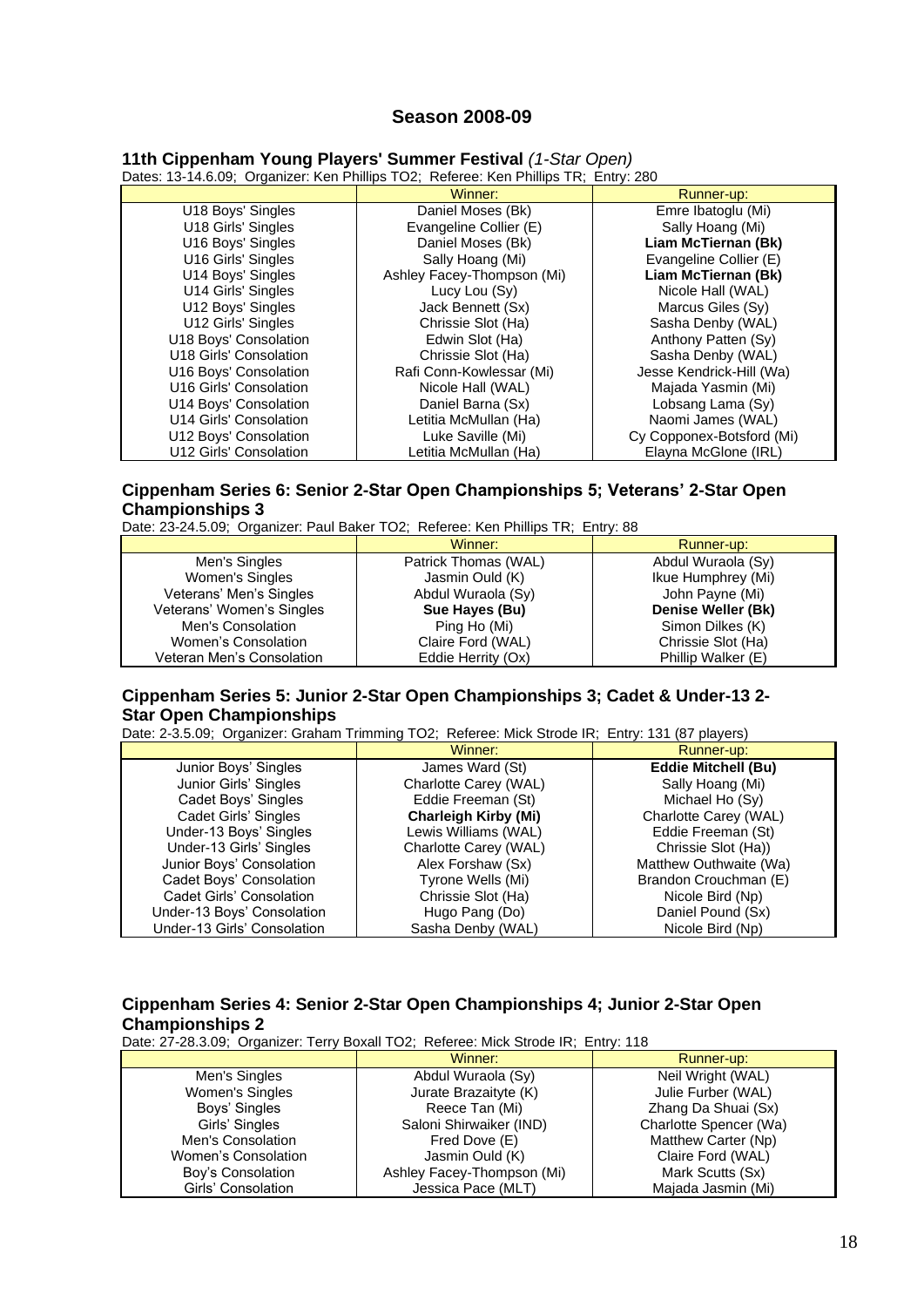# **Season 2008-09**

| Dates: 13-14.6.09; Organizer: Ken Phillips TO2; Referee: Ken Phillips TR; Entry: 280 |                            |                           |  |
|--------------------------------------------------------------------------------------|----------------------------|---------------------------|--|
|                                                                                      | Winner:                    | Runner-up:                |  |
| U18 Boys' Singles                                                                    | Daniel Moses (Bk)          | Emre Ibatoglu (Mi)        |  |
| U18 Girls' Singles                                                                   | Evangeline Collier (E)     | Sally Hoang (Mi)          |  |
| U16 Boys' Singles                                                                    | Daniel Moses (Bk)          | Liam McTiernan (Bk)       |  |
| U16 Girls' Singles                                                                   | Sally Hoang (Mi)           | Evangeline Collier (E)    |  |
| U14 Boys' Singles                                                                    | Ashley Facey-Thompson (Mi) | Liam McTiernan (Bk)       |  |
| U14 Girls' Singles                                                                   | Lucy Lou (Sy)              | Nicole Hall (WAL)         |  |
| U12 Boys' Singles                                                                    | Jack Bennett (Sx)          | Marcus Giles (Sy)         |  |
| U12 Girls' Singles                                                                   | Chrissie Slot (Ha)         | Sasha Denby (WAL)         |  |
| U18 Boys' Consolation                                                                | Edwin Slot (Ha)            | Anthony Patten (Sy)       |  |
| U18 Girls' Consolation                                                               | Chrissie Slot (Ha)         | Sasha Denby (WAL)         |  |
| U16 Boys' Consolation                                                                | Rafi Conn-Kowlessar (Mi)   | Jesse Kendrick-Hill (Wa)  |  |
| U16 Girls' Consolation                                                               | Nicole Hall (WAL)          | Majada Yasmin (Mi)        |  |
| U14 Boys' Consolation                                                                | Daniel Barna (Sx)          | Lobsang Lama (Sy)         |  |
| U14 Girls' Consolation                                                               | Letitia McMullan (Ha)      | Naomi James (WAL)         |  |
| U12 Boys' Consolation                                                                | Luke Saville (Mi)          | Cy Copponex-Botsford (Mi) |  |
| U12 Girls' Consolation                                                               | Letitia McMullan (Ha)      | Elayna McGlone (IRL)      |  |

**11th Cippenham Young Players' Summer Festival** *(1-Star Open)*

# **Cippenham Series 6: Senior 2-Star Open Championships 5; Veterans' 2-Star Open Championships 3**

Date: 23-24.5.09; Organizer: Paul Baker TO2; Referee: Ken Phillips TR; Entry: 88

|                           | Winner:              | Runner-up:         |
|---------------------------|----------------------|--------------------|
| Men's Singles             | Patrick Thomas (WAL) | Abdul Wuraola (Sy) |
| Women's Singles           | Jasmin Ould (K)      | Ikue Humphrey (Mi) |
| Veterans' Men's Singles   | Abdul Wuraola (Sy)   | John Payne (Mi)    |
| Veterans' Women's Singles | Sue Hayes (Bu)       | Denise Weller (Bk) |
| Men's Consolation         | Ping Ho (Mi)         | Simon Dilkes (K)   |
| Women's Consolation       | Claire Ford (WAL)    | Chrissie Slot (Ha) |
| Veteran Men's Consolation | Eddie Herrity (Ox)   | Phillip Walker (E) |

## **Cippenham Series 5: Junior 2-Star Open Championships 3; Cadet & Under-13 2- Star Open Championships**

Date: 2-3.5.09; Organizer: Graham Trimming TO2; Referee: Mick Strode IR; Entry: 131 (87 players)

|                             | Winner:                     | Runner-up:                 |
|-----------------------------|-----------------------------|----------------------------|
| Junior Boys' Singles        | James Ward (St)             | <b>Eddie Mitchell (Bu)</b> |
| Junior Girls' Singles       | Charlotte Carey (WAL)       | Sally Hoang (Mi)           |
| Cadet Boys' Singles         | Eddie Freeman (St)          | Michael Ho (Sy)            |
| Cadet Girls' Singles        | <b>Charleigh Kirby (Mi)</b> | Charlotte Carey (WAL)      |
| Under-13 Boys' Singles      | Lewis Williams (WAL)        | Eddie Freeman (St)         |
| Under-13 Girls' Singles     | Charlotte Carey (WAL)       | Chrissie Slot (Ha))        |
| Junior Boys' Consolation    | Alex Forshaw (Sx)           | Matthew Outhwaite (Wa)     |
| Cadet Boys' Consolation     | Tyrone Wells (Mi)           | Brandon Crouchman (E)      |
| Cadet Girls' Consolation    | Chrissie Slot (Ha)          | Nicole Bird (Np)           |
| Under-13 Boys' Consolation  | Hugo Pang (Do)              | Daniel Pound (Sx)          |
| Under-13 Girls' Consolation | Sasha Denby (WAL)           | Nicole Bird (Np)           |

# **Cippenham Series 4: Senior 2-Star Open Championships 4; Junior 2-Star Open Championships 2**

Date: 27-28.3.09; Organizer: Terry Boxall TO2; Referee: Mick Strode IR; Entry: 118

|                     | Winner:                    | Runner-up:             |
|---------------------|----------------------------|------------------------|
| Men's Singles       | Abdul Wuraola (Sy)         | Neil Wright (WAL)      |
| Women's Singles     | Jurate Brazaityte (K)      | Julie Furber (WAL)     |
| Boys' Singles       | Reece Tan (Mi)             | Zhang Da Shuai (Sx)    |
| Girls' Singles      | Saloni Shirwaiker (IND)    | Charlotte Spencer (Wa) |
| Men's Consolation   | Fred Dove (E)              | Matthew Carter (Np)    |
| Women's Consolation | Jasmin Ould (K)            | Claire Ford (WAL)      |
| Boy's Consolation   | Ashley Facey-Thompson (Mi) | Mark Scutts (Sx)       |
| Girls' Consolation  | Jessica Pace (MLT)         | Majada Jasmin (Mi)     |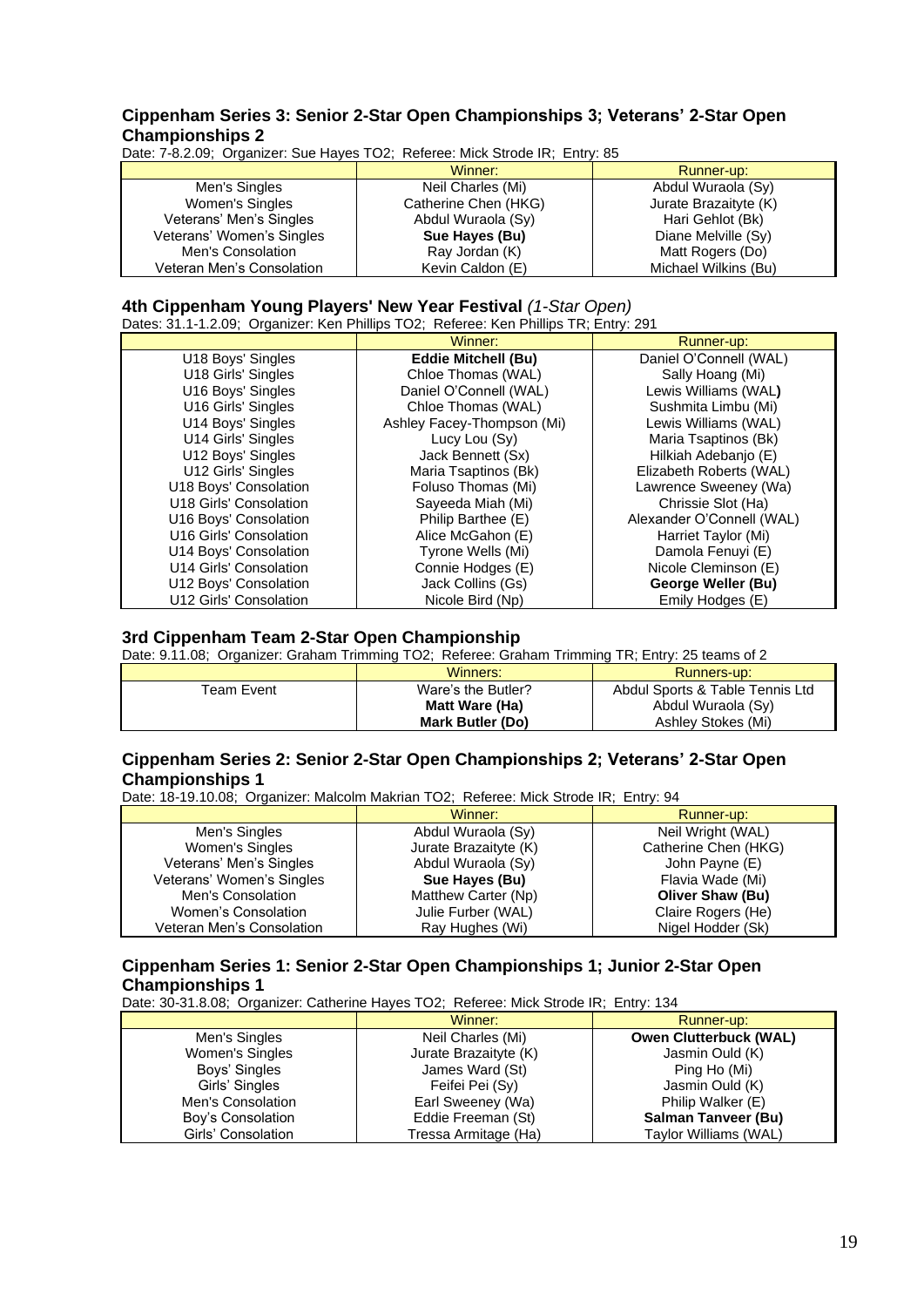## **Cippenham Series 3: Senior 2-Star Open Championships 3; Veterans' 2-Star Open Championships 2**

Date: 7-8.2.09; Organizer: Sue Hayes TO2; Referee: Mick Strode IR; Entry: 85

|                           | Winner:              | Runner-up:            |
|---------------------------|----------------------|-----------------------|
| Men's Singles             | Neil Charles (Mi)    | Abdul Wuraola (Sy)    |
| Women's Singles           | Catherine Chen (HKG) | Jurate Brazaityte (K) |
| Veterans' Men's Singles   | Abdul Wuraola (Sy)   | Hari Gehlot (Bk)      |
| Veterans' Women's Singles | Sue Hayes (Bu)       | Diane Melville (Sy)   |
| Men's Consolation         | Ray Jordan (K)       | Matt Rogers (Do)      |
| Veteran Men's Consolation | Kevin Caldon (E)     | Michael Wilkins (Bu)  |

# **4th Cippenham Young Players' New Year Festival** *(1-Star Open)*

Dates: 31.1-1.2.09; Organizer: Ken Phillips TO2; Referee: Ken Phillips TR; Entry: 291

|                        | Winner:                    | Runner-up:                |
|------------------------|----------------------------|---------------------------|
| U18 Boys' Singles      | <b>Eddie Mitchell (Bu)</b> | Daniel O'Connell (WAL)    |
| U18 Girls' Singles     | Chloe Thomas (WAL)         | Sally Hoang (Mi)          |
| U16 Boys' Singles      | Daniel O'Connell (WAL)     | Lewis Williams (WAL)      |
| U16 Girls' Singles     | Chloe Thomas (WAL)         | Sushmita Limbu (Mi)       |
| U14 Boys' Singles      | Ashley Facey-Thompson (Mi) | Lewis Williams (WAL)      |
| U14 Girls' Singles     | Lucy Lou (Sy)              | Maria Tsaptinos (Bk)      |
| U12 Boys' Singles      | Jack Bennett (Sx)          | Hilkiah Adebanjo (E)      |
| U12 Girls' Singles     | Maria Tsaptinos (Bk)       | Elizabeth Roberts (WAL)   |
| U18 Boys' Consolation  | Foluso Thomas (Mi)         | Lawrence Sweeney (Wa)     |
| U18 Girls' Consolation | Sayeeda Miah (Mi)          | Chrissie Slot (Ha)        |
| U16 Boys' Consolation  | Philip Barthee (E)         | Alexander O'Connell (WAL) |
| U16 Girls' Consolation | Alice McGahon (E)          | Harriet Taylor (Mi)       |
| U14 Boys' Consolation  | Tyrone Wells (Mi)          | Damola Fenuyi (E)         |
| U14 Girls' Consolation | Connie Hodges (E)          | Nicole Cleminson (E)      |
| U12 Boys' Consolation  | Jack Collins (Gs)          | George Weller (Bu)        |
| U12 Girls' Consolation | Nicole Bird (Np)           | Emily Hodges (E)          |

## **3rd Cippenham Team 2-Star Open Championship**

Date: 9.11.08; Organizer: Graham Trimming TO2; Referee: Graham Trimming TR; Entry: 25 teams of 2

|             | Winners:                | Runners-up:                     |
|-------------|-------------------------|---------------------------------|
| Team Event. | Ware's the Butler?      | Abdul Sports & Table Tennis Ltd |
|             | Matt Ware (Ha)          | Abdul Wuraola (Sy)              |
|             | <b>Mark Butler (Do)</b> | Ashlev Stokes (Mi)              |

## **Cippenham Series 2: Senior 2-Star Open Championships 2; Veterans' 2-Star Open Championships 1**

Date: 18-19.10.08; Organizer: Malcolm Makrian TO2; Referee: Mick Strode IR; Entry: 94

|                           | Winner:               | Runner-up:              |
|---------------------------|-----------------------|-------------------------|
| Men's Singles             | Abdul Wuraola (Sy)    | Neil Wright (WAL)       |
| Women's Singles           | Jurate Brazaityte (K) | Catherine Chen (HKG)    |
| Veterans' Men's Singles   | Abdul Wuraola (Sy)    | John Payne (E)          |
| Veterans' Women's Singles | Sue Hayes (Bu)        | Flavia Wade (Mi)        |
| Men's Consolation         | Matthew Carter (Np)   | <b>Oliver Shaw (Bu)</b> |
| Women's Consolation       | Julie Furber (WAL)    | Claire Rogers (He)      |
| Veteran Men's Consolation | Ray Hughes (Wi)       | Nigel Hodder (Sk)       |

# **Cippenham Series 1: Senior 2-Star Open Championships 1; Junior 2-Star Open Championships 1**

Date: 30-31.8.08; Organizer: Catherine Hayes TO2; Referee: Mick Strode IR; Entry: 134

|                    | Winner:               | Runner-up:                    |
|--------------------|-----------------------|-------------------------------|
| Men's Singles      | Neil Charles (Mi)     | <b>Owen Clutterbuck (WAL)</b> |
| Women's Singles    | Jurate Brazaityte (K) | Jasmin Ould (K)               |
| Boys' Singles      | James Ward (St)       | Ping Ho (Mi)                  |
| Girls' Singles     | Feifei Pei (Sv)       | Jasmin Ould (K)               |
| Men's Consolation  | Earl Sweeney (Wa)     | Philip Walker (E)             |
| Boy's Consolation  | Eddie Freeman (St)    | <b>Salman Tanveer (Bu)</b>    |
| Girls' Consolation | Tressa Armitage (Ha)  | Taylor Williams (WAL)         |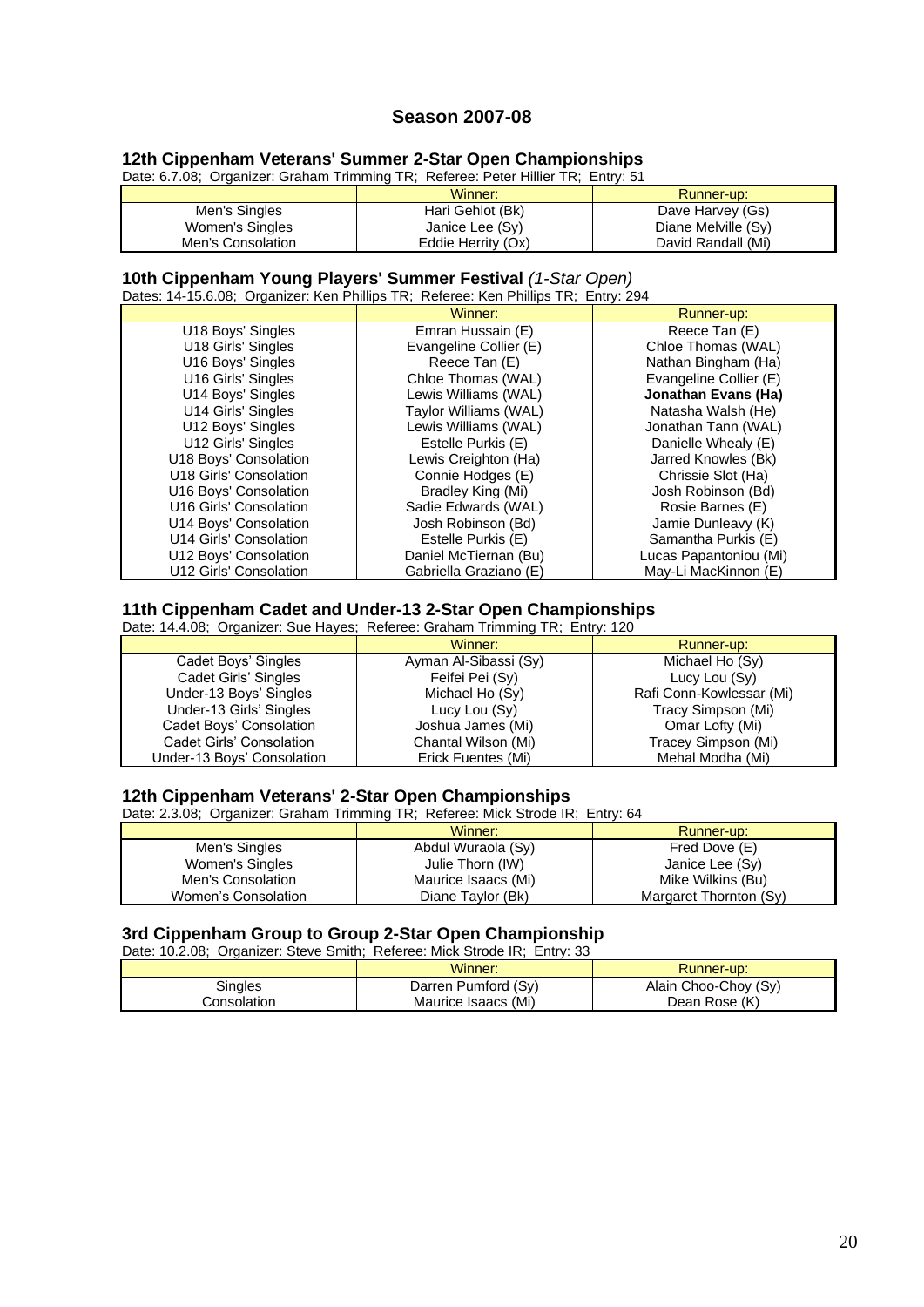# **Season 2007-08**

## **12th Cippenham Veterans' Summer 2-Star Open Championships**

| Date: 6.7.08; Organizer: Graham Trimming TR; Referee: Peter Hillier TR; Entry: 51 |                                                    |  |  |
|-----------------------------------------------------------------------------------|----------------------------------------------------|--|--|
|                                                                                   | $\mathbf{M}$ $\mathbf{L}$ is a set of $\mathbf{L}$ |  |  |

|                   | Winner:            | Runner-up:          |
|-------------------|--------------------|---------------------|
| Men's Singles     | Hari Gehlot (Bk)   | Dave Harvey (Gs)    |
| Women's Singles   | Janice Lee (Sy)    | Diane Melville (Sy) |
| Men's Consolation | Eddie Herrity (Ox) | David Randall (Mi)  |

#### **10th Cippenham Young Players' Summer Festival** *(1-Star Open)*

Dates: 14-15.6.08; Organizer: Ken Phillips TR; Referee: Ken Phillips TR; Entry: 294

|                        | Winner:                | Runner-up:             |
|------------------------|------------------------|------------------------|
| U18 Boys' Singles      | Emran Hussain (E)      | Reece Tan (E)          |
| U18 Girls' Singles     | Evangeline Collier (E) | Chloe Thomas (WAL)     |
| U16 Boys' Singles      | Reece Tan (E)          | Nathan Bingham (Ha)    |
| U16 Girls' Singles     | Chloe Thomas (WAL)     | Evangeline Collier (E) |
| U14 Boys' Singles      | Lewis Williams (WAL)   | Jonathan Evans (Ha)    |
| U14 Girls' Singles     | Taylor Williams (WAL)  | Natasha Walsh (He)     |
| U12 Boys' Singles      | Lewis Williams (WAL)   | Jonathan Tann (WAL)    |
| U12 Girls' Singles     | Estelle Purkis (E)     | Danielle Whealy (E)    |
| U18 Boys' Consolation  | Lewis Creighton (Ha)   | Jarred Knowles (Bk)    |
| U18 Girls' Consolation | Connie Hodges (E)      | Chrissie Slot (Ha)     |
| U16 Boys' Consolation  | Bradley King (Mi)      | Josh Robinson (Bd)     |
| U16 Girls' Consolation | Sadie Edwards (WAL)    | Rosie Barnes (E)       |
| U14 Boys' Consolation  | Josh Robinson (Bd)     | Jamie Dunleavy (K)     |
| U14 Girls' Consolation | Estelle Purkis (E)     | Samantha Purkis (E)    |
| U12 Boys' Consolation  | Daniel McTiernan (Bu)  | Lucas Papantoniou (Mi) |
| U12 Girls' Consolation | Gabriella Graziano (E) | May-Li MacKinnon (E)   |

#### **11th Cippenham Cadet and Under-13 2-Star Open Championships**

| Date: 14.4.08; Organizer: Sue Hayes; Referee: Graham Trimming TR; Entry: 120 |                       |                          |  |
|------------------------------------------------------------------------------|-----------------------|--------------------------|--|
|                                                                              | Winner:               | Runner-up:               |  |
| Cadet Boys' Singles                                                          | Ayman Al-Sibassi (Sy) | Michael Ho (Sy)          |  |
| Cadet Girls' Singles                                                         | Feifei Pei (Sy)       | Lucy Lou (Sy)            |  |
| Under-13 Boys' Singles                                                       | Michael Ho (Sy)       | Rafi Conn-Kowlessar (Mi) |  |
| Under-13 Girls' Singles                                                      | Lucy Lou (Sy)         | Tracy Simpson (Mi)       |  |
| Cadet Boys' Consolation                                                      | Joshua James (Mi)     | Omar Lofty (Mi)          |  |
| Cadet Girls' Consolation                                                     | Chantal Wilson (Mi)   | Tracey Simpson (Mi)      |  |
| Under-13 Boys' Consolation                                                   | Erick Fuentes (Mi)    | Mehal Modha (Mi)         |  |

### **12th Cippenham Veterans' 2-Star Open Championships**

Date: 2.3.08; Organizer: Graham Trimming TR; Referee: Mick Strode IR; Entry: 64

|                     | Winner:             | Runner-up:             |
|---------------------|---------------------|------------------------|
| Men's Singles       | Abdul Wuraola (Sy)  | Fred Dove (E)          |
| Women's Singles     | Julie Thorn (IW)    | Janice Lee (Sy)        |
| Men's Consolation   | Maurice Isaacs (Mi) | Mike Wilkins (Bu)      |
| Women's Consolation | Diane Taylor (Bk)   | Margaret Thornton (Sy) |

# **3rd Cippenham Group to Group 2-Star Open Championship**

Date: 10.2.08; Organizer: Steve Smith; Referee: Mick Strode IR; Entry: 33 Winner:  $\parallel$  Runner-up:

|              | .                   |                      |
|--------------|---------------------|----------------------|
| ingles       | Darren Pumford (Sy) | Alain Choo-Choy (Sy) |
| Consolation∴ | Maurice Isaacs (Mi) | Dean Rose (K)        |
|              |                     |                      |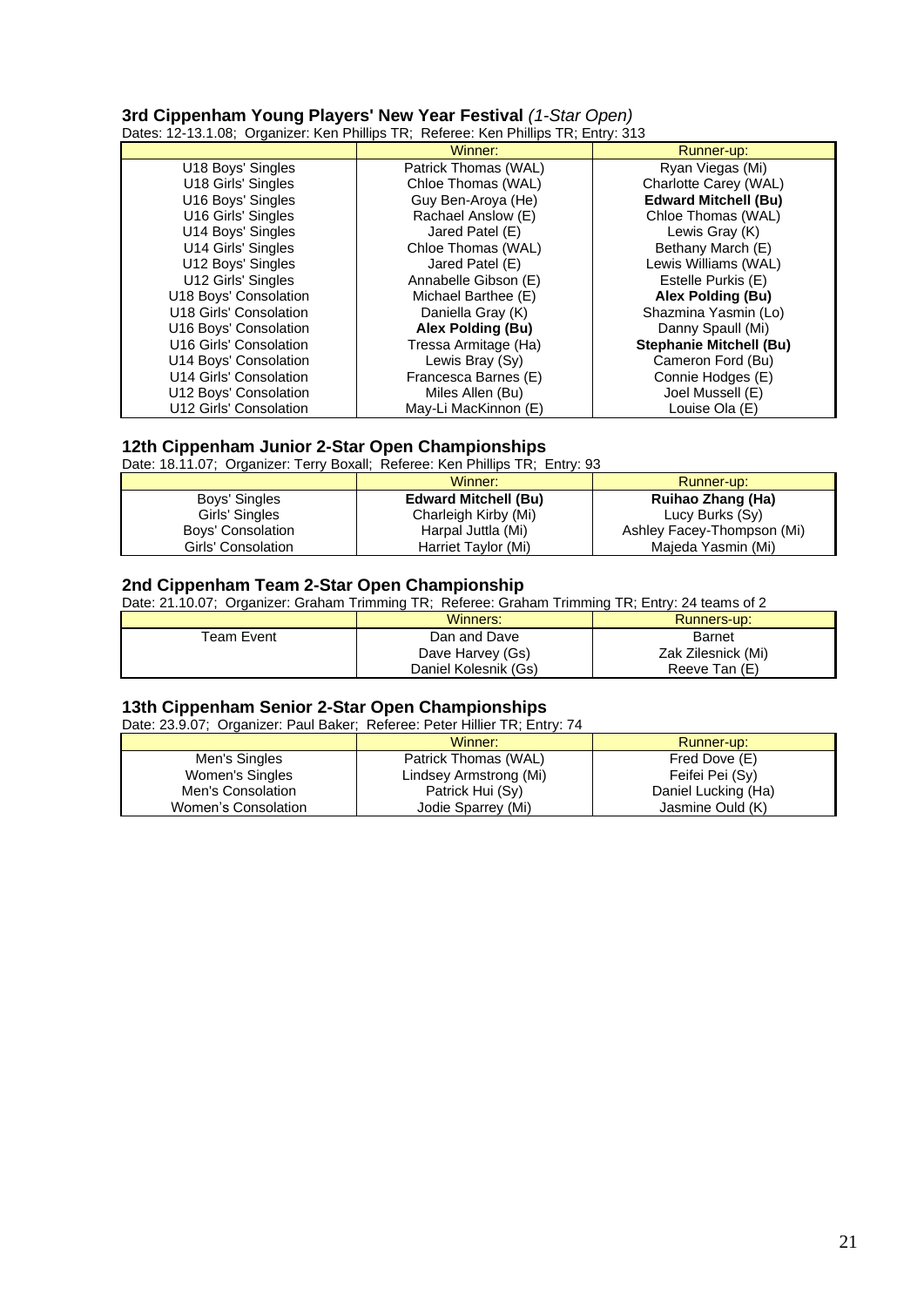# **3rd Cippenham Young Players' New Year Festival** *(1-Star Open)*

Dates: 12-13.1.08; Organizer: Ken Phillips TR; Referee: Ken Phillips TR; Entry: 313

|                        | Winner:              | Runner-up:                     |
|------------------------|----------------------|--------------------------------|
| U18 Boys' Singles      | Patrick Thomas (WAL) | Ryan Viegas (Mi)               |
| U18 Girls' Singles     | Chloe Thomas (WAL)   | Charlotte Carey (WAL)          |
| U16 Boys' Singles      | Guy Ben-Aroya (He)   | <b>Edward Mitchell (Bu)</b>    |
| U16 Girls' Singles     | Rachael Anslow (E)   | Chloe Thomas (WAL)             |
| U14 Boys' Singles      | Jared Patel (E)      | Lewis Gray (K)                 |
| U14 Girls' Singles     | Chloe Thomas (WAL)   | Bethany March (E)              |
| U12 Boys' Singles      | Jared Patel (E)      | Lewis Williams (WAL)           |
| U12 Girls' Singles     | Annabelle Gibson (E) | Estelle Purkis (E)             |
| U18 Boys' Consolation  | Michael Barthee (E)  | Alex Polding (Bu)              |
| U18 Girls' Consolation | Daniella Gray (K)    | Shazmina Yasmin (Lo)           |
| U16 Boys' Consolation  | Alex Polding (Bu)    | Danny Spaull (Mi)              |
| U16 Girls' Consolation | Tressa Armitage (Ha) | <b>Stephanie Mitchell (Bu)</b> |
| U14 Boys' Consolation  | Lewis Bray (Sy)      | Cameron Ford (Bu)              |
| U14 Girls' Consolation | Francesca Barnes (E) | Connie Hodges (E)              |
| U12 Boys' Consolation  | Miles Allen (Bu)     | Joel Mussell (E)               |
| U12 Girls' Consolation | May-Li MacKinnon (E) | Louise Ola (E)                 |

# **12th Cippenham Junior 2-Star Open Championships**

Date: 18.11.07; Organizer: Terry Boxall; Referee: Ken Phillips TR; Entry: 93

|                    | Winner:                     | Runner-up:                 |
|--------------------|-----------------------------|----------------------------|
| Boys' Singles      | <b>Edward Mitchell (Bu)</b> | Ruihao Zhang (Ha)          |
| Girls' Singles     | Charleigh Kirby (Mi)        | Lucy Burks (Sy)            |
| Boys' Consolation  | Harpal Juttla (Mi)          | Ashley Facey-Thompson (Mi) |
| Girls' Consolation | Harriet Taylor (Mi)         | Majeda Yasmin (Mi)         |

# **2nd Cippenham Team 2-Star Open Championship**

Date: 21.10.07; Organizer: Graham Trimming TR; Referee: Graham Trimming TR; Entry: 24 teams of 2

|                        | Winners:             | Runners-up:        |
|------------------------|----------------------|--------------------|
| <sup>T</sup> eam Event | Dan and Dave         | <b>Barnet</b>      |
|                        | Dave Harvey (Gs)     | Zak Zilesnick (Mi) |
|                        | Daniel Kolesnik (Gs) | Reeve Tan (E)      |

# **13th Cippenham Senior 2-Star Open Championships**

Date: 23.9.07; Organizer: Paul Baker; Referee: Peter Hillier TR; Entry: 74

|                     | Winner:                | Runner-up:          |
|---------------------|------------------------|---------------------|
| Men's Singles       | Patrick Thomas (WAL)   | Fred Dove (E)       |
| Women's Singles     | Lindsey Armstrong (Mi) | Feifei Pei (Sv)     |
| Men's Consolation   | Patrick Hui (Sy)       | Daniel Lucking (Ha) |
| Women's Consolation | Jodie Sparrey (Mi)     | Jasmine Ould (K)    |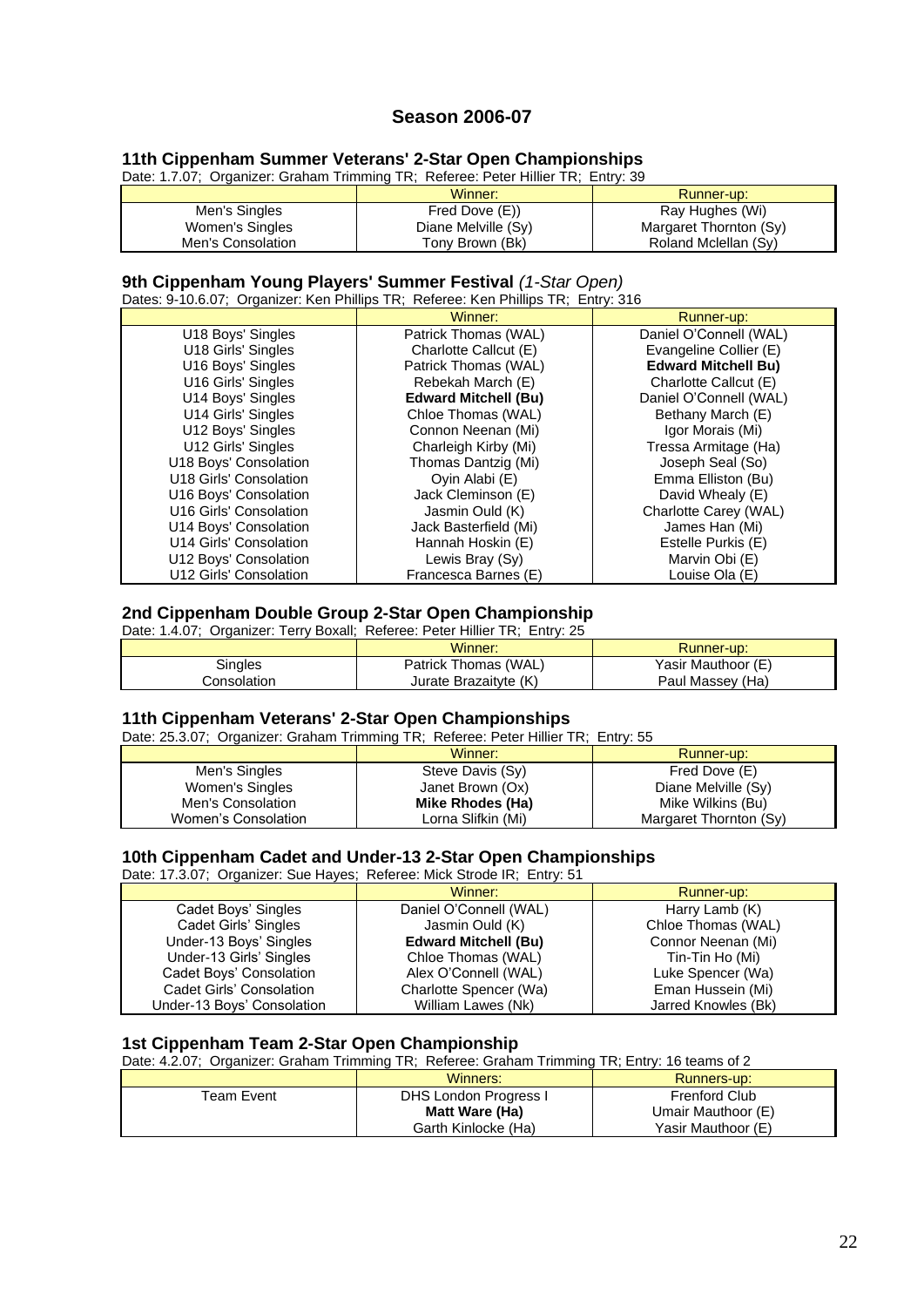# **Season 2006-07**

# **11th Cippenham Summer Veterans' 2-Star Open Championships**

Date: 1.7.07; Organizer: Graham Trimming TR; Referee: Peter Hillier TR; Entry: 39

|                   | Winner:             | Runner-up:             |
|-------------------|---------------------|------------------------|
| Men's Singles     | Fred Dove (E))      | Ray Hughes (Wi)        |
| Women's Singles   | Diane Melville (Sy) | Margaret Thornton (Sy) |
| Men's Consolation | Tony Brown (Bk)     | Roland Mclellan (Sy)   |

# **9th Cippenham Young Players' Summer Festival** *(1-Star Open)*

Dates: 9-10.6.07; Organizer: Ken Phillips TR; Referee: Ken Phillips TR; Entry: 316

|                        | Winner:                     | Runner-up:                 |
|------------------------|-----------------------------|----------------------------|
| U18 Boys' Singles      | Patrick Thomas (WAL)        | Daniel O'Connell (WAL)     |
| U18 Girls' Singles     | Charlotte Callcut (E)       | Evangeline Collier (E)     |
| U16 Boys' Singles      | Patrick Thomas (WAL)        | <b>Edward Mitchell Bu)</b> |
| U16 Girls' Singles     | Rebekah March (E)           | Charlotte Callcut (E)      |
| U14 Boys' Singles      | <b>Edward Mitchell (Bu)</b> | Daniel O'Connell (WAL)     |
| U14 Girls' Singles     | Chloe Thomas (WAL)          | Bethany March (E)          |
| U12 Boys' Singles      | Connon Neenan (Mi)          | Igor Morais (Mi)           |
| U12 Girls' Singles     | Charleigh Kirby (Mi)        | Tressa Armitage (Ha)       |
| U18 Boys' Consolation  | Thomas Dantzig (Mi)         | Joseph Seal (So)           |
| U18 Girls' Consolation | Oyin Alabi (E)              | Emma Elliston (Bu)         |
| U16 Boys' Consolation  | Jack Cleminson (E)          | David Whealy (E)           |
| U16 Girls' Consolation | Jasmin Ould (K)             | Charlotte Carey (WAL)      |
| U14 Boys' Consolation  | Jack Basterfield (Mi)       | James Han (Mi)             |
| U14 Girls' Consolation | Hannah Hoskin (E)           | Estelle Purkis (E)         |
| U12 Boys' Consolation  | Lewis Bray (Sy)             | Marvin Obi (E)             |
| U12 Girls' Consolation | Francesca Barnes (E)        | Louise Ola (E)             |

### **2nd Cippenham Double Group 2-Star Open Championship**

| Date: 1.4.07; Organizer: Terry Boxall; Referee: Peter Hillier TR; Entry: 25 |                       |                    |
|-----------------------------------------------------------------------------|-----------------------|--------------------|
|                                                                             | Winner:               | Runner-up:         |
| <b>Singles</b>                                                              | Patrick Thomas (WAL)  | Yasir Mauthoor (E) |
| Consolation                                                                 | Jurate Brazaityte (K) | Paul Massey (Ha)   |

#### **11th Cippenham Veterans' 2-Star Open Championships**

Date: 25.3.07; Organizer: Graham Trimming TR; Referee: Peter Hillier TR; Entry: 55

|                     | Winner:            | Runner-up:             |
|---------------------|--------------------|------------------------|
| Men's Singles       | Steve Davis (Sy)   | Fred Dove (E)          |
| Women's Singles     | Janet Brown (Ox)   | Diane Melville (Sy)    |
| Men's Consolation   | Mike Rhodes (Ha)   | Mike Wilkins (Bu)      |
| Women's Consolation | Lorna Slifkin (Mi) | Margaret Thornton (Sy) |

### **10th Cippenham Cadet and Under-13 2-Star Open Championships**

Date: 17.3.07; Organizer: Sue Hayes; Referee: Mick Strode IR; Entry: 51

|                            | Winner:                     | Runner-up:          |
|----------------------------|-----------------------------|---------------------|
| Cadet Boys' Singles        | Daniel O'Connell (WAL)      | Harry Lamb (K)      |
| Cadet Girls' Singles       | Jasmin Ould (K)             | Chloe Thomas (WAL)  |
| Under-13 Boys' Singles     | <b>Edward Mitchell (Bu)</b> | Connor Neenan (Mi)  |
| Under-13 Girls' Singles    | Chloe Thomas (WAL)          | Tin-Tin Ho (Mi)     |
| Cadet Boys' Consolation    | Alex O'Connell (WAL)        | Luke Spencer (Wa)   |
| Cadet Girls' Consolation   | Charlotte Spencer (Wa)      | Eman Hussein (Mi)   |
| Under-13 Bovs' Consolation | William Lawes (Nk)          | Jarred Knowles (Bk) |

# **1st Cippenham Team 2-Star Open Championship**

Date: 4.2.07; Organizer: Graham Trimming TR; Referee: Graham Trimming TR; Entry: 16 teams of 2

|            | Winners:              | Runners-up:          |
|------------|-----------------------|----------------------|
| Team Event | DHS London Progress I | <b>Frenford Club</b> |
|            | Matt Ware (Ha)        | Umair Mauthoor (E)   |
|            | Garth Kinlocke (Ha)   | Yasir Mauthoor (E)   |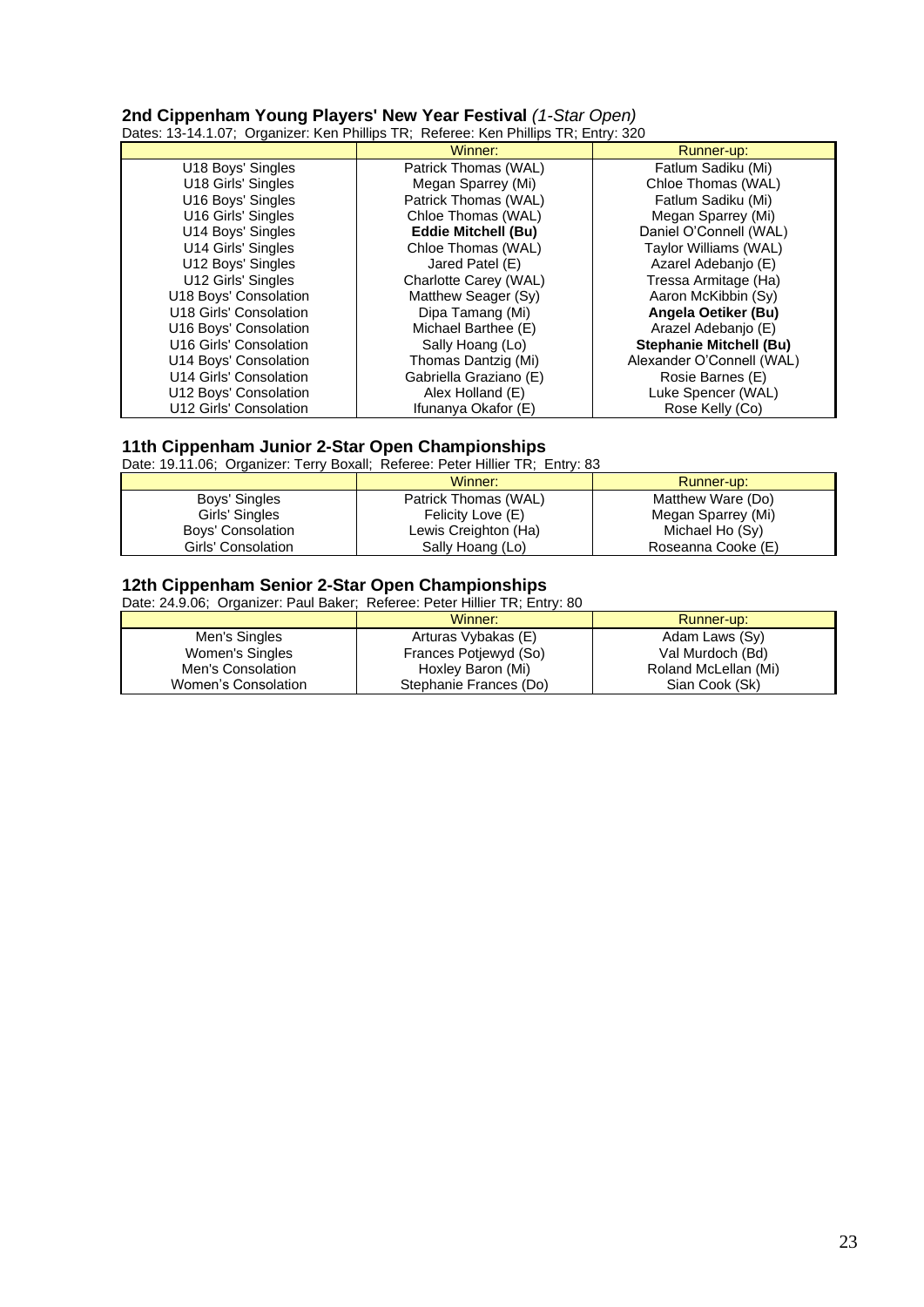**2nd Cippenham Young Players' New Year Festival** *(1-Star Open)* Dates: 13-14.1.07; Organizer: Ken Phillips TR; Referee: Ken Phillips TR; Entry: 320

|                        | Winner:                    | Runner-up:                     |
|------------------------|----------------------------|--------------------------------|
| U18 Boys' Singles      | Patrick Thomas (WAL)       | Fatlum Sadiku (Mi)             |
| U18 Girls' Singles     | Megan Sparrey (Mi)         | Chloe Thomas (WAL)             |
| U16 Boys' Singles      | Patrick Thomas (WAL)       | Fatlum Sadiku (Mi)             |
| U16 Girls' Singles     | Chloe Thomas (WAL)         | Megan Sparrey (Mi)             |
| U14 Boys' Singles      | <b>Eddie Mitchell (Bu)</b> | Daniel O'Connell (WAL)         |
| U14 Girls' Singles     | Chloe Thomas (WAL)         | Taylor Williams (WAL)          |
| U12 Boys' Singles      | Jared Patel (E)            | Azarel Adebanjo (E)            |
| U12 Girls' Singles     | Charlotte Carey (WAL)      | Tressa Armitage (Ha)           |
| U18 Boys' Consolation  | Matthew Seager (Sy)        | Aaron McKibbin (Sy)            |
| U18 Girls' Consolation | Dipa Tamang (Mi)           | Angela Oetiker (Bu)            |
| U16 Boys' Consolation  | Michael Barthee (E)        | Arazel Adebanjo (E)            |
| U16 Girls' Consolation | Sally Hoang (Lo)           | <b>Stephanie Mitchell (Bu)</b> |
| U14 Boys' Consolation  | Thomas Dantzig (Mi)        | Alexander O'Connell (WAL)      |
| U14 Girls' Consolation | Gabriella Graziano (E)     | Rosie Barnes (E)               |
| U12 Boys' Consolation  | Alex Holland (E)           | Luke Spencer (WAL)             |
| U12 Girls' Consolation | Ifunanya Okafor (E)        | Rose Kelly (Co)                |

# **11th Cippenham Junior 2-Star Open Championships**

Date: 19.11.06; Organizer: Terry Boxall; Referee: Peter Hillier TR; Entry: 83

|                    | Winner:              | Runner-up:         |
|--------------------|----------------------|--------------------|
| Boys' Singles      | Patrick Thomas (WAL) | Matthew Ware (Do)  |
| Girls' Singles     | Felicity Love (E)    | Megan Sparrey (Mi) |
| Boys' Consolation  | Lewis Creighton (Ha) | Michael Ho (Sy)    |
| Girls' Consolation | Sally Hoang (Lo)     | Roseanna Cooke (E) |

## **12th Cippenham Senior 2-Star Open Championships**

Date: 24.9.06; Organizer: Paul Baker; Referee: Peter Hillier TR; Entry: 80

|                     | Winner:                | Runner-up:           |
|---------------------|------------------------|----------------------|
| Men's Singles       | Arturas Vybakas (E)    | Adam Laws (Sy)       |
| Women's Singles     | Frances Potjewyd (So)  | Val Murdoch (Bd)     |
| Men's Consolation   | Hoxley Baron (Mi)      | Roland McLellan (Mi) |
| Women's Consolation | Stephanie Frances (Do) | Sian Cook (Sk)       |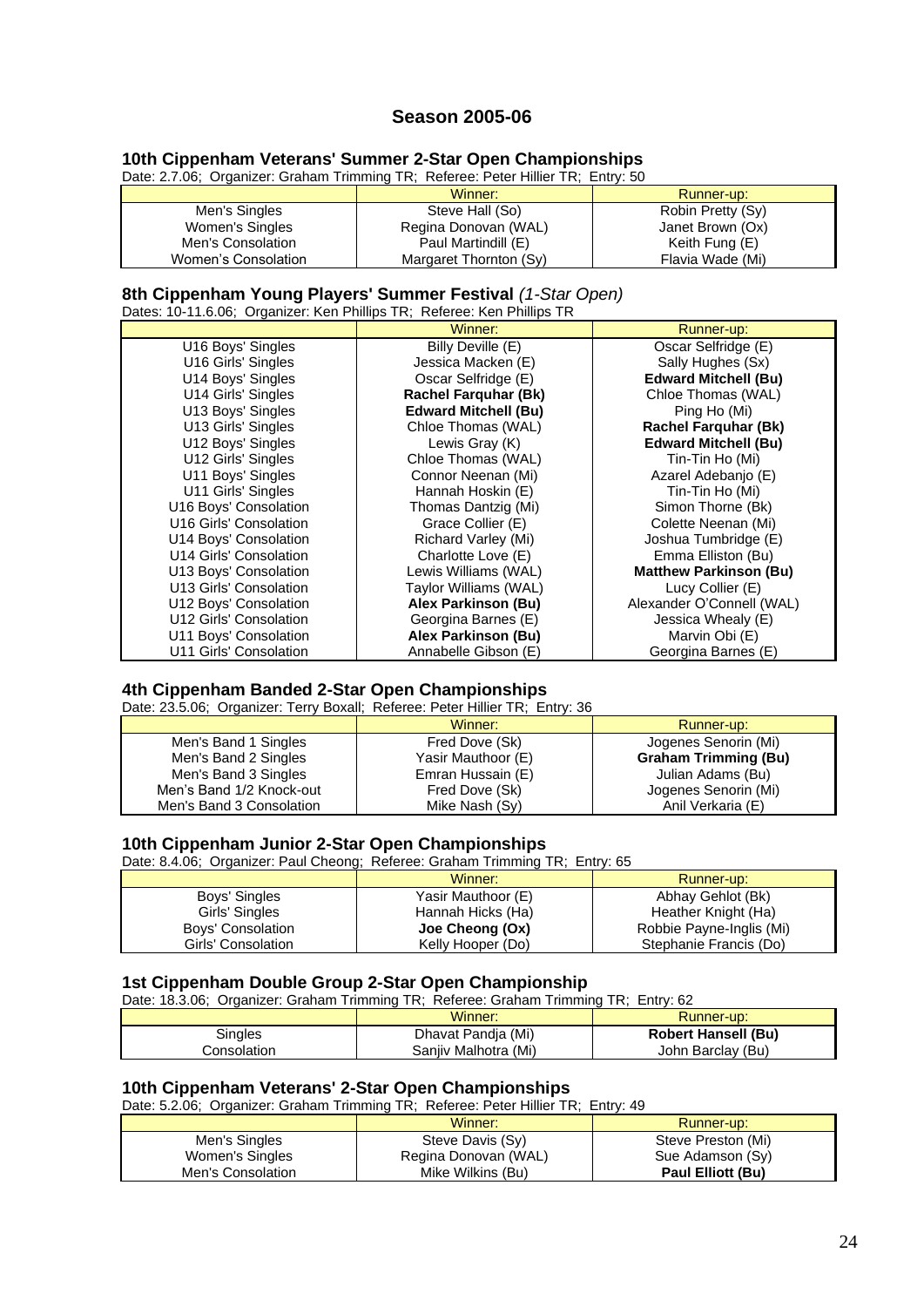# **Season 2005-06**

## **10th Cippenham Veterans' Summer 2-Star Open Championships**

Date: 2.7.06; Organizer: Graham Trimming TR; Referee: Peter Hillier TR; Entry: 50

|                     | Winner:                | Runner-up:        |
|---------------------|------------------------|-------------------|
| Men's Singles       | Steve Hall (So)        | Robin Pretty (Sy) |
| Women's Singles     | Regina Donovan (WAL)   | Janet Brown (Ox)  |
| Men's Consolation   | Paul Martindill (E)    | Keith Fung (E)    |
| Women's Consolation | Margaret Thornton (Sy) | Flavia Wade (Mi)  |

# **8th Cippenham Young Players' Summer Festival** *(1-Star Open)*

Dates: 10-11.6.06; Organizer: Ken Phillips TR; Referee: Ken Phillips TR

|                        | Winner:                     | Runner-up:                    |
|------------------------|-----------------------------|-------------------------------|
| U16 Boys' Singles      | Billy Deville (E)           | Oscar Selfridge (E)           |
| U16 Girls' Singles     | Jessica Macken (E)          | Sally Hughes (Sx)             |
| U14 Boys' Singles      | Oscar Selfridge (E)         | <b>Edward Mitchell (Bu)</b>   |
| U14 Girls' Singles     | <b>Rachel Farguhar (Bk)</b> | Chloe Thomas (WAL)            |
| U13 Boys' Singles      | <b>Edward Mitchell (Bu)</b> | Ping Ho (Mi)                  |
| U13 Girls' Singles     | Chloe Thomas (WAL)          | <b>Rachel Farquhar (Bk)</b>   |
| U12 Boys' Singles      | Lewis Gray (K)              | <b>Edward Mitchell (Bu)</b>   |
| U12 Girls' Singles     | Chloe Thomas (WAL)          | Tin-Tin Ho (Mi)               |
| U11 Boys' Singles      | Connor Neenan (Mi)          | Azarel Adebanjo (E)           |
| U11 Girls' Singles     | Hannah Hoskin (E)           | Tin-Tin Ho (Mi)               |
| U16 Boys' Consolation  | Thomas Dantzig (Mi)         | Simon Thorne (Bk)             |
| U16 Girls' Consolation | Grace Collier (E)           | Colette Neenan (Mi)           |
| U14 Boys' Consolation  | Richard Varley (Mi)         | Joshua Tumbridge (E)          |
| U14 Girls' Consolation | Charlotte Love (E)          | Emma Elliston (Bu)            |
| U13 Boys' Consolation  | Lewis Williams (WAL)        | <b>Matthew Parkinson (Bu)</b> |
| U13 Girls' Consolation | Taylor Williams (WAL)       | Lucy Collier (E)              |
| U12 Boys' Consolation  | Alex Parkinson (Bu)         | Alexander O'Connell (WAL)     |
| U12 Girls' Consolation | Georgina Barnes (E)         | Jessica Whealy (E)            |
| U11 Boys' Consolation  | Alex Parkinson (Bu)         | Marvin Obi (E)                |
| U11 Girls' Consolation | Annabelle Gibson (E)        | Georgina Barnes (E)           |

#### **4th Cippenham Banded 2-Star Open Championships**

Date: 23.5.06; Organizer: Terry Boxall; Referee: Peter Hillier TR; Entry: 36

|                          | Winner:            | Runner-up:                  |
|--------------------------|--------------------|-----------------------------|
| Men's Band 1 Singles     | Fred Dove (Sk)     | Jogenes Senorin (Mi)        |
| Men's Band 2 Singles     | Yasir Mauthoor (E) | <b>Graham Trimming (Bu)</b> |
| Men's Band 3 Singles     | Emran Hussain (E)  | Julian Adams (Bu)           |
| Men's Band 1/2 Knock-out | Fred Dove (Sk)     | Jogenes Senorin (Mi)        |
| Men's Band 3 Consolation | Mike Nash (Sv)     | Anil Verkaria (E)           |

### **10th Cippenham Junior 2-Star Open Championships**

Date: 8.4.06; Organizer: Paul Cheong; Referee: Graham Trimming TR; Entry: 65

|                    | Winner:            | Runner-up:               |
|--------------------|--------------------|--------------------------|
| Boys' Singles      | Yasir Mauthoor (E) | Abhay Gehlot (Bk)        |
| Girls' Singles     | Hannah Hicks (Ha)  | Heather Knight (Ha)      |
| Boys' Consolation  | Joe Cheong (Ox)    | Robbie Payne-Inglis (Mi) |
| Girls' Consolation | Kelly Hooper (Do)  | Stephanie Francis (Do)   |

## **1st Cippenham Double Group 2-Star Open Championship**

Date: 18.3.06; Organizer: Graham Trimming TR; Referee: Graham Trimming TR; Entry: 62

|             | Winner:              | Runner-up:                 |
|-------------|----------------------|----------------------------|
| Singles     | Dhavat Pandja (Mi)   | <b>Robert Hansell (Bu)</b> |
| ∟onsolation | Saniiv Malhotra (Mi) | John Barclay (Bu)          |

#### **10th Cippenham Veterans' 2-Star Open Championships**

Date: 5.2.06; Organizer: Graham Trimming TR; Referee: Peter Hillier TR; Entry: 49

|                   | Winner:              | Runner-up:         |
|-------------------|----------------------|--------------------|
| Men's Singles     | Steve Davis (Sy)     | Steve Preston (Mi) |
| Women's Singles   | Regina Donovan (WAL) | Sue Adamson (Sy)   |
| Men's Consolation | Mike Wilkins (Bu)    | Paul Elliott (Bu)  |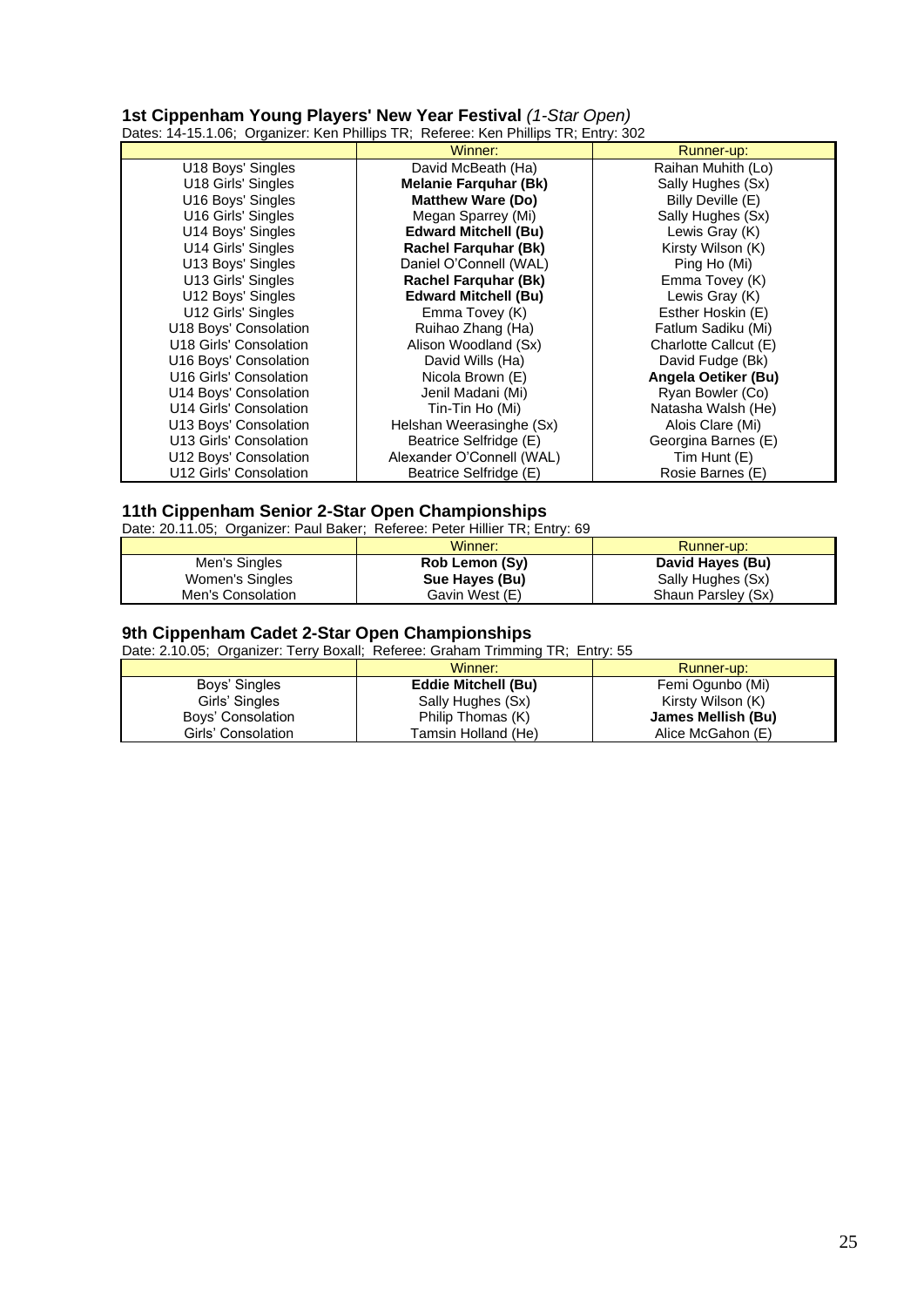**1st Cippenham Young Players' New Year Festival** *(1-Star Open)* Dates: 14-15.1.06; Organizer: Ken Phillips TR; Referee: Ken Phillips TR; Entry: 302

|                        | Winner:                      | Runner-up:            |
|------------------------|------------------------------|-----------------------|
| U18 Boys' Singles      | David McBeath (Ha)           | Raihan Muhith (Lo)    |
| U18 Girls' Singles     | <b>Melanie Farquhar (Bk)</b> | Sally Hughes (Sx)     |
| U16 Boys' Singles      | <b>Matthew Ware (Do)</b>     | Billy Deville (E)     |
| U16 Girls' Singles     | Megan Sparrey (Mi)           | Sally Hughes (Sx)     |
| U14 Boys' Singles      | <b>Edward Mitchell (Bu)</b>  | Lewis Gray (K)        |
| U14 Girls' Singles     | <b>Rachel Farquhar (Bk)</b>  | Kirsty Wilson (K)     |
| U13 Boys' Singles      | Daniel O'Connell (WAL)       | Ping Ho (Mi)          |
| U13 Girls' Singles     | <b>Rachel Farquhar (Bk)</b>  | Emma Tovey (K)        |
| U12 Boys' Singles      | <b>Edward Mitchell (Bu)</b>  | Lewis Gray (K)        |
| U12 Girls' Singles     | Emma Tovey (K)               | Esther Hoskin (E)     |
| U18 Boys' Consolation  | Ruihao Zhang (Ha)            | Fatlum Sadiku (Mi)    |
| U18 Girls' Consolation | Alison Woodland (Sx)         | Charlotte Callcut (E) |
| U16 Boys' Consolation  | David Wills (Ha)             | David Fudge (Bk)      |
| U16 Girls' Consolation | Nicola Brown (E)             | Angela Oetiker (Bu)   |
| U14 Boys' Consolation  | Jenil Madani (Mi)            | Ryan Bowler (Co)      |
| U14 Girls' Consolation | Tin-Tin Ho (Mi)              | Natasha Walsh (He)    |
| U13 Boys' Consolation  | Helshan Weerasinghe (Sx)     | Alois Clare (Mi)      |
| U13 Girls' Consolation | Beatrice Selfridge (E)       | Georgina Barnes (E)   |
| U12 Boys' Consolation  | Alexander O'Connell (WAL)    | Tim Hunt (E)          |
| U12 Girls' Consolation | Beatrice Selfridge (E)       | Rosie Barnes (E)      |

### **11th Cippenham Senior 2-Star Open Championships**

Date: 20.11.05; Organizer: Paul Baker; Referee: Peter Hillier TR; Entry: 69

|                   | Winner:        | Runner-up:         |
|-------------------|----------------|--------------------|
| Men's Singles     | Rob Lemon (Sy) | David Hayes (Bu)   |
| Women's Singles   | Sue Hayes (Bu) | Sally Hughes (Sx)  |
| Men's Consolation | Gavin West (E) | Shaun Parsley (Sx) |

#### **9th Cippenham Cadet 2-Star Open Championships**

Date: 2.10.05; Organizer: Terry Boxall; Referee: Graham Trimming TR; Entry: 55

|                    | Winner:                    | Runner-up:         |
|--------------------|----------------------------|--------------------|
| Boys' Singles      | <b>Eddie Mitchell (Bu)</b> | Femi Ogunbo (Mi)   |
| Girls' Singles     | Sally Hughes (Sx)          | Kirsty Wilson (K)  |
| Boys' Consolation  | Philip Thomas (K)          | James Mellish (Bu) |
| Girls' Consolation | Tamsin Holland (He)        | Alice McGahon (E)  |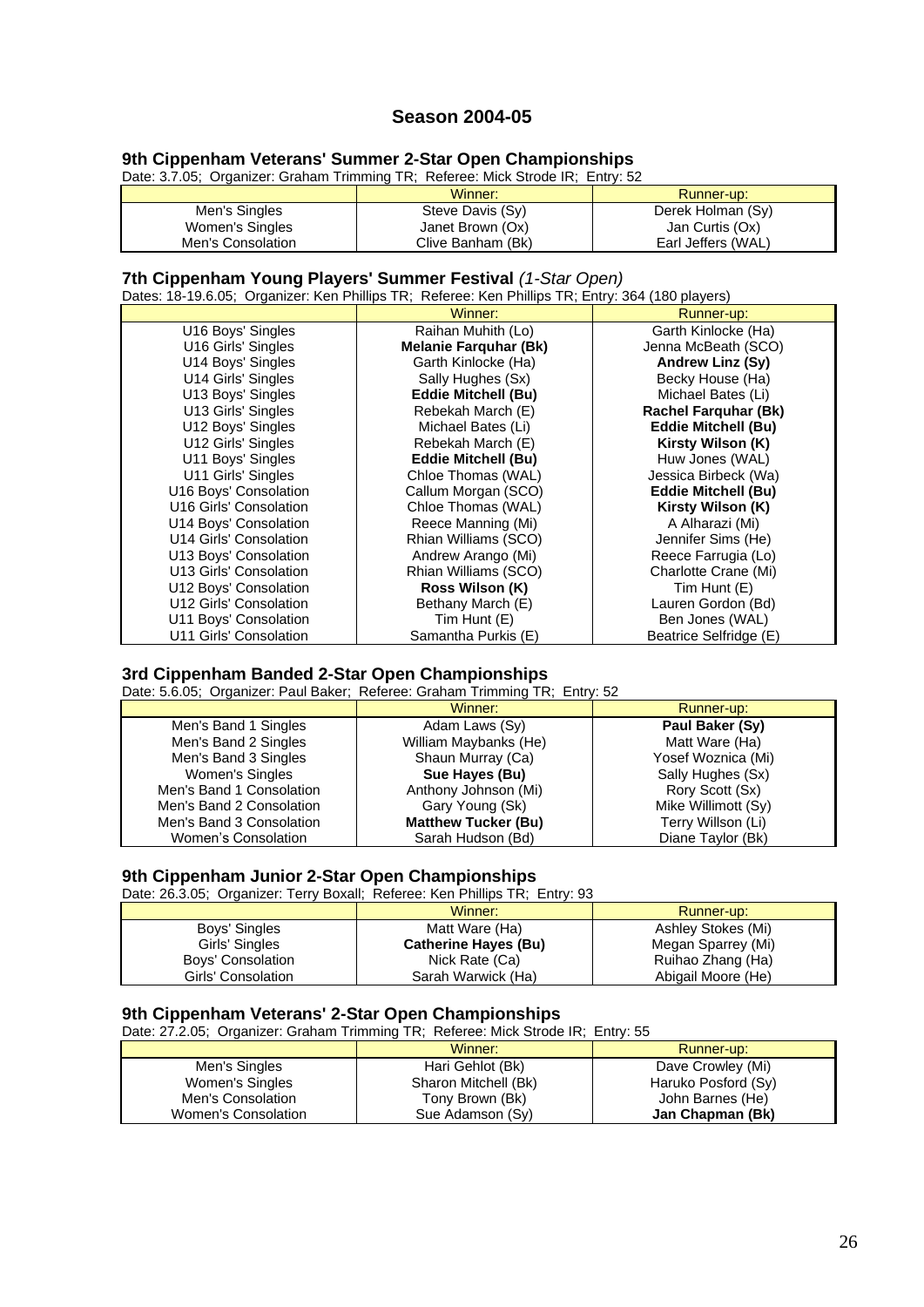# **Season 2004-05**

## **9th Cippenham Veterans' Summer 2-Star Open Championships**

Date: 3.7.05; Organizer: Graham Trimming TR; Referee: Mick Strode IR; Entry: 52

|                   | Winner:           | Runner-up:         |
|-------------------|-------------------|--------------------|
| Men's Singles     | Steve Davis (Sy)  | Derek Holman (Sy)  |
| Women's Singles   | Janet Brown (Ox)  | Jan Curtis (Ox)    |
| Men's Consolation | Clive Banham (Bk) | Earl Jeffers (WAL) |

#### **7th Cippenham Young Players' Summer Festival** *(1-Star Open)*

Dates: 18-19.6.05; Organizer: Ken Phillips TR; Referee: Ken Phillips TR; Entry: 364 (180 players)

|                        | Winner:                      | Runner-up:                  |
|------------------------|------------------------------|-----------------------------|
| U16 Boys' Singles      | Raihan Muhith (Lo)           | Garth Kinlocke (Ha)         |
| U16 Girls' Singles     | <b>Melanie Farquhar (Bk)</b> | Jenna McBeath (SCO)         |
| U14 Boys' Singles      | Garth Kinlocke (Ha)          | Andrew Linz (Sy)            |
| U14 Girls' Singles     | Sally Hughes (Sx)            | Becky House (Ha)            |
| U13 Boys' Singles      | <b>Eddie Mitchell (Bu)</b>   | Michael Bates (Li)          |
| U13 Girls' Singles     | Rebekah March (E)            | <b>Rachel Farquhar (Bk)</b> |
| U12 Boys' Singles      | Michael Bates (Li)           | <b>Eddie Mitchell (Bu)</b>  |
| U12 Girls' Singles     | Rebekah March (E)            | Kirsty Wilson (K)           |
| U11 Boys' Singles      | <b>Eddie Mitchell (Bu)</b>   | Huw Jones (WAL)             |
| U11 Girls' Singles     | Chloe Thomas (WAL)           | Jessica Birbeck (Wa)        |
| U16 Boys' Consolation  | Callum Morgan (SCO)          | <b>Eddie Mitchell (Bu)</b>  |
| U16 Girls' Consolation | Chloe Thomas (WAL)           | Kirsty Wilson (K)           |
| U14 Boys' Consolation  | Reece Manning (Mi)           | A Alharazi (Mi)             |
| U14 Girls' Consolation | Rhian Williams (SCO)         | Jennifer Sims (He)          |
| U13 Boys' Consolation  | Andrew Arango (Mi)           | Reece Farrugia (Lo)         |
| U13 Girls' Consolation | Rhian Williams (SCO)         | Charlotte Crane (Mi)        |
| U12 Boys' Consolation  | Ross Wilson (K)              | Tim Hunt (E)                |
| U12 Girls' Consolation | Bethany March (E)            | Lauren Gordon (Bd)          |
| U11 Boys' Consolation  | Tim Hunt (E)                 | Ben Jones (WAL)             |
| U11 Girls' Consolation | Samantha Purkis (E)          | Beatrice Selfridge (E)      |

## **3rd Cippenham Banded 2-Star Open Championships**

Date: 5.6.05; Organizer: Paul Baker; Referee: Graham Trimming TR; Entry: 52

|                          | Winner:                    | Runner-up:          |
|--------------------------|----------------------------|---------------------|
| Men's Band 1 Singles     | Adam Laws (Sy)             | Paul Baker (Sy)     |
| Men's Band 2 Singles     | William Maybanks (He)      | Matt Ware (Ha)      |
| Men's Band 3 Singles     | Shaun Murray (Ca)          | Yosef Woznica (Mi)  |
| Women's Singles          | Sue Hayes (Bu)             | Sally Hughes (Sx)   |
| Men's Band 1 Consolation | Anthony Johnson (Mi)       | Rory Scott (Sx)     |
| Men's Band 2 Consolation | Gary Young (Sk)            | Mike Willimott (Sy) |
| Men's Band 3 Consolation | <b>Matthew Tucker (Bu)</b> | Terry Willson (Li)  |
| Women's Consolation      | Sarah Hudson (Bd)          | Diane Taylor (Bk)   |

#### **9th Cippenham Junior 2-Star Open Championships**

Date: 26.3.05; Organizer: Terry Boxall; Referee: Ken Phillips TR; Entry: 93

|                    | Winner:                     | Runner-up:         |
|--------------------|-----------------------------|--------------------|
| Boys' Singles      | Matt Ware (Ha)              | Ashley Stokes (Mi) |
| Girls' Singles     | <b>Catherine Hayes (Bu)</b> | Megan Sparrey (Mi) |
| Boys' Consolation  | Nick Rate (Ca)              | Ruihao Zhang (Ha)  |
| Girls' Consolation | Sarah Warwick (Ha)          | Abigail Moore (He) |

#### **9th Cippenham Veterans' 2-Star Open Championships**

Date: 27.2.05; Organizer: Graham Trimming TR; Referee: Mick Strode IR; Entry: 55

|                     | Winner:              | Runner-up:          |
|---------------------|----------------------|---------------------|
| Men's Singles       | Hari Gehlot (Bk)     | Dave Crowley (Mi)   |
| Women's Singles     | Sharon Mitchell (Bk) | Haruko Posford (Sy) |
| Men's Consolation   | Tony Brown (Bk)      | John Barnes (He)    |
| Women's Consolation | Sue Adamson (Sy)     | Jan Chapman (Bk)    |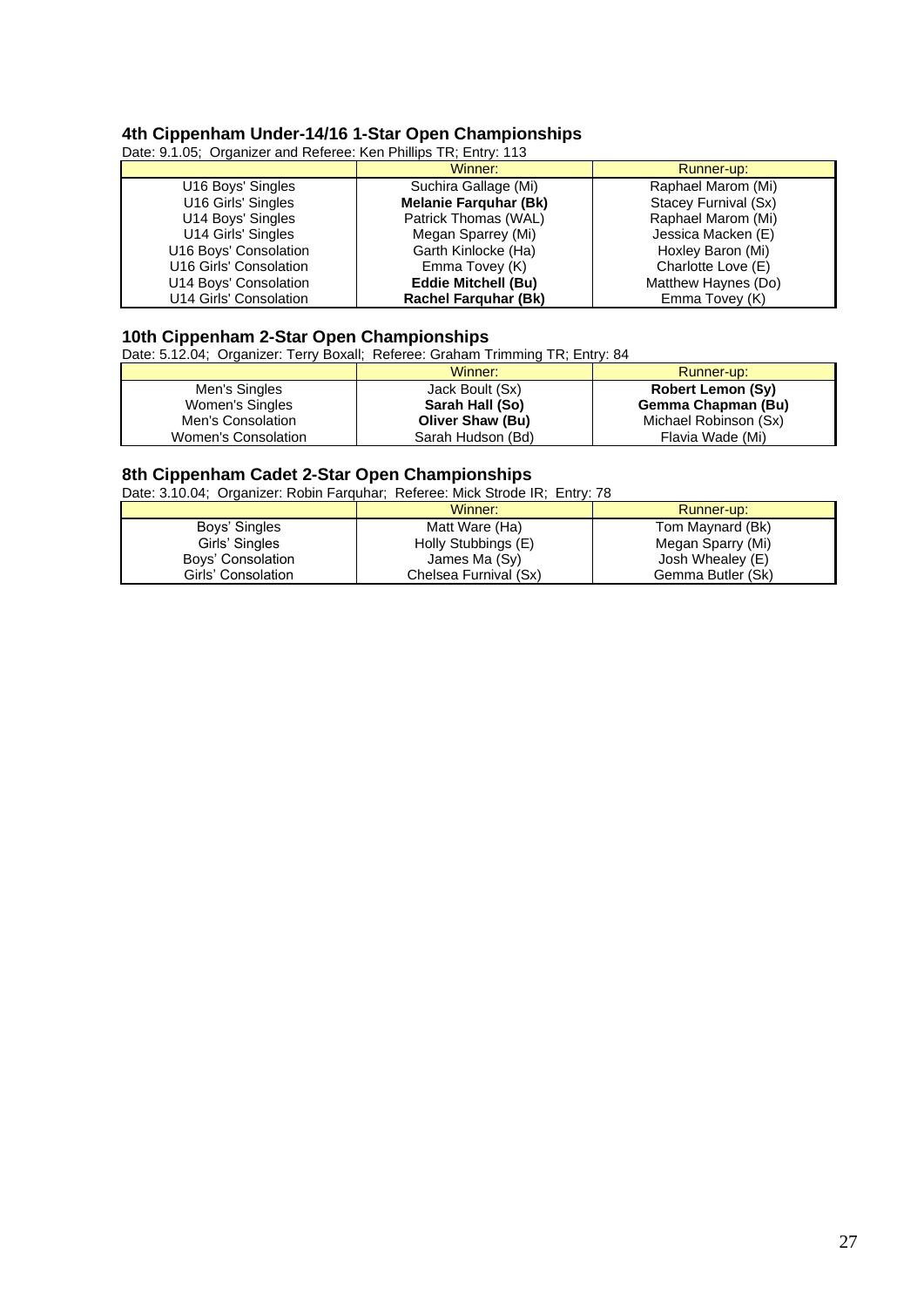# **4th Cippenham Under-14/16 1-Star Open Championships**

Date: 9.1.05; Organizer and Referee: Ken Phillips TR; Entry: 113

|                        | Winner:                      | Runner-up:           |
|------------------------|------------------------------|----------------------|
| U16 Boys' Singles      | Suchira Gallage (Mi)         | Raphael Marom (Mi)   |
| U16 Girls' Singles     | <b>Melanie Farquhar (Bk)</b> | Stacey Furnival (Sx) |
| U14 Boys' Singles      | Patrick Thomas (WAL)         | Raphael Marom (Mi)   |
| U14 Girls' Singles     | Megan Sparrey (Mi)           | Jessica Macken (E)   |
| U16 Boys' Consolation  | Garth Kinlocke (Ha)          | Hoxley Baron (Mi)    |
| U16 Girls' Consolation | Emma Tovey (K)               | Charlotte Love (E)   |
| U14 Boys' Consolation  | <b>Eddie Mitchell (Bu)</b>   | Matthew Haynes (Do)  |
| U14 Girls' Consolation | <b>Rachel Farguhar (Bk)</b>  | Emma Tovey (K)       |

#### **10th Cippenham 2-Star Open Championships**

Date: 5.12.04; Organizer: Terry Boxall; Referee: Graham Trimming TR; Entry: 84

|                     | Winner:                 | Runner-up:               |
|---------------------|-------------------------|--------------------------|
| Men's Singles       | Jack Boult (Sx)         | <b>Robert Lemon (Sy)</b> |
| Women's Singles     | Sarah Hall (So)         | Gemma Chapman (Bu)       |
| Men's Consolation   | <b>Oliver Shaw (Bu)</b> | Michael Robinson (Sx)    |
| Women's Consolation | Sarah Hudson (Bd)       | Flavia Wade (Mi)         |

#### **8th Cippenham Cadet 2-Star Open Championships**

Date: 3.10.04; Organizer: Robin Farquhar; Referee: Mick Strode IR; Entry: 78

|                    | Winner:               | Runner-up:        |
|--------------------|-----------------------|-------------------|
| Boys' Singles      | Matt Ware (Ha)        | Tom Maynard (Bk)  |
| Girls' Singles     | Holly Stubbings (E)   | Megan Sparry (Mi) |
| Boys' Consolation  | James Ma (Sy)         | Josh Whealey (E)  |
| Girls' Consolation | Chelsea Furnival (Sx) | Gemma Butler (Sk) |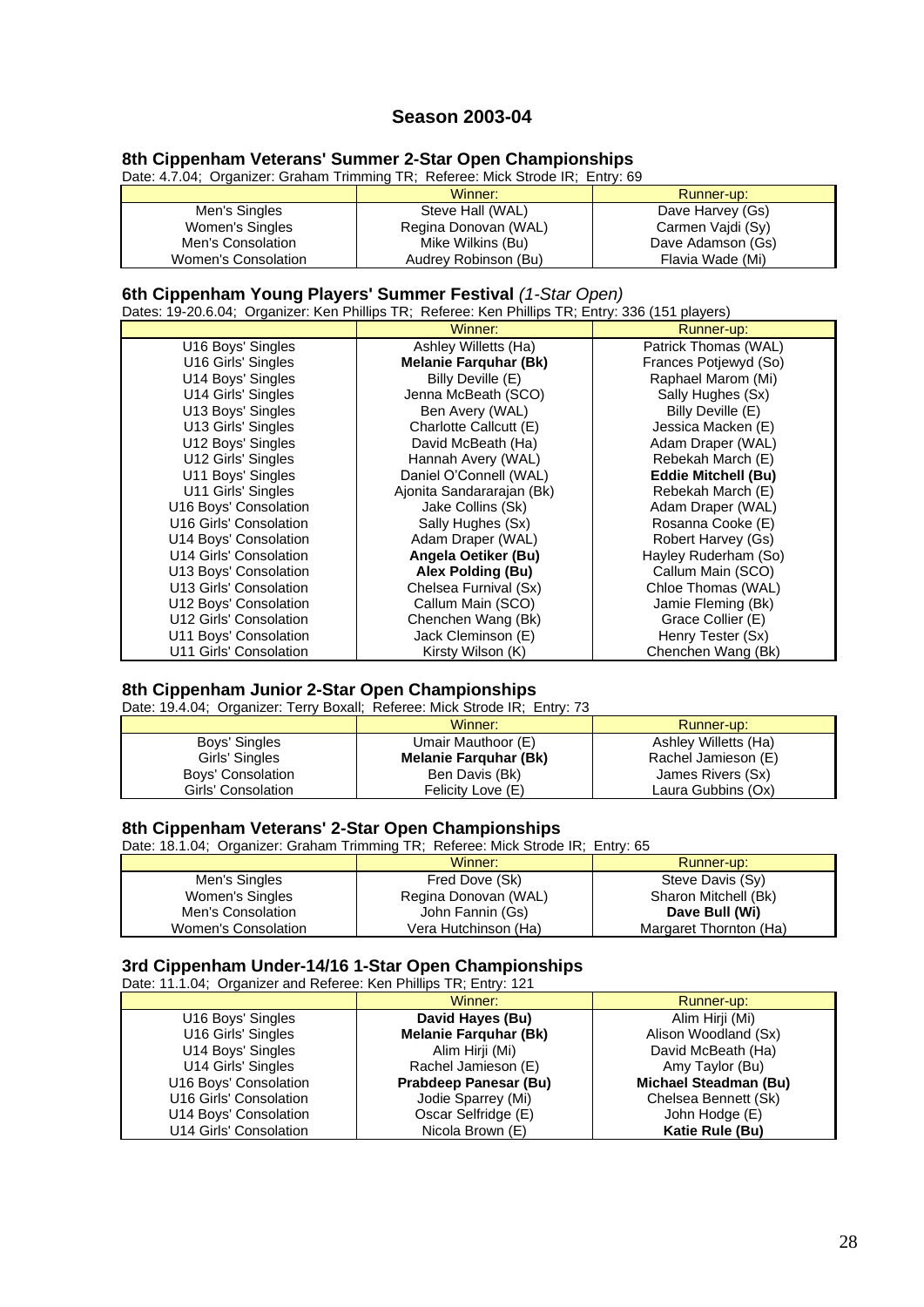# **Season 2003-04**

## **8th Cippenham Veterans' Summer 2-Star Open Championships**

Date: 4.7.04; Organizer: Graham Trimming TR; Referee: Mick Strode IR; Entry: 69

|                     | Winner:              | Runner-up:        |
|---------------------|----------------------|-------------------|
| Men's Singles       | Steve Hall (WAL)     | Dave Harvey (Gs)  |
| Women's Singles     | Regina Donovan (WAL) | Carmen Vaidi (Sy) |
| Men's Consolation   | Mike Wilkins (Bu)    | Dave Adamson (Gs) |
| Women's Consolation | Audrey Robinson (Bu) | Flavia Wade (Mi)  |

## **6th Cippenham Young Players' Summer Festival** *(1-Star Open)*

Dates: 19-20.6.04; Organizer: Ken Phillips TR; Referee: Ken Phillips TR; Entry: 336 (151 players)

|                        | $\frac{1}{2}$ and $\frac{1}{2}$ . The set of the set of the set of the set of the set of $\frac{1}{2}$ and $\frac{1}{2}$ and $\frac{1}{2}$ and $\frac{1}{2}$ and $\frac{1}{2}$ and $\frac{1}{2}$ and $\frac{1}{2}$ and $\frac{1}{2}$ and $\frac{1}{2}$ and $\frac{1}{2}$ and<br>Winner: | Runner-up:                 |
|------------------------|-----------------------------------------------------------------------------------------------------------------------------------------------------------------------------------------------------------------------------------------------------------------------------------------|----------------------------|
| U16 Boys' Singles      | Ashley Willetts (Ha)                                                                                                                                                                                                                                                                    | Patrick Thomas (WAL)       |
| U16 Girls' Singles     | <b>Melanie Farquhar (Bk)</b>                                                                                                                                                                                                                                                            | Frances Potjewyd (So)      |
| U14 Boys' Singles      | Billy Deville (E)                                                                                                                                                                                                                                                                       | Raphael Marom (Mi)         |
| U14 Girls' Singles     | Jenna McBeath (SCO)                                                                                                                                                                                                                                                                     | Sally Hughes (Sx)          |
| U13 Boys' Singles      | Ben Avery (WAL)                                                                                                                                                                                                                                                                         | Billy Deville (E)          |
| U13 Girls' Singles     | Charlotte Callcutt (E)                                                                                                                                                                                                                                                                  | Jessica Macken (E)         |
| U12 Boys' Singles      | David McBeath (Ha)                                                                                                                                                                                                                                                                      | Adam Draper (WAL)          |
| U12 Girls' Singles     | Hannah Avery (WAL)                                                                                                                                                                                                                                                                      | Rebekah March (E)          |
| U11 Boys' Singles      | Daniel O'Connell (WAL)                                                                                                                                                                                                                                                                  | <b>Eddie Mitchell (Bu)</b> |
| U11 Girls' Singles     | Ajonita Sandararajan (Bk)                                                                                                                                                                                                                                                               | Rebekah March (E)          |
| U16 Boys' Consolation  | Jake Collins (Sk)                                                                                                                                                                                                                                                                       | Adam Draper (WAL)          |
| U16 Girls' Consolation | Sally Hughes (Sx)                                                                                                                                                                                                                                                                       | Rosanna Cooke (E)          |
| U14 Boys' Consolation  | Adam Draper (WAL)                                                                                                                                                                                                                                                                       | Robert Harvey (Gs)         |
| U14 Girls' Consolation | Angela Oetiker (Bu)                                                                                                                                                                                                                                                                     | Hayley Ruderham (So)       |
| U13 Boys' Consolation  | Alex Polding (Bu)                                                                                                                                                                                                                                                                       | Callum Main (SCO)          |
| U13 Girls' Consolation | Chelsea Furnival (Sx)                                                                                                                                                                                                                                                                   | Chloe Thomas (WAL)         |
| U12 Boys' Consolation  | Callum Main (SCO)                                                                                                                                                                                                                                                                       | Jamie Fleming (Bk)         |
| U12 Girls' Consolation | Chenchen Wang (Bk)                                                                                                                                                                                                                                                                      | Grace Collier (E)          |
| U11 Boys' Consolation  | Jack Cleminson (E)                                                                                                                                                                                                                                                                      | Henry Tester (Sx)          |
| U11 Girls' Consolation | Kirsty Wilson (K)                                                                                                                                                                                                                                                                       | Chenchen Wang (Bk)         |

## **8th Cippenham Junior 2-Star Open Championships**

Date: 19.4.04; Organizer: Terry Boxall; Referee: Mick Strode IR; Entry: 73

|                    | Winner:                      | Runner-up:           |
|--------------------|------------------------------|----------------------|
| Boys' Singles      | Umair Mauthoor (E)           | Ashley Willetts (Ha) |
| Girls' Singles     | <b>Melanie Farguhar (Bk)</b> | Rachel Jamieson (E)  |
| Boys' Consolation  | Ben Davis (Bk)               | James Rivers (Sx)    |
| Girls' Consolation | Felicity Love (E)            | Laura Gubbins (Ox)   |

## **8th Cippenham Veterans' 2-Star Open Championships**

Date: 18.1.04; Organizer: Graham Trimming TR; Referee: Mick Strode IR; Entry: 65

|                     | Winner:              | Runner-up:             |
|---------------------|----------------------|------------------------|
| Men's Singles       | Fred Dove (Sk)       | Steve Davis (Sy)       |
| Women's Singles     | Regina Donovan (WAL) | Sharon Mitchell (Bk)   |
| Men's Consolation   | John Fannin (Gs)     | Dave Bull (Wi)         |
| Women's Consolation | Vera Hutchinson (Ha) | Margaret Thornton (Ha) |

## **3rd Cippenham Under-14/16 1-Star Open Championships**

| Date: 11.1.04; Organizer and Referee: Ken Phillips TR; Entry: 121 |                              |                              |
|-------------------------------------------------------------------|------------------------------|------------------------------|
|                                                                   | Winner:                      | Runner-up:                   |
| U16 Boys' Singles                                                 | David Hayes (Bu)             | Alim Hirji (Mi)              |
| U16 Girls' Singles                                                | <b>Melanie Farquhar (Bk)</b> | Alison Woodland (Sx)         |
| U14 Boys' Singles                                                 | Alim Hirji (Mi)              | David McBeath (Ha)           |
| U14 Girls' Singles                                                | Rachel Jamieson (E)          | Amy Taylor (Bu)              |
| U16 Boys' Consolation                                             | Prabdeep Panesar (Bu)        | <b>Michael Steadman (Bu)</b> |
| U16 Girls' Consolation                                            | Jodie Sparrey (Mi)           | Chelsea Bennett (Sk)         |
| U14 Boys' Consolation                                             | Oscar Selfridge (E)          | John Hodge (E)               |
| U14 Girls' Consolation                                            | Nicola Brown (E)             | Katie Rule (Bu)              |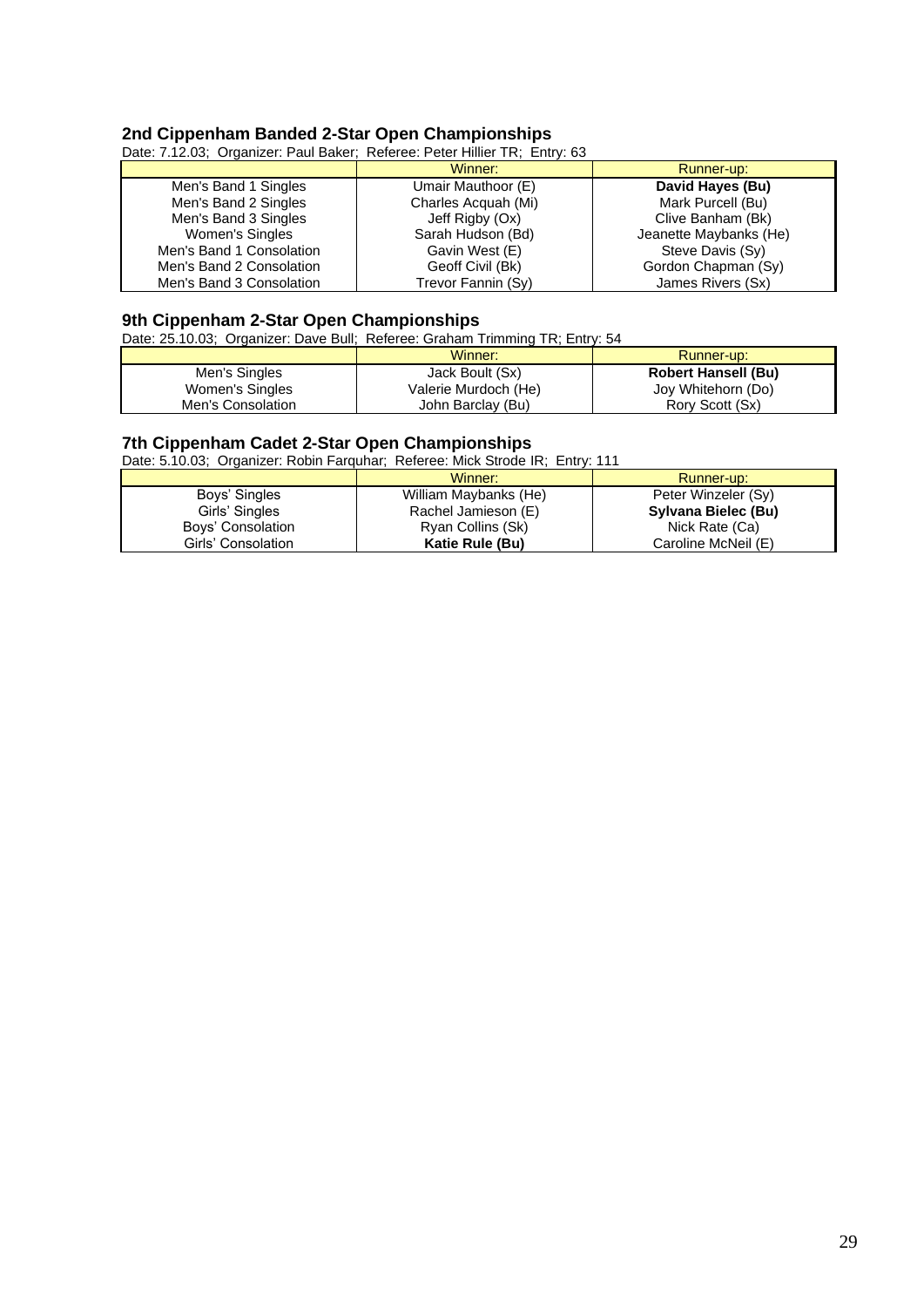## **2nd Cippenham Banded 2-Star Open Championships**

Date: 7.12.03; Organizer: Paul Baker; Referee: Peter Hillier TR; Entry: 63

|                          | Winner:             | Runner-up:             |
|--------------------------|---------------------|------------------------|
| Men's Band 1 Singles     | Umair Mauthoor (E)  | David Hayes (Bu)       |
| Men's Band 2 Singles     | Charles Acquah (Mi) | Mark Purcell (Bu)      |
| Men's Band 3 Singles     | Jeff Rigby (Ox)     | Clive Banham (Bk)      |
| Women's Singles          | Sarah Hudson (Bd)   | Jeanette Maybanks (He) |
| Men's Band 1 Consolation | Gavin West (E)      | Steve Davis (Sy)       |
| Men's Band 2 Consolation | Geoff Civil (Bk)    | Gordon Chapman (Sy)    |
| Men's Band 3 Consolation | Trevor Fannin (Sy)  | James Rivers (Sx)      |

#### **9th Cippenham 2-Star Open Championships**

Date: 25.10.03; Organizer: Dave Bull; Referee: Graham Trimming TR; Entry: 54

|                   | Winner:              | Runner-up:                 |
|-------------------|----------------------|----------------------------|
| Men's Singles     | Jack Boult (Sx)      | <b>Robert Hansell (Bu)</b> |
| Women's Singles   | Valerie Murdoch (He) | Joy Whitehorn (Do)         |
| Men's Consolation | John Barclay (Bu)    | Rory Scott (Sx)            |

#### **7th Cippenham Cadet 2-Star Open Championships**

Date: 5.10.03; Organizer: Robin Farquhar; Referee: Mick Strode IR; Entry: 111

|                    | Winner:               | Runner-up:          |
|--------------------|-----------------------|---------------------|
| Boys' Singles      | William Maybanks (He) | Peter Winzeler (Sy) |
| Girls' Singles     | Rachel Jamieson (E)   | Sylvana Bielec (Bu) |
| Boys' Consolation  | Ryan Collins (Sk)     | Nick Rate (Ca)      |
| Girls' Consolation | Katie Rule (Bu)       | Caroline McNeil (E) |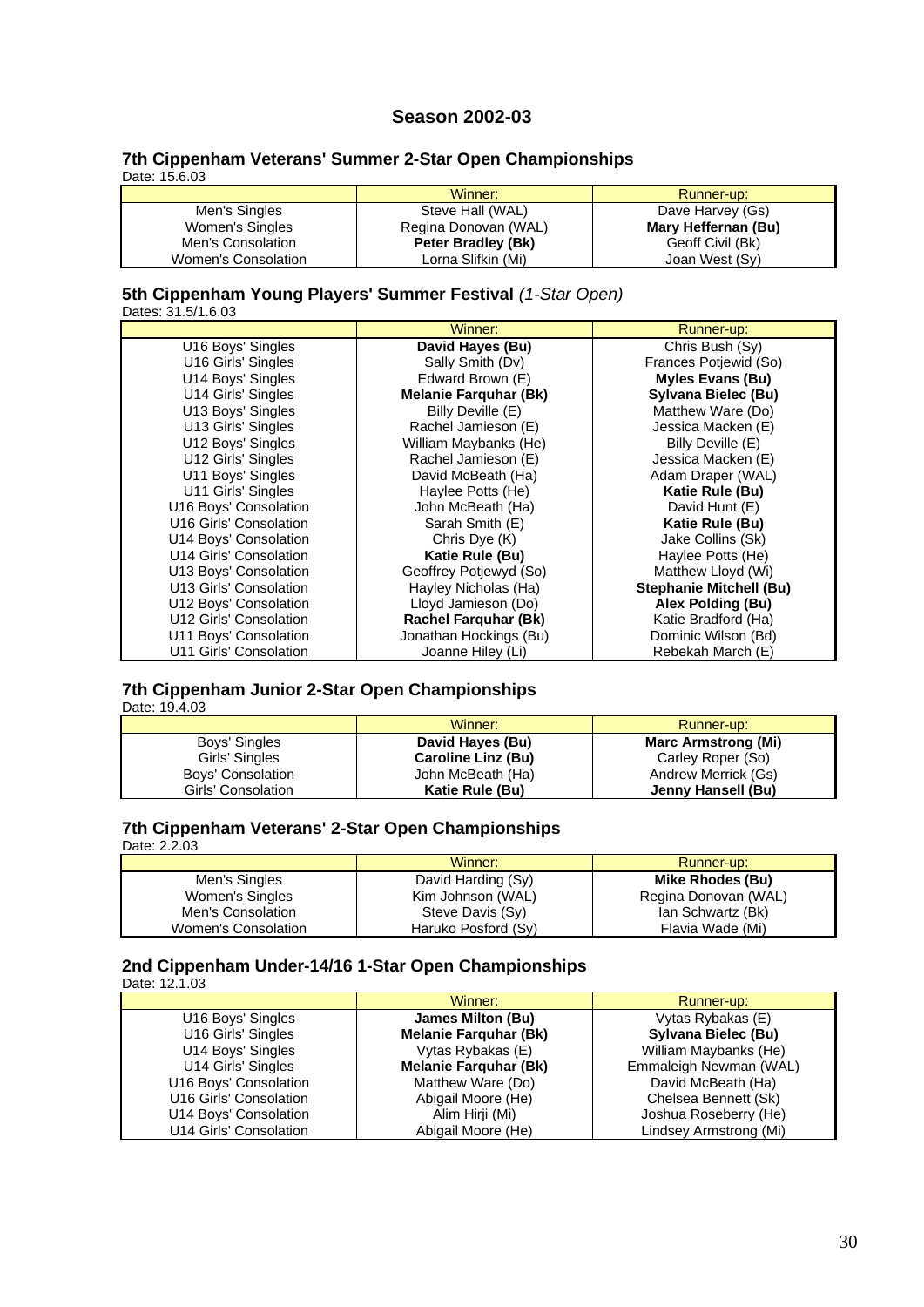# **Season 2002-03**

#### **7th Cippenham Veterans' Summer 2-Star Open Championships** Date: 15.6.03

|                     | Winner:              | Runner-up:          |
|---------------------|----------------------|---------------------|
| Men's Singles       | Steve Hall (WAL)     | Dave Harvey (Gs)    |
| Women's Singles     | Regina Donovan (WAL) | Mary Heffernan (Bu) |
| Men's Consolation   | Peter Bradley (Bk)   | Geoff Civil (Bk)    |
| Women's Consolation | Lorna Slifkin (Mi)   | Joan West (Sy)      |

#### **5th Cippenham Young Players' Summer Festival** *(1-Star Open)* Dates: 31.5/1.6.03

|                        | Winner:                      | Runner-up:                     |
|------------------------|------------------------------|--------------------------------|
| U16 Boys' Singles      | David Hayes (Bu)             | Chris Bush (Sy)                |
| U16 Girls' Singles     | Sally Smith (Dv)             | Frances Potjewid (So)          |
| U14 Boys' Singles      | Edward Brown (E)             | <b>Myles Evans (Bu)</b>        |
| U14 Girls' Singles     | <b>Melanie Farquhar (Bk)</b> | Sylvana Bielec (Bu)            |
| U13 Boys' Singles      | Billy Deville (E)            | Matthew Ware (Do)              |
| U13 Girls' Singles     | Rachel Jamieson (E)          | Jessica Macken (E)             |
| U12 Boys' Singles      | William Maybanks (He)        | Billy Deville (E)              |
| U12 Girls' Singles     | Rachel Jamieson (E)          | Jessica Macken (E)             |
| U11 Boys' Singles      | David McBeath (Ha)           | Adam Draper (WAL)              |
| U11 Girls' Singles     | Haylee Potts (He)            | Katie Rule (Bu)                |
| U16 Boys' Consolation  | John McBeath (Ha)            | David Hunt (E)                 |
| U16 Girls' Consolation | Sarah Smith (E)              | Katie Rule (Bu)                |
| U14 Boys' Consolation  | Chris Dye (K)                | Jake Collins (Sk)              |
| U14 Girls' Consolation | Katie Rule (Bu)              | Haylee Potts (He)              |
| U13 Boys' Consolation  | Geoffrey Potjewyd (So)       | Matthew Lloyd (Wi)             |
| U13 Girls' Consolation | Hayley Nicholas (Ha)         | <b>Stephanie Mitchell (Bu)</b> |
| U12 Boys' Consolation  | Lloyd Jamieson (Do)          | Alex Polding (Bu)              |
| U12 Girls' Consolation | <b>Rachel Farquhar (Bk)</b>  | Katie Bradford (Ha)            |
| U11 Boys' Consolation  | Jonathan Hockings (Bu)       | Dominic Wilson (Bd)            |
| U11 Girls' Consolation | Joanne Hiley (Li)            | Rebekah March (E)              |

#### **7th Cippenham Junior 2-Star Open Championships** Date: 19.4.03

|                    | Winner:                   | Runner-up:                 |
|--------------------|---------------------------|----------------------------|
| Boys' Singles      | David Hayes (Bu)          | <b>Marc Armstrong (Mi)</b> |
| Girls' Singles     | <b>Caroline Linz (Bu)</b> | Carley Roper (So)          |
| Boys' Consolation  | John McBeath (Ha)         | Andrew Merrick (Gs)        |
| Girls' Consolation | Katie Rule (Bu)           | Jenny Hansell (Bu)         |

### **7th Cippenham Veterans' 2-Star Open Championships** Date: 2.2.03

|                     | Winner:             | Runner-up:           |
|---------------------|---------------------|----------------------|
| Men's Singles       | David Harding (Sy)  | Mike Rhodes (Bu)     |
| Women's Singles     | Kim Johnson (WAL)   | Regina Donovan (WAL) |
| Men's Consolation   | Steve Davis (Sy)    | lan Schwartz (Bk)    |
| Women's Consolation | Haruko Posford (Sy) | Flavia Wade (Mi)     |

#### **2nd Cippenham Under-14/16 1-Star Open Championships** Date: 12.1.03

|                        | Winner:                      | Runner-up:             |
|------------------------|------------------------------|------------------------|
| U16 Boys' Singles      | <b>James Milton (Bu)</b>     | Vytas Rybakas (E)      |
| U16 Girls' Singles     | <b>Melanie Farquhar (Bk)</b> | Sylvana Bielec (Bu)    |
| U14 Boys' Singles      | Vytas Rybakas (E)            | William Maybanks (He)  |
| U14 Girls' Singles     | <b>Melanie Farquhar (Bk)</b> | Emmaleigh Newman (WAL) |
| U16 Boys' Consolation  | Matthew Ware (Do)            | David McBeath (Ha)     |
| U16 Girls' Consolation | Abigail Moore (He)           | Chelsea Bennett (Sk)   |
| U14 Boys' Consolation  | Alim Hirji (Mi)              | Joshua Roseberry (He)  |
| U14 Girls' Consolation | Abigail Moore (He)           | Lindsey Armstrong (Mi) |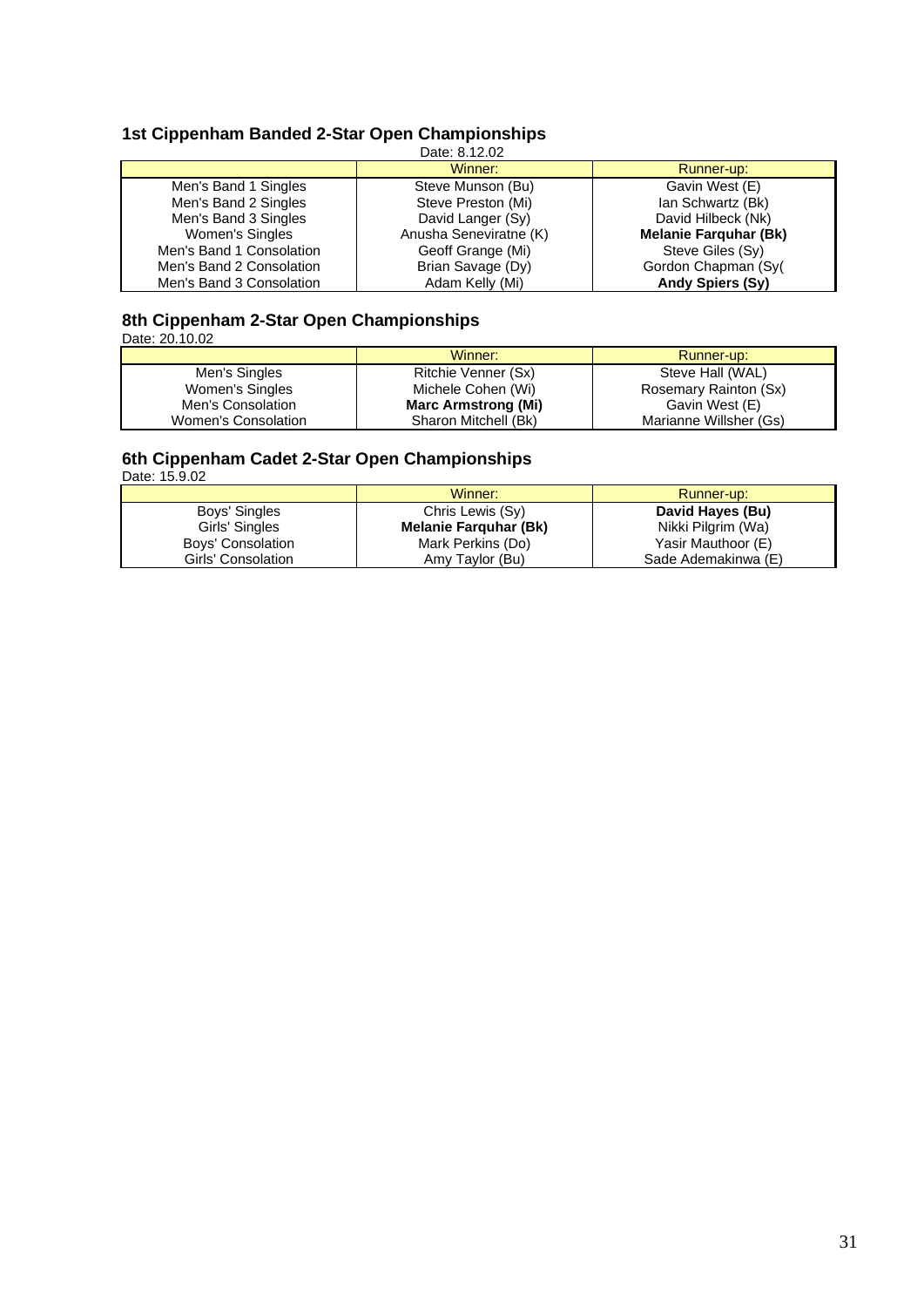# **1st Cippenham Banded 2-Star Open Championships**

| Date: 8.12.02            |                        |                              |
|--------------------------|------------------------|------------------------------|
|                          | Winner:                | Runner-up:                   |
| Men's Band 1 Singles     | Steve Munson (Bu)      | Gavin West (E)               |
| Men's Band 2 Singles     | Steve Preston (Mi)     | Ian Schwartz (Bk)            |
| Men's Band 3 Singles     | David Langer (Sy)      | David Hilbeck (Nk)           |
| Women's Singles          | Anusha Seneviratne (K) | <b>Melanie Farquhar (Bk)</b> |
| Men's Band 1 Consolation | Geoff Grange (Mi)      | Steve Giles (Sy)             |
| Men's Band 2 Consolation | Brian Savage (Dy)      | Gordon Chapman (Syl          |
| Men's Band 3 Consolation | Adam Kelly (Mi)        | <b>Andy Spiers (Sy)</b>      |

# **8th Cippenham 2-Star Open Championships**

Date: 20.10.02

|                     | Winner:                    | Runner-up:             |
|---------------------|----------------------------|------------------------|
| Men's Singles       | Ritchie Venner (Sx)        | Steve Hall (WAL)       |
| Women's Singles     | Michele Cohen (Wi)         | Rosemary Rainton (Sx)  |
| Men's Consolation   | <b>Marc Armstrong (Mi)</b> | Gavin West (E)         |
| Women's Consolation | Sharon Mitchell (Bk)       | Marianne Willsher (Gs) |

# **6th Cippenham Cadet 2-Star Open Championships**

Date: 15.9.02

|                    | Winner:               | Runner-up:          |
|--------------------|-----------------------|---------------------|
| Boys' Singles      | Chris Lewis (Sy)      | David Hayes (Bu)    |
| Girls' Singles     | Melanie Farguhar (Bk) | Nikki Pilgrim (Wa)  |
| Boys' Consolation  | Mark Perkins (Do)     | Yasir Mauthoor (E)  |
| Girls' Consolation | Amy Taylor (Bu)       | Sade Ademakinwa (E) |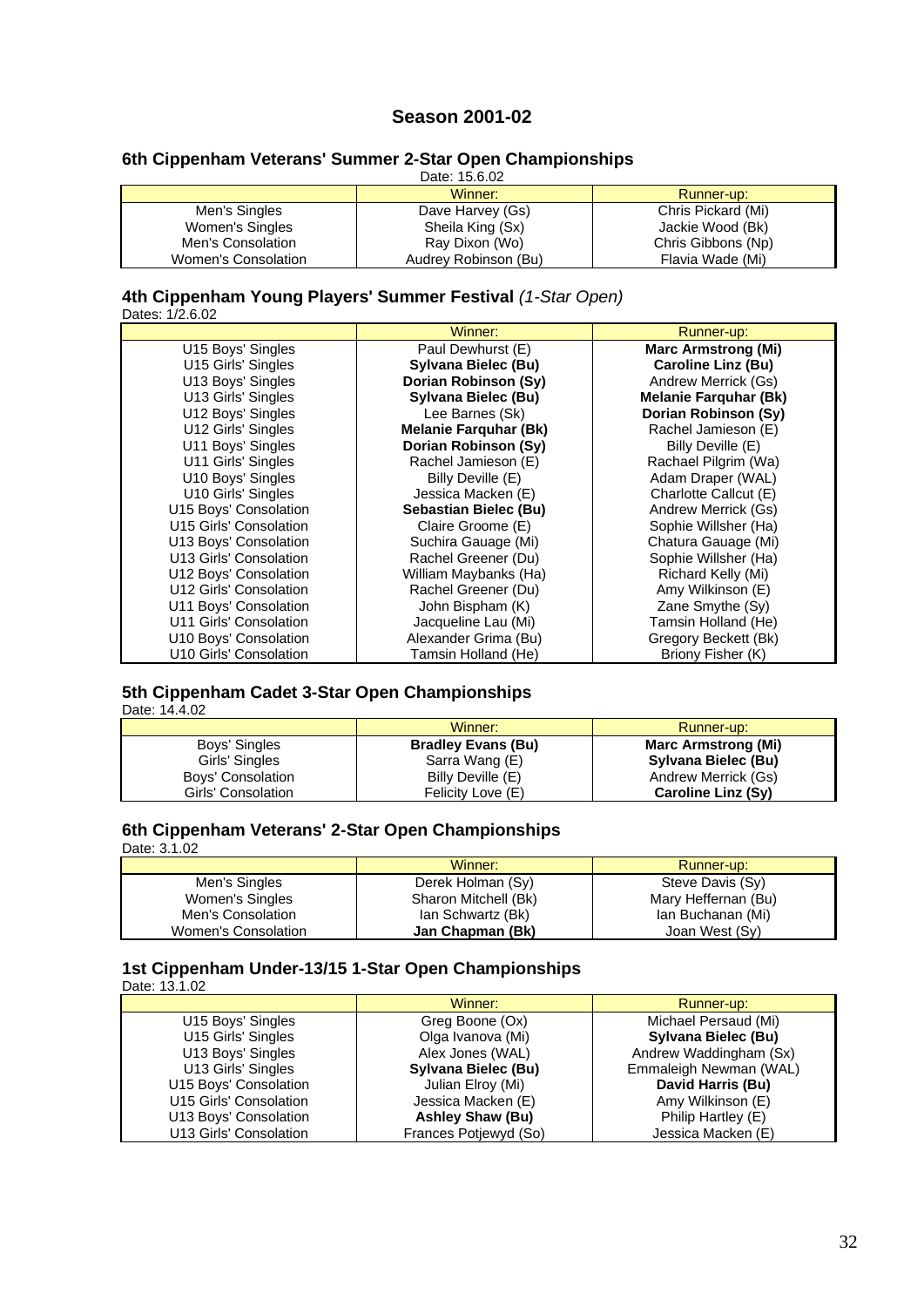# **Season 2001-02**

# **6th Cippenham Veterans' Summer 2-Star Open Championships**

| Date: 15.6.02       |                      |                    |
|---------------------|----------------------|--------------------|
|                     | Winner:              | Runner-up:         |
| Men's Singles       | Dave Harvey (Gs)     | Chris Pickard (Mi) |
| Women's Singles     | Sheila King (Sx)     | Jackie Wood (Bk)   |
| Men's Consolation   | Ray Dixon (Wo)       | Chris Gibbons (Np) |
| Women's Consolation | Audrey Robinson (Bu) | Flavia Wade (Mi)   |

# **4th Cippenham Young Players' Summer Festival** *(1-Star Open)*

Dates: 1/2.6.02

|                        | Winner:                      | Runner-up:                   |
|------------------------|------------------------------|------------------------------|
| U15 Boys' Singles      | Paul Dewhurst (E)            | <b>Marc Armstrong (Mi)</b>   |
| U15 Girls' Singles     | Sylvana Bielec (Bu)          | <b>Caroline Linz (Bu)</b>    |
| U13 Boys' Singles      | Dorian Robinson (Sy)         | Andrew Merrick (Gs)          |
| U13 Girls' Singles     | Sylvana Bielec (Bu)          | <b>Melanie Farquhar (Bk)</b> |
| U12 Boys' Singles      | Lee Barnes (Sk)              | Dorian Robinson (Sy)         |
| U12 Girls' Singles     | <b>Melanie Farquhar (Bk)</b> | Rachel Jamieson (E)          |
| U11 Boys' Singles      | Dorian Robinson (Sy)         | Billy Deville (E)            |
| U11 Girls' Singles     | Rachel Jamieson (E)          | Rachael Pilgrim (Wa)         |
| U10 Boys' Singles      | Billy Deville (E)            | Adam Draper (WAL)            |
| U10 Girls' Singles     | Jessica Macken (E)           | Charlotte Callcut (E)        |
| U15 Boys' Consolation  | Sebastian Bielec (Bu)        | Andrew Merrick (Gs)          |
| U15 Girls' Consolation | Claire Groome (E)            | Sophie Willsher (Ha)         |
| U13 Boys' Consolation  | Suchira Gauage (Mi)          | Chatura Gauage (Mi)          |
| U13 Girls' Consolation | Rachel Greener (Du)          | Sophie Willsher (Ha)         |
| U12 Boys' Consolation  | William Maybanks (Ha)        | Richard Kelly (Mi)           |
| U12 Girls' Consolation | Rachel Greener (Du)          | Amy Wilkinson (E)            |
| U11 Boys' Consolation  | John Bispham (K)             | Zane Smythe (Sy)             |
| U11 Girls' Consolation | Jacqueline Lau (Mi)          | Tamsin Holland (He)          |
| U10 Boys' Consolation  | Alexander Grima (Bu)         | Gregory Beckett (Bk)         |
| U10 Girls' Consolation | Tamsin Holland (He)          | Briony Fisher (K)            |

#### **5th Cippenham Cadet 3-Star Open Championships** Date: 14.4.02

|                    | Winner:                   | Runner-up:                 |
|--------------------|---------------------------|----------------------------|
| Boys' Singles      | <b>Bradley Evans (Bu)</b> | <b>Marc Armstrong (Mi)</b> |
| Girls' Singles     | Sarra Wang (E)            | Sylvana Bielec (Bu)        |
| Boys' Consolation  | Billy Deville (E)         | Andrew Merrick (Gs)        |
| Girls' Consolation | Felicity Love (E)         | Caroline Linz (Sy)         |

### **6th Cippenham Veterans' 2-Star Open Championships** Date: 3.1.02

|                     | Winner:              | Runner-up:          |
|---------------------|----------------------|---------------------|
| Men's Singles       | Derek Holman (Sy)    | Steve Davis (Sy)    |
| Women's Singles     | Sharon Mitchell (Bk) | Mary Heffernan (Bu) |
| Men's Consolation   | lan Schwartz (Bk)    | Ian Buchanan (Mi)   |
| Women's Consolation | Jan Chapman (Bk)     | Joan West (Sy)      |

#### **1st Cippenham Under-13/15 1-Star Open Championships** Date: 13.1.02

|                        | Winner:                 | Runner-up:             |
|------------------------|-------------------------|------------------------|
| U15 Boys' Singles      | Greg Boone (Ox)         | Michael Persaud (Mi)   |
| U15 Girls' Singles     | Olga Ivanova (Mi)       | Sylvana Bielec (Bu)    |
| U13 Boys' Singles      | Alex Jones (WAL)        | Andrew Waddingham (Sx) |
| U13 Girls' Singles     | Sylvana Bielec (Bu)     | Emmaleigh Newman (WAL) |
| U15 Boys' Consolation  | Julian Elroy (Mi)       | David Harris (Bu)      |
| U15 Girls' Consolation | Jessica Macken (E)      | Amy Wilkinson (E)      |
| U13 Boys' Consolation  | <b>Ashley Shaw (Bu)</b> | Philip Hartley (E)     |
| U13 Girls' Consolation | Frances Potjewyd (So)   | Jessica Macken (E)     |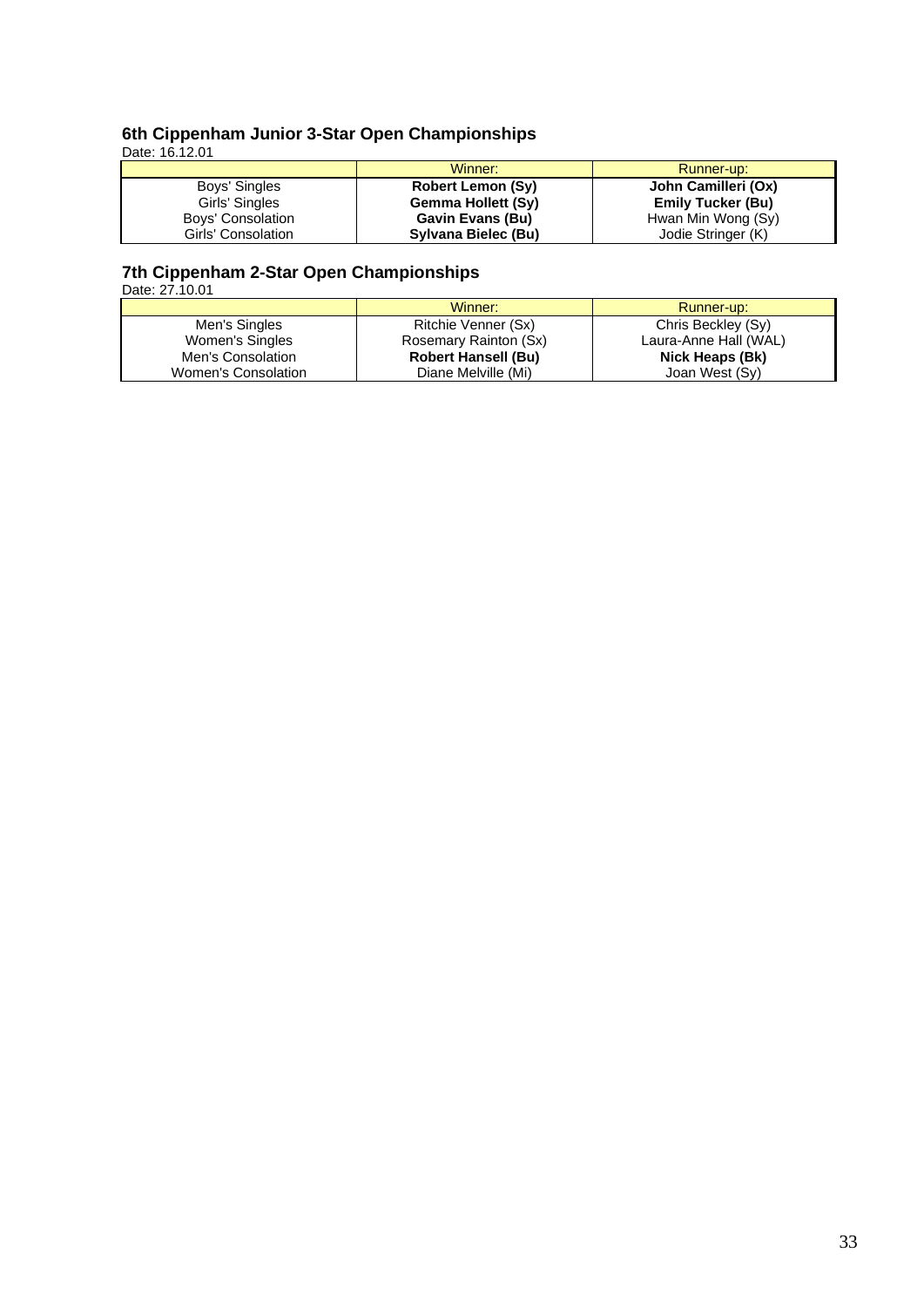#### **6th Cippenham Junior 3-Star Open Championships** Date: 16.12.01

|                    | Winner:                   | Runner-up:               |
|--------------------|---------------------------|--------------------------|
| Boys' Singles      | <b>Robert Lemon (Sy)</b>  | John Camilleri (Ox)      |
| Girls' Singles     | <b>Gemma Hollett (Sy)</b> | <b>Emily Tucker (Bu)</b> |
| Boys' Consolation  | Gavin Evans (Bu)          | Hwan Min Wong (Sy)       |
| Girls' Consolation | Sylvana Bielec (Bu)       | Jodie Stringer (K)       |

# **7th Cippenham 2-Star Open Championships**

Date: 27.10.01

|                     | Winner:                    | Runner-up:            |
|---------------------|----------------------------|-----------------------|
| Men's Singles       | Ritchie Venner (Sx)        | Chris Beckley (Sy)    |
| Women's Singles     | Rosemary Rainton (Sx)      | Laura-Anne Hall (WAL) |
| Men's Consolation   | <b>Robert Hansell (Bu)</b> | Nick Heaps (Bk)       |
| Women's Consolation | Diane Melville (Mi)        | Joan West (Sy)        |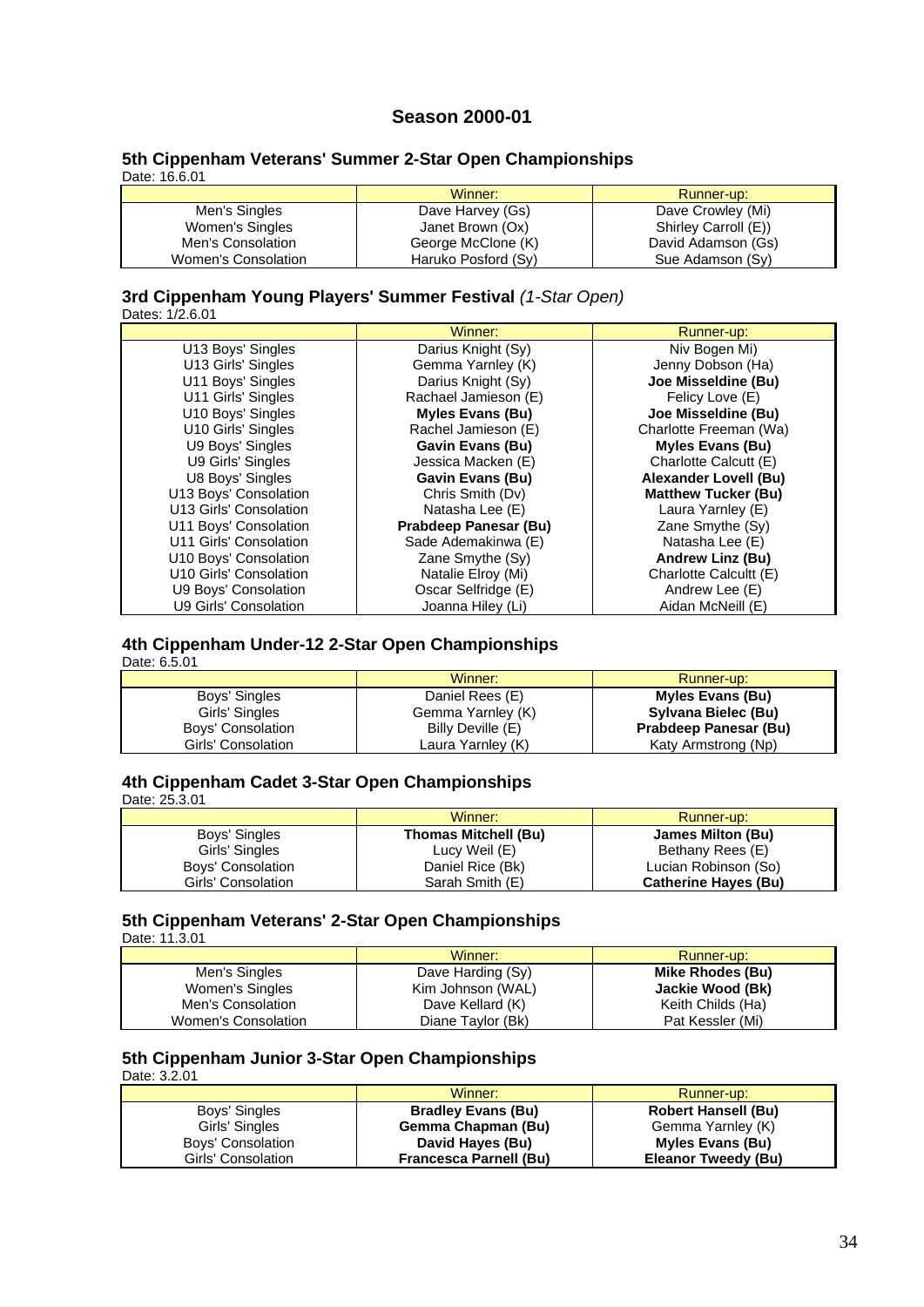# **Season 2000-01**

#### **5th Cippenham Veterans' Summer 2-Star Open Championships** Date: 16.6.01

|                     | Winner:             | Runner-up:           |
|---------------------|---------------------|----------------------|
| Men's Singles       | Dave Harvey (Gs)    | Dave Crowley (Mi)    |
| Women's Singles     | Janet Brown (Ox)    | Shirley Carroll (E)) |
| Men's Consolation   | George McClone (K)  | David Adamson (Gs)   |
| Women's Consolation | Haruko Posford (Sy) | Sue Adamson (Sy)     |

# **3rd Cippenham Young Players' Summer Festival** *(1-Star Open)*

| Dates: 1/2.6.01 |
|-----------------|
|                 |

|                        | Winner:                 | Runner-up:                   |
|------------------------|-------------------------|------------------------------|
| U13 Boys' Singles      | Darius Knight (Sy)      | Niv Bogen Mi)                |
| U13 Girls' Singles     | Gemma Yarnley (K)       | Jenny Dobson (Ha)            |
| U11 Boys' Singles      | Darius Knight (Sy)      | Joe Misseldine (Bu)          |
| U11 Girls' Singles     | Rachael Jamieson (E)    | Felicy Love (E)              |
| U10 Boys' Singles      | <b>Myles Evans (Bu)</b> | Joe Misseldine (Bu)          |
| U10 Girls' Singles     | Rachel Jamieson (E)     | Charlotte Freeman (Wa)       |
| U9 Boys' Singles       | <b>Gavin Evans (Bu)</b> | <b>Myles Evans (Bu)</b>      |
| U9 Girls' Singles      | Jessica Macken (E)      | Charlotte Calcutt (E)        |
| U8 Boys' Singles       | <b>Gavin Evans (Bu)</b> | <b>Alexander Lovell (Bu)</b> |
| U13 Boys' Consolation  | Chris Smith (Dv)        | <b>Matthew Tucker (Bu)</b>   |
| U13 Girls' Consolation | Natasha Lee (E)         | Laura Yarnley (E)            |
| U11 Boys' Consolation  | Prabdeep Panesar (Bu)   | Zane Smythe $(S_V)$          |
| U11 Girls' Consolation | Sade Ademakinwa (E)     | Natasha Lee (E)              |
| U10 Boys' Consolation  | Zane Smythe (Sy)        | Andrew Linz (Bu)             |
| U10 Girls' Consolation | Natalie Elroy (Mi)      | Charlotte Calcultt (E)       |
| U9 Boys' Consolation   | Oscar Selfridge (E)     | Andrew Lee (E)               |
| U9 Girls' Consolation  | Joanna Hiley (Li)       | Aidan McNeill (E)            |

# **4th Cippenham Under-12 2-Star Open Championships**

Date: 6.5.01

|                    | Winner:           | Runner-up:              |
|--------------------|-------------------|-------------------------|
| Boys' Singles      | Daniel Rees (E)   | <b>Myles Evans (Bu)</b> |
| Girls' Singles     | Gemma Yarnley (K) | Sylvana Bielec (Bu)     |
| Boys' Consolation  | Billy Deville (E) | Prabdeep Panesar (Bu)   |
| Girls' Consolation | Laura Yarnley (K) | Katy Armstrong (Np)     |

# **4th Cippenham Cadet 3-Star Open Championships**

Date: 25.3.01

|                    | Winner:                     | Runner-up:                  |
|--------------------|-----------------------------|-----------------------------|
| Boys' Singles      | <b>Thomas Mitchell (Bu)</b> | James Milton (Bu)           |
| Girls' Singles     | Lucy Weil (E)               | Bethany Rees (E)            |
| Boys' Consolation  | Daniel Rice (Bk)            | Lucian Robinson (So)        |
| Girls' Consolation | Sarah Smith (E)             | <b>Catherine Hayes (Bu)</b> |

#### **5th Cippenham Veterans' 2-Star Open Championships** Date: 11.3.01

|                     | Winner:           | Runner-up:        |
|---------------------|-------------------|-------------------|
| Men's Singles       | Dave Harding (Sy) | Mike Rhodes (Bu)  |
| Women's Singles     | Kim Johnson (WAL) | Jackie Wood (Bk)  |
| Men's Consolation   | Dave Kellard (K)  | Keith Childs (Ha) |
| Women's Consolation | Diane Taylor (Bk) | Pat Kessler (Mi)  |

# **5th Cippenham Junior 3-Star Open Championships**

Date: 3.2.01

|                    | Winner:                       | Runner-up:                 |
|--------------------|-------------------------------|----------------------------|
| Boys' Singles      | <b>Bradley Evans (Bu)</b>     | <b>Robert Hansell (Bu)</b> |
| Girls' Singles     | Gemma Chapman (Bu)            | Gemma Yarnley (K)          |
| Boys' Consolation  | David Hayes (Bu)              | <b>Myles Evans (Bu)</b>    |
| Girls' Consolation | <b>Francesca Parnell (Bu)</b> | Eleanor Tweedy (Bu)        |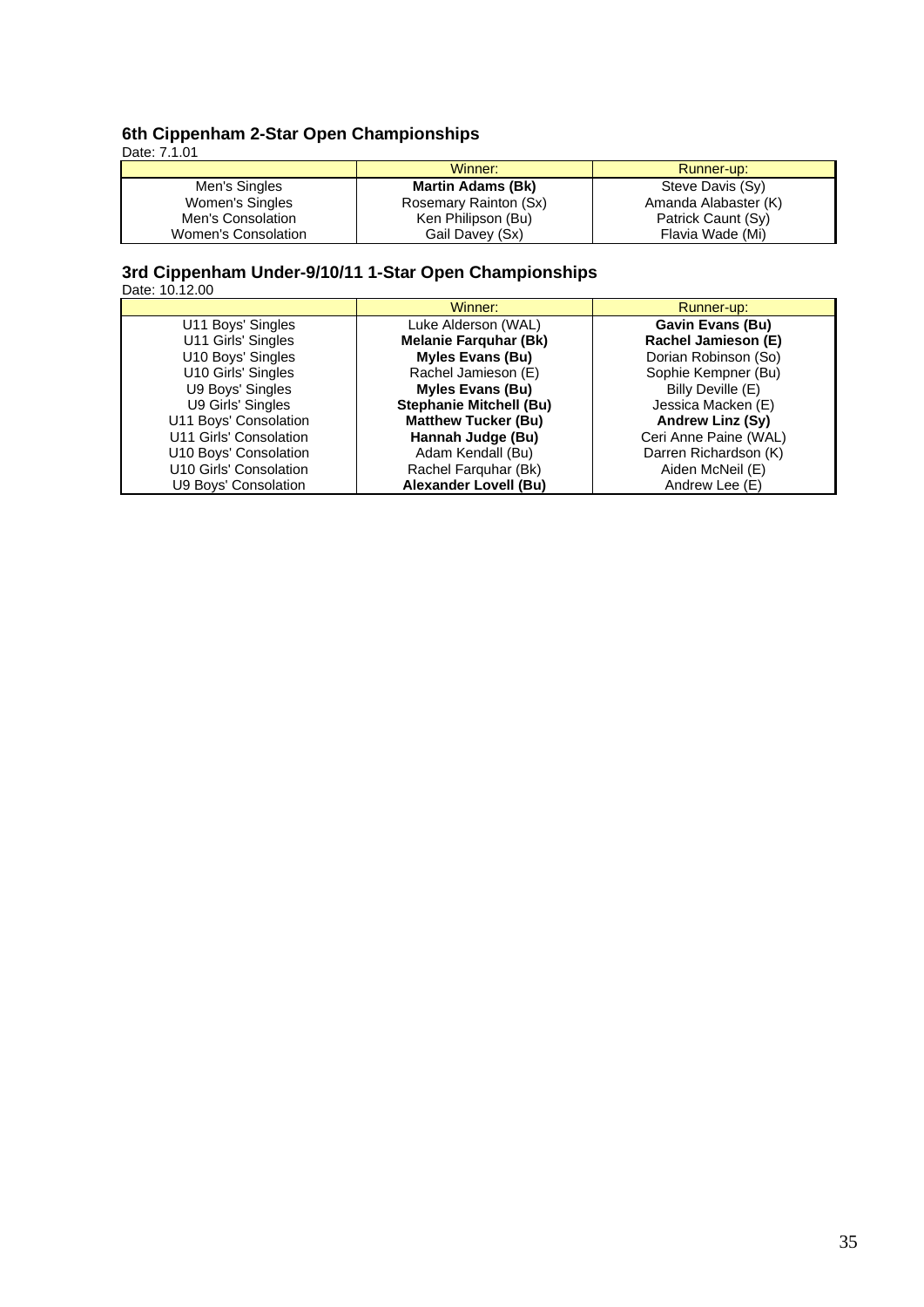#### **6th Cippenham 2-Star Open Championships** Date: 7.1.01

|                     | Winner:                  | Runner-up:           |
|---------------------|--------------------------|----------------------|
| Men's Singles       | <b>Martin Adams (Bk)</b> | Steve Davis (Sy)     |
| Women's Singles     | Rosemary Rainton (Sx)    | Amanda Alabaster (K) |
| Men's Consolation   | Ken Philipson (Bu)       | Patrick Caunt (Sy)   |
| Women's Consolation | Gail Davey (Sx)          | Flavia Wade (Mi)     |

#### **3rd Cippenham Under-9/10/11 1-Star Open Championships** Date: 10.12.00

|                        | Winner:                        | Runner-up:              |
|------------------------|--------------------------------|-------------------------|
| U11 Boys' Singles      | Luke Alderson (WAL)            | <b>Gavin Evans (Bu)</b> |
| U11 Girls' Singles     | <b>Melanie Farquhar (Bk)</b>   | Rachel Jamieson (E)     |
| U10 Boys' Singles      | <b>Myles Evans (Bu)</b>        | Dorian Robinson (So)    |
| U10 Girls' Singles     | Rachel Jamieson (E)            | Sophie Kempner (Bu)     |
| U9 Boys' Singles       | <b>Myles Evans (Bu)</b>        | Billy Deville (E)       |
| U9 Girls' Singles      | <b>Stephanie Mitchell (Bu)</b> | Jessica Macken (E)      |
| U11 Boys' Consolation  | <b>Matthew Tucker (Bu)</b>     | Andrew Linz (Sy)        |
| U11 Girls' Consolation | Hannah Judge (Bu)              | Ceri Anne Paine (WAL)   |
| U10 Boys' Consolation  | Adam Kendall (Bu)              | Darren Richardson (K)   |
| U10 Girls' Consolation | Rachel Farquhar (Bk)           | Aiden McNeil (E)        |
| U9 Boys' Consolation   | <b>Alexander Lovell (Bu)</b>   | Andrew Lee (E)          |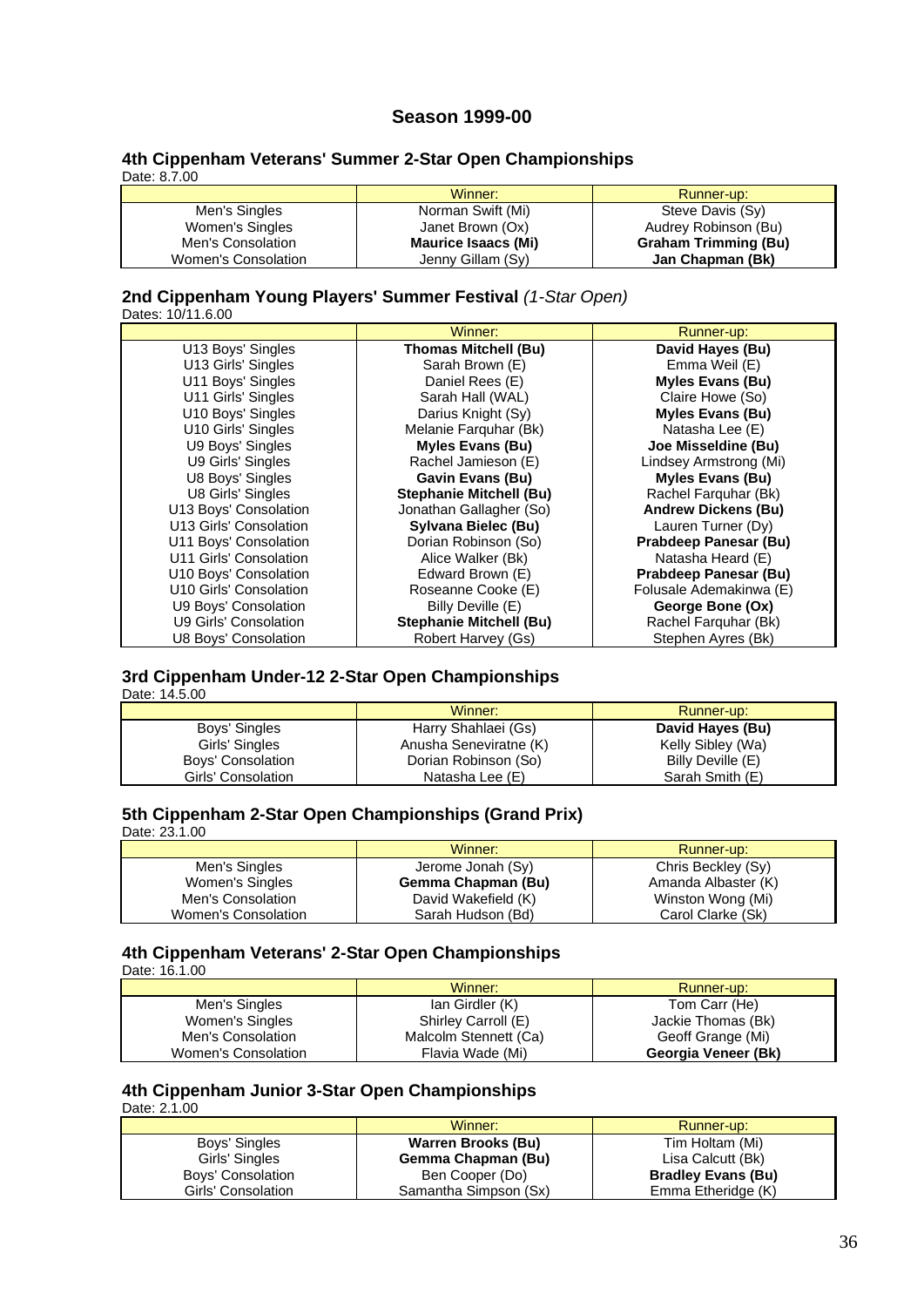# **Season 1999-00**

#### **4th Cippenham Veterans' Summer 2-Star Open Championships** Date: 8.7.00

|                     | Winner:             | Runner-up:                  |
|---------------------|---------------------|-----------------------------|
| Men's Singles       | Norman Swift (Mi)   | Steve Davis (Sy)            |
| Women's Singles     | Janet Brown (Ox)    | Audrey Robinson (Bu)        |
| Men's Consolation   | Maurice Isaacs (Mi) | <b>Graham Trimming (Bu)</b> |
| Women's Consolation | Jenny Gillam (Sy)   | Jan Chapman (Bk)            |

# **2nd Cippenham Young Players' Summer Festival** *(1-Star Open)*

Dates: 10/11.6.00

|                        | Winner:                        | Runner-up:                 |
|------------------------|--------------------------------|----------------------------|
| U13 Boys' Singles      | <b>Thomas Mitchell (Bu)</b>    | David Hayes (Bu)           |
| U13 Girls' Singles     | Sarah Brown (E)                | Emma Weil (E)              |
| U11 Boys' Singles      | Daniel Rees (E)                | <b>Myles Evans (Bu)</b>    |
| U11 Girls' Singles     | Sarah Hall (WAL)               | Claire Howe (So)           |
| U10 Boys' Singles      | Darius Knight (Sy)             | <b>Myles Evans (Bu)</b>    |
| U10 Girls' Singles     | Melanie Farquhar (Bk)          | Natasha Lee (E)            |
| U9 Boys' Singles       | <b>Myles Evans (Bu)</b>        | Joe Misseldine (Bu)        |
| U9 Girls' Singles      | Rachel Jamieson (E)            | Lindsey Armstrong (Mi)     |
| U8 Boys' Singles       | <b>Gavin Evans (Bu)</b>        | <b>Myles Evans (Bu)</b>    |
| U8 Girls' Singles      | <b>Stephanie Mitchell (Bu)</b> | Rachel Farquhar (Bk)       |
| U13 Boys' Consolation  | Jonathan Gallagher (So)        | <b>Andrew Dickens (Bu)</b> |
| U13 Girls' Consolation | Sylvana Bielec (Bu)            | Lauren Turner (Dy)         |
| U11 Boys' Consolation  | Dorian Robinson (So)           | Prabdeep Panesar (Bu)      |
| U11 Girls' Consolation | Alice Walker (Bk)              | Natasha Heard (E)          |
| U10 Boys' Consolation  | Edward Brown (E)               | Prabdeep Panesar (Bu)      |
| U10 Girls' Consolation | Roseanne Cooke (E)             | Folusale Ademakinwa (E)    |
| U9 Boys' Consolation   | Billy Deville (E)              | George Bone (Ox)           |
| U9 Girls' Consolation  | <b>Stephanie Mitchell (Bu)</b> | Rachel Farquhar (Bk)       |
| U8 Boys' Consolation   | Robert Harvey (Gs)             | Stephen Ayres (Bk)         |

#### **3rd Cippenham Under-12 2-Star Open Championships** Date: 14.5.00

|                    | Winner:                | Runner-up:        |
|--------------------|------------------------|-------------------|
| Boys' Singles      | Harry Shahlaei (Gs)    | David Hayes (Bu)  |
| Girls' Singles     | Anusha Seneviratne (K) | Kelly Sibley (Wa) |
| Boys' Consolation  | Dorian Robinson (So)   | Billy Deville (E) |
| Girls' Consolation | Natasha Lee (E)        | Sarah Smith (E)   |

# **5th Cippenham 2-Star Open Championships (Grand Prix)**

Date: 23.1.00

|                     | Winner:             | Runner-up:          |
|---------------------|---------------------|---------------------|
| Men's Singles       | Jerome Jonah (Sy)   | Chris Beckley (Sy)  |
| Women's Singles     | Gemma Chapman (Bu)  | Amanda Albaster (K) |
| Men's Consolation   | David Wakefield (K) | Winston Wong (Mi)   |
| Women's Consolation | Sarah Hudson (Bd)   | Carol Clarke (Sk)   |

# **4th Cippenham Veterans' 2-Star Open Championships**

Date: 16.1.00

|                     | Winner:               | Runner-up:          |
|---------------------|-----------------------|---------------------|
| Men's Singles       | lan Girdler (K)       | Tom Carr (He)       |
| Women's Singles     | Shirley Carroll (E)   | Jackie Thomas (Bk)  |
| Men's Consolation   | Malcolm Stennett (Ca) | Geoff Grange (Mi)   |
| Women's Consolation | Flavia Wade (Mi)      | Georgia Veneer (Bk) |

# **4th Cippenham Junior 3-Star Open Championships**

Date: 2.1.00

|                    | Winner:                   | Runner-up:                |
|--------------------|---------------------------|---------------------------|
| Boys' Singles      | <b>Warren Brooks (Bu)</b> | Tim Holtam (Mi)           |
| Girls' Singles     | Gemma Chapman (Bu)        | Lisa Calcutt (Bk)         |
| Boys' Consolation  | Ben Cooper (Do)           | <b>Bradley Evans (Bu)</b> |
| Girls' Consolation | Samantha Simpson (Sx)     | Emma Etheridge (K)        |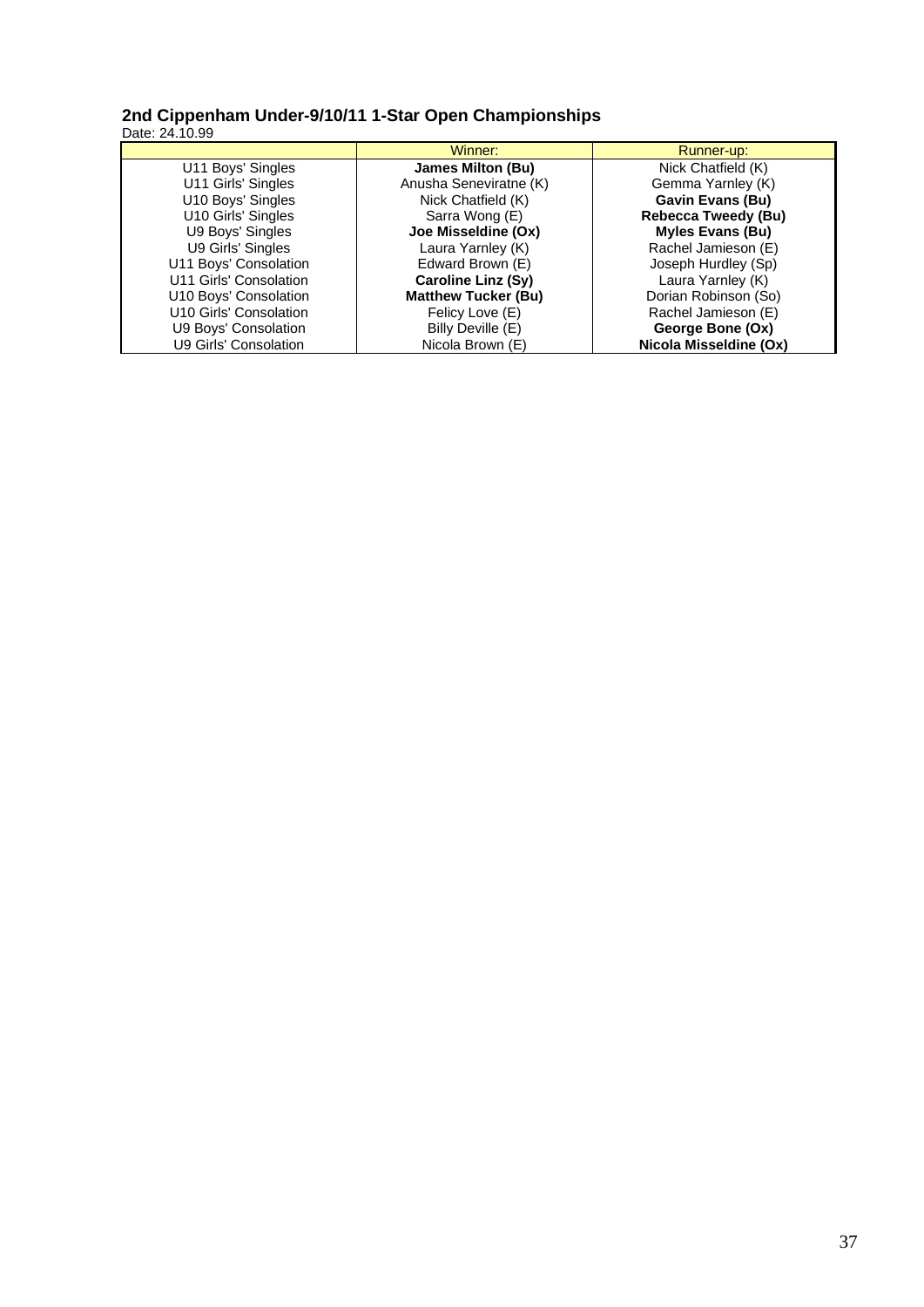#### **2nd Cippenham Under-9/10/11 1-Star Open Championships** Date: 24.10.99

|                        | Winner:                    | Runner-up:                 |
|------------------------|----------------------------|----------------------------|
| U11 Boys' Singles      | James Milton (Bu)          | Nick Chatfield (K)         |
| U11 Girls' Singles     | Anusha Seneviratne (K)     | Gemma Yarnley (K)          |
| U10 Boys' Singles      | Nick Chatfield (K)         | <b>Gavin Evans (Bu)</b>    |
| U10 Girls' Singles     | Sarra Wong (E)             | <b>Rebecca Tweedy (Bu)</b> |
| U9 Boys' Singles       | Joe Misseldine (Ox)        | <b>Myles Evans (Bu)</b>    |
| U9 Girls' Singles      | Laura Yarnley (K)          | Rachel Jamieson (E)        |
| U11 Boys' Consolation  | Edward Brown (E)           | Joseph Hurdley (Sp)        |
| U11 Girls' Consolation | <b>Caroline Linz (Sy)</b>  | Laura Yarnley (K)          |
| U10 Boys' Consolation  | <b>Matthew Tucker (Bu)</b> | Dorian Robinson (So)       |
| U10 Girls' Consolation | Felicy Love (E)            | Rachel Jamieson (E)        |
| U9 Boys' Consolation   | Billy Deville (E)          | George Bone (Ox)           |
| U9 Girls' Consolation  | Nicola Brown (E)           | Nicola Misseldine (Ox)     |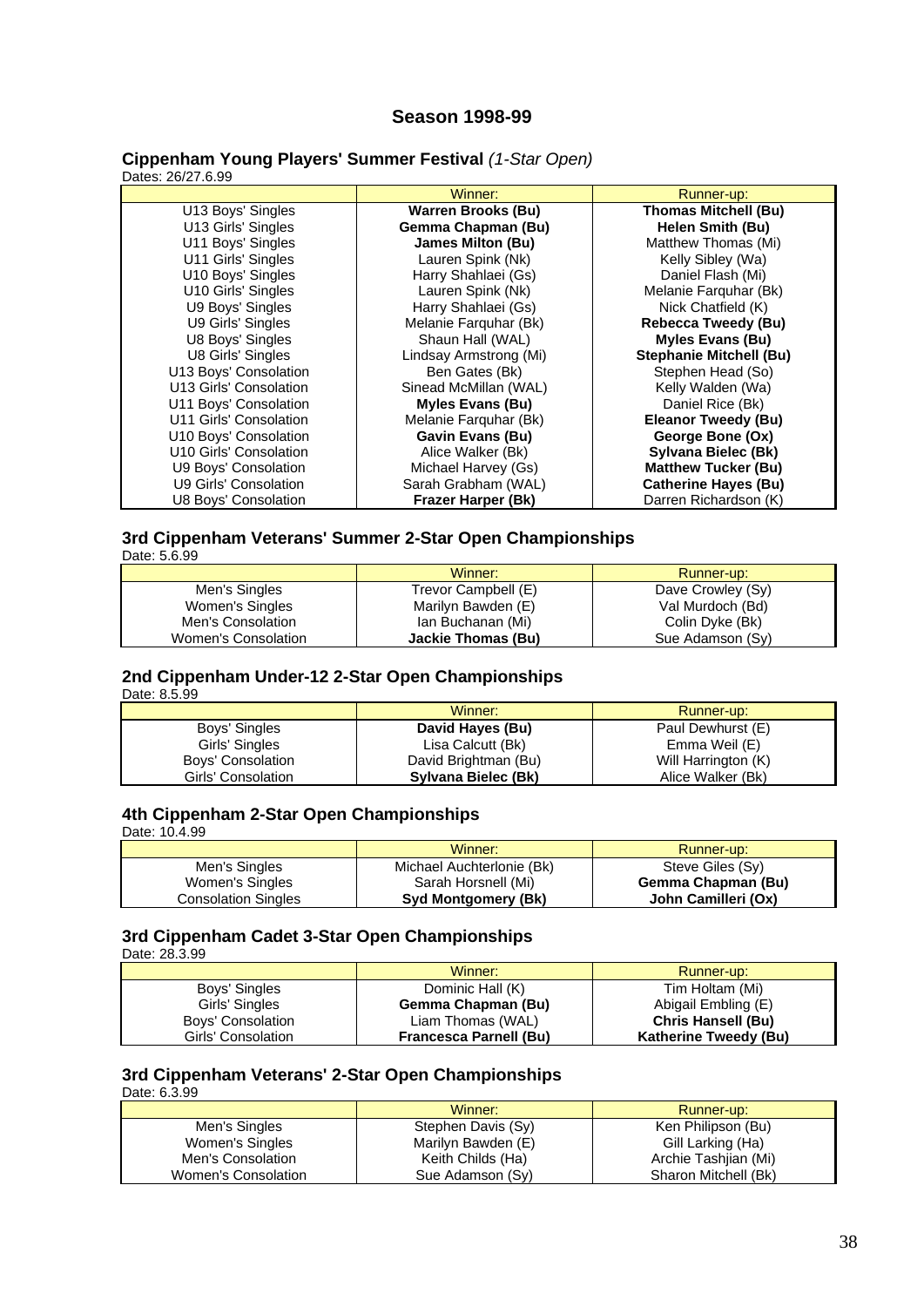# **Season 1998-99**

#### **Cippenham Young Players' Summer Festival** *(1-Star Open)* Dates: 26/27.6.99

|                        | Winner:                   | Runner-up:                     |
|------------------------|---------------------------|--------------------------------|
| U13 Boys' Singles      | <b>Warren Brooks (Bu)</b> | <b>Thomas Mitchell (Bu)</b>    |
| U13 Girls' Singles     | Gemma Chapman (Bu)        | Helen Smith (Bu)               |
| U11 Boys' Singles      | James Milton (Bu)         | Matthew Thomas (Mi)            |
| U11 Girls' Singles     | Lauren Spink (Nk)         | Kelly Sibley (Wa)              |
| U10 Boys' Singles      | Harry Shahlaei (Gs)       | Daniel Flash (Mi)              |
| U10 Girls' Singles     | Lauren Spink (Nk)         | Melanie Farquhar (Bk)          |
| U9 Boys' Singles       | Harry Shahlaei (Gs)       | Nick Chatfield (K)             |
| U9 Girls' Singles      | Melanie Farquhar (Bk)     | Rebecca Tweedy (Bu)            |
| U8 Boys' Singles       | Shaun Hall (WAL)          | <b>Myles Evans (Bu)</b>        |
| U8 Girls' Singles      | Lindsay Armstrong (Mi)    | <b>Stephanie Mitchell (Bu)</b> |
| U13 Boys' Consolation  | Ben Gates (Bk)            | Stephen Head (So)              |
| U13 Girls' Consolation | Sinead McMillan (WAL)     | Kelly Walden (Wa)              |
| U11 Boys' Consolation  | <b>Myles Evans (Bu)</b>   | Daniel Rice (Bk)               |
| U11 Girls' Consolation | Melanie Farquhar (Bk)     | <b>Eleanor Tweedy (Bu)</b>     |
| U10 Boys' Consolation  | <b>Gavin Evans (Bu)</b>   | George Bone (Ox)               |
| U10 Girls' Consolation | Alice Walker (Bk)         | Sylvana Bielec (Bk)            |
| U9 Boys' Consolation   | Michael Harvey (Gs)       | <b>Matthew Tucker (Bu)</b>     |
| U9 Girls' Consolation  | Sarah Grabham (WAL)       | <b>Catherine Hayes (Bu)</b>    |
| U8 Boys' Consolation   | Frazer Harper (Bk)        | Darren Richardson (K)          |

# **3rd Cippenham Veterans' Summer 2-Star Open Championships**

|                     | Winner:             | Runner-up:        |
|---------------------|---------------------|-------------------|
| Men's Singles       | Trevor Campbell (E) | Dave Crowley (Sy) |
| Women's Singles     | Marilyn Bawden (E)  | Val Murdoch (Bd)  |
| Men's Consolation   | Ian Buchanan (Mi)   | Colin Dyke (Bk)   |
| Women's Consolation | Jackie Thomas (Bu)  | Sue Adamson (Sy)  |

#### **2nd Cippenham Under-12 2-Star Open Championships** Date: 8.5.99

|                    | Winner:              | Runner-up:          |
|--------------------|----------------------|---------------------|
| Boys' Singles      | David Hayes (Bu)     | Paul Dewhurst (E)   |
| Girls' Singles     | Lisa Calcutt (Bk)    | Emma Weil (E)       |
| Boys' Consolation  | David Brightman (Bu) | Will Harrington (K) |
| Girls' Consolation | Sylvana Bielec (Bk)  | Alice Walker (Bk)   |

### **4th Cippenham 2-Star Open Championships**

Date: 10.4.99

|                     | Winner:                    | Runner-up:          |
|---------------------|----------------------------|---------------------|
| Men's Singles       | Michael Auchterlonie (Bk)  | Steve Giles (Sy)    |
| Women's Singles     | Sarah Horsnell (Mi)        | Gemma Chapman (Bu)  |
| Consolation Singles | <b>Syd Montgomery (Bk)</b> | John Camilleri (Ox) |

# **3rd Cippenham Cadet 3-Star Open Championships**

Date: 28.3.99

|                    | Winner:                       | Runner-up:                   |
|--------------------|-------------------------------|------------------------------|
| Boys' Singles      | Dominic Hall (K)              | Tim Holtam (Mi)              |
| Girls' Singles     | Gemma Chapman (Bu)            | Abigail Embling (E)          |
| Boys' Consolation  | Liam Thomas (WAL)             | <b>Chris Hansell (Bu)</b>    |
| Girls' Consolation | <b>Francesca Parnell (Bu)</b> | <b>Katherine Tweedy (Bu)</b> |

#### **3rd Cippenham Veterans' 2-Star Open Championships** Date: 6.3.99

|                     | Winner:            | Runner-up:           |
|---------------------|--------------------|----------------------|
| Men's Singles       | Stephen Davis (Sy) | Ken Philipson (Bu)   |
| Women's Singles     | Marilyn Bawden (E) | Gill Larking (Ha)    |
| Men's Consolation   | Keith Childs (Ha)  | Archie Tashijan (Mi) |
| Women's Consolation | Sue Adamson (Sy)   | Sharon Mitchell (Bk) |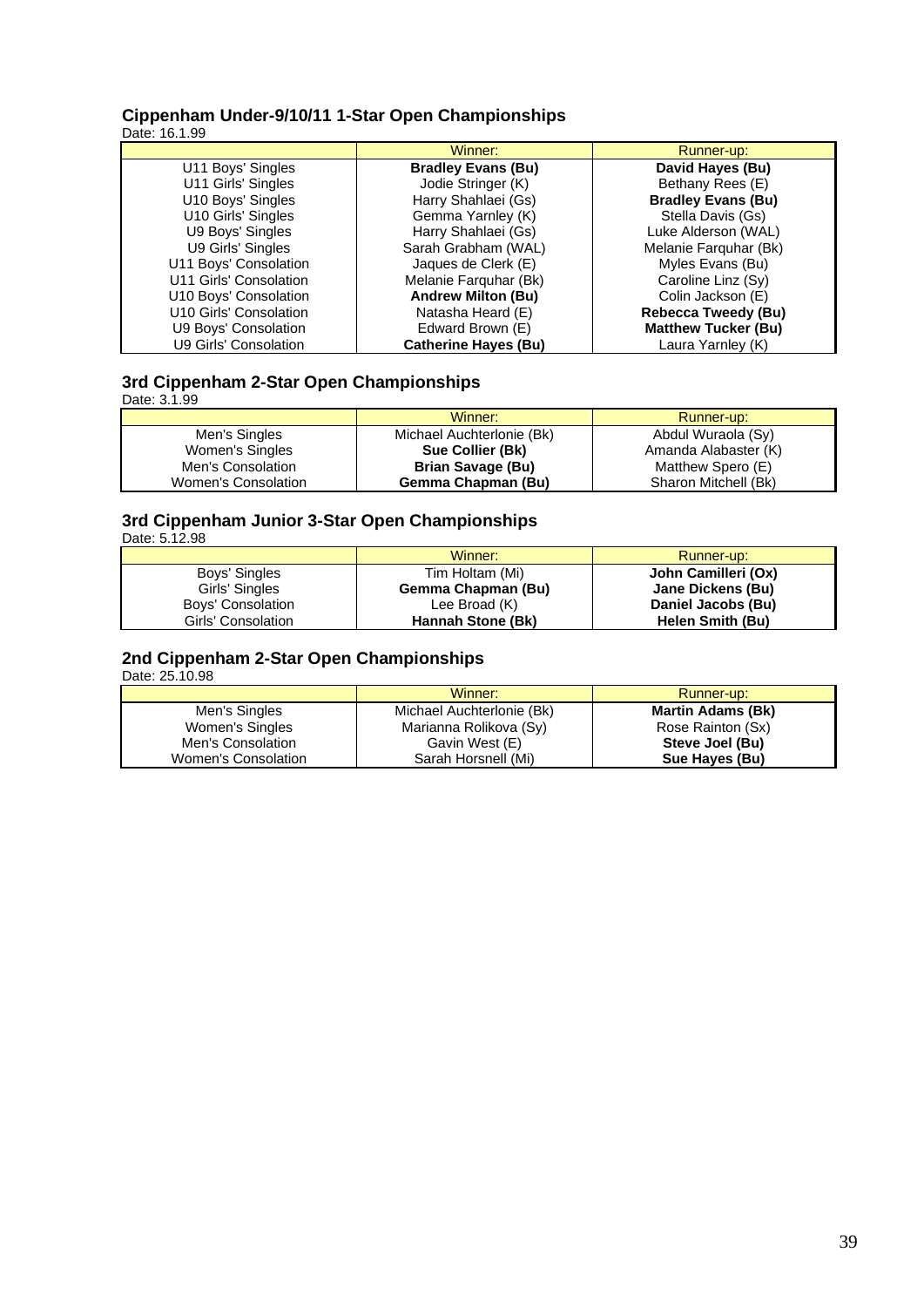#### **Cippenham Under-9/10/11 1-Star Open Championships** Date: 16.1.99

|                        | Winner:                     | Runner-up:                 |
|------------------------|-----------------------------|----------------------------|
| U11 Boys' Singles      | <b>Bradley Evans (Bu)</b>   | David Hayes (Bu)           |
| U11 Girls' Singles     | Jodie Stringer (K)          | Bethany Rees (E)           |
| U10 Boys' Singles      | Harry Shahlaei (Gs)         | <b>Bradley Evans (Bu)</b>  |
| U10 Girls' Singles     | Gemma Yarnley (K)           | Stella Davis (Gs)          |
| U9 Boys' Singles       | Harry Shahlaei (Gs)         | Luke Alderson (WAL)        |
| U9 Girls' Singles      | Sarah Grabham (WAL)         | Melanie Farguhar (Bk)      |
| U11 Boys' Consolation  | Jaques de Clerk (E)         | Myles Evans (Bu)           |
| U11 Girls' Consolation | Melanie Farguhar (Bk)       | Caroline Linz (Sy)         |
| U10 Boys' Consolation  | <b>Andrew Milton (Bu)</b>   | Colin Jackson (E)          |
| U10 Girls' Consolation | Natasha Heard (E)           | <b>Rebecca Tweedy (Bu)</b> |
| U9 Boys' Consolation   | Edward Brown (E)            | <b>Matthew Tucker (Bu)</b> |
| U9 Girls' Consolation  | <b>Catherine Hayes (Bu)</b> | Laura Yarnley (K)          |

# **3rd Cippenham 2-Star Open Championships**

| Date: 3.1.99 |  |
|--------------|--|

|                     | Winner:                   | Runner-up:           |
|---------------------|---------------------------|----------------------|
| Men's Singles       | Michael Auchterlonie (Bk) | Abdul Wuraola (Sy)   |
| Women's Singles     | Sue Collier (Bk)          | Amanda Alabaster (K) |
| Men's Consolation   | <b>Brian Savage (Bu)</b>  | Matthew Spero (E)    |
| Women's Consolation | Gemma Chapman (Bu)        | Sharon Mitchell (Bk) |

## **3rd Cippenham Junior 3-Star Open Championships**

Date: 5.12.98

|                    | Winner:            | Runner-up:          |
|--------------------|--------------------|---------------------|
| Boys' Singles      | Tim Holtam (Mi)    | John Camilleri (Ox) |
| Girls' Singles     | Gemma Chapman (Bu) | Jane Dickens (Bu)   |
| Boys' Consolation  | Lee Broad (K)      | Daniel Jacobs (Bu)  |
| Girls' Consolation | Hannah Stone (Bk)  | Helen Smith (Bu)    |

# **2nd Cippenham 2-Star Open Championships**

Date: 25.10.98

|                     | Winner:                   | Runner-up:               |
|---------------------|---------------------------|--------------------------|
| Men's Singles       | Michael Auchterlonie (Bk) | <b>Martin Adams (Bk)</b> |
| Women's Singles     | Marianna Rolikova (Sy)    | Rose Rainton (Sx)        |
| Men's Consolation   | Gavin West (E)            | Steve Joel (Bu)          |
| Women's Consolation | Sarah Horsnell (Mi)       | Sue Hayes (Bu)           |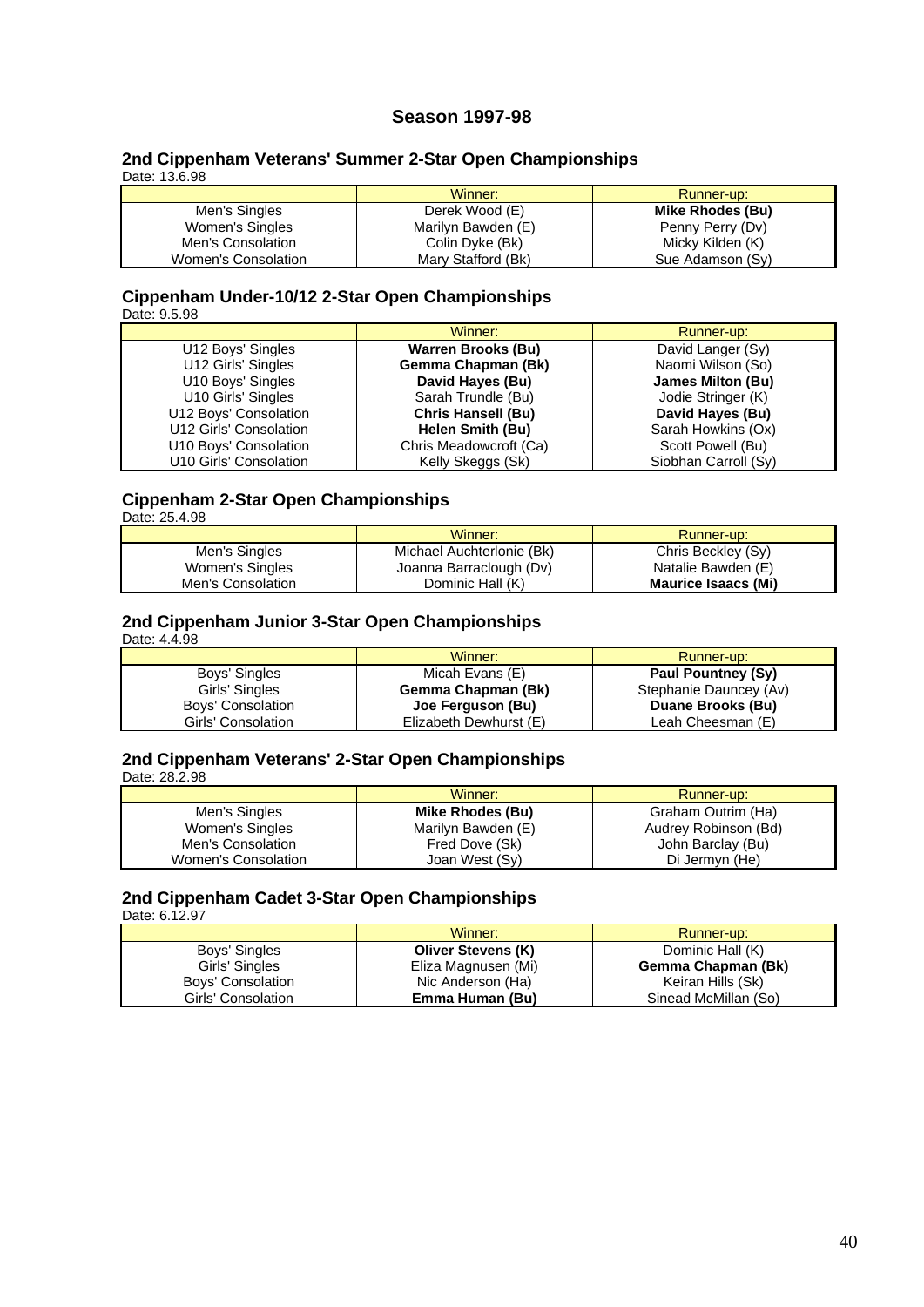# **Season 1997-98**

#### **2nd Cippenham Veterans' Summer 2-Star Open Championships** Date: 13.6.98

|                     | Winner:            | Runner-up:       |
|---------------------|--------------------|------------------|
| Men's Singles       | Derek Wood (E)     | Mike Rhodes (Bu) |
| Women's Singles     | Marilyn Bawden (E) | Penny Perry (Dv) |
| Men's Consolation   | Colin Dyke (Bk)    | Micky Kilden (K) |
| Women's Consolation | Mary Stafford (Bk) | Sue Adamson (Sy) |

#### **Cippenham Under-10/12 2-Star Open Championships** Date: 9.5.98

|                        | Winner:                   | Runner-up:           |
|------------------------|---------------------------|----------------------|
| U12 Boys' Singles      | <b>Warren Brooks (Bu)</b> | David Langer (Sy)    |
| U12 Girls' Singles     | Gemma Chapman (Bk)        | Naomi Wilson (So)    |
| U10 Boys' Singles      | David Hayes (Bu)          | James Milton (Bu)    |
| U10 Girls' Singles     | Sarah Trundle (Bu)        | Jodie Stringer (K)   |
| U12 Boys' Consolation  | <b>Chris Hansell (Bu)</b> | David Hayes (Bu)     |
| U12 Girls' Consolation | Helen Smith (Bu)          | Sarah Howkins (Ox)   |
| U10 Boys' Consolation  | Chris Meadowcroft (Ca)    | Scott Powell (Bu)    |
| U10 Girls' Consolation | Kelly Skeggs (Sk)         | Siobhan Carroll (Sy) |

# **Cippenham 2-Star Open Championships**

Date: 25.4.98

|                   | Winner:                   | Runner-up:                 |
|-------------------|---------------------------|----------------------------|
| Men's Singles     | Michael Auchterlonie (Bk) | Chris Beckley (Sy)         |
| Women's Singles   | Joanna Barraclough (Dv)   | Natalie Bawden (E)         |
| Men's Consolation | Dominic Hall (K)          | <b>Maurice Isaacs (Mi)</b> |

# **2nd Cippenham Junior 3-Star Open Championships**

Date: 4.4.98

|                    | Winner:                | Runner-up:                |
|--------------------|------------------------|---------------------------|
| Boys' Singles      | Micah Evans (E)        | <b>Paul Pountney (Sy)</b> |
| Girls' Singles     | Gemma Chapman (Bk)     | Stephanie Dauncey (Av)    |
| Boys' Consolation  | Joe Ferguson (Bu)      | Duane Brooks (Bu)         |
| Girls' Consolation | Elizabeth Dewhurst (E) | Leah Cheesman (E)         |

# **2nd Cippenham Veterans' 2-Star Open Championships**

Date: 28.2.98

|                     | Winner:            | Runner-up:           |
|---------------------|--------------------|----------------------|
| Men's Singles       | Mike Rhodes (Bu)   | Graham Outrim (Ha)   |
| Women's Singles     | Marilyn Bawden (E) | Audrey Robinson (Bd) |
| Men's Consolation   | Fred Dove (Sk)     | John Barclay (Bu)    |
| Women's Consolation | Joan West (Sy)     | Di Jermvn (He)       |

# **2nd Cippenham Cadet 3-Star Open Championships**

Date: 6.12.97

|                    | Winner:                   | Runner-up:           |
|--------------------|---------------------------|----------------------|
| Boys' Singles      | <b>Oliver Stevens (K)</b> | Dominic Hall (K)     |
| Girls' Singles     | Eliza Magnusen (Mi)       | Gemma Chapman (Bk)   |
| Boys' Consolation  | Nic Anderson (Ha)         | Keiran Hills (Sk)    |
| Girls' Consolation | Emma Human (Bu)           | Sinead McMillan (So) |